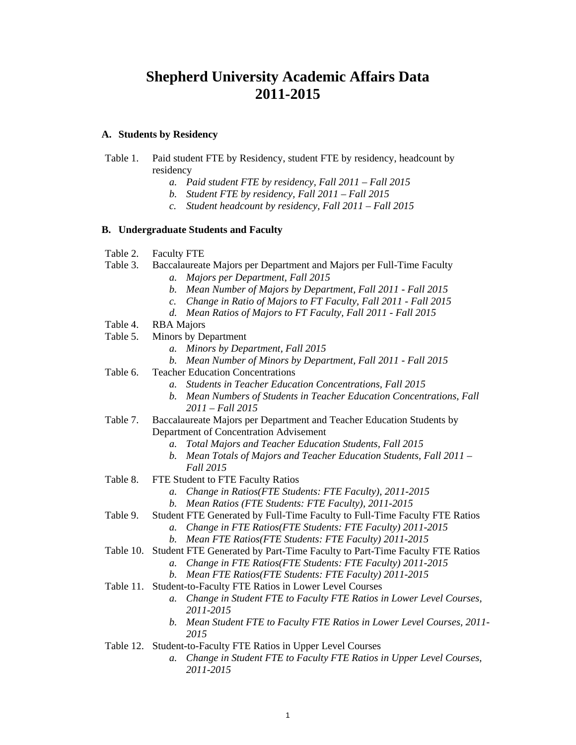# **Shepherd University Academic Affairs Data 2011-2015**

### **A. Students by Residency**

- Table 1. Paid student FTE by Residency, student FTE by residency, headcount by residency
	- *a. Paid student FTE by residency, Fall 2011 Fall 2015*
	- *b. Student FTE by residency, Fall 2011 Fall 2015*
	- *c. Student headcount by residency, Fall 2011 Fall 2015*

### **B. Undergraduate Students and Faculty**

- Table 2. Faculty FTE
- Table 3. Baccalaureate Majors per Department and Majors per Full-Time Faculty
	- *a. Majors per Department, Fall 2015*
	- *b. Mean Number of Majors by Department, Fall 2011 Fall 2015*
	- *c. Change in Ratio of Majors to FT Faculty, Fall 2011 Fall 2015*
	- *d. Mean Ratios of Majors to FT Faculty, Fall 2011 Fall 2015*
- Table 4. RBA Majors
- Table 5. Minors by Department
	- *a. Minors by Department, Fall 2015*
	- *b. Mean Number of Minors by Department, Fall 2011 Fall 2015*
- Table 6. Teacher Education Concentrations
	- *a. Students in Teacher Education Concentrations, Fall 2015*
	- *b. Mean Numbers of Students in Teacher Education Concentrations, Fall 2011 – Fall 2015*
- Table 7. Baccalaureate Majors per Department and Teacher Education Students by Department of Concentration Advisement
	- *a. Total Majors and Teacher Education Students, Fall 2015*
	- *b. Mean Totals of Majors and Teacher Education Students, Fall 2011 Fall 2015*
- Table 8. FTE Student to FTE Faculty Ratios
	- *a. Change in Ratios(FTE Students: FTE Faculty), 2011-2015*
	- *b. Mean Ratios (FTE Students: FTE Faculty), 2011-2015*
- Table 9. Student FTE Generated by Full-Time Faculty to Full-Time Faculty FTE Ratios
	- *a. Change in FTE Ratios(FTE Students: FTE Faculty) 2011-2015*
	- *b. Mean FTE Ratios(FTE Students: FTE Faculty) 2011-2015*
- Table 10. Student FTE Generated by Part-Time Faculty to Part-Time Faculty FTE Ratios
	- *a. Change in FTE Ratios(FTE Students: FTE Faculty) 2011-2015*
	- *b. Mean FTE Ratios(FTE Students: FTE Faculty) 2011-2015*
- Table 11. Student-to-Faculty FTE Ratios in Lower Level Courses
	- *a. Change in Student FTE to Faculty FTE Ratios in Lower Level Courses, 2011-2015*
	- *b. Mean Student FTE to Faculty FTE Ratios in Lower Level Courses, 2011- 2015*
- Table 12. Student-to-Faculty FTE Ratios in Upper Level Courses
	- *a. Change in Student FTE to Faculty FTE Ratios in Upper Level Courses, 2011-2015*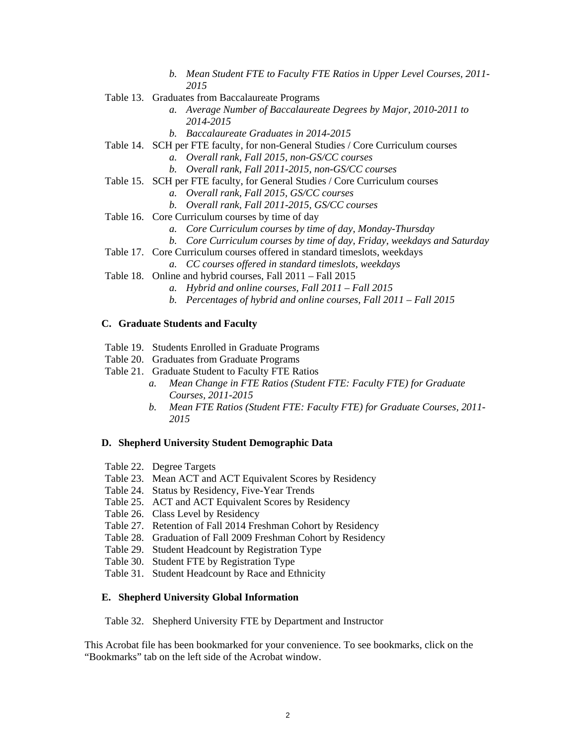- *b. Mean Student FTE to Faculty FTE Ratios in Upper Level Courses, 2011- 2015*
- Table 13. Graduates from Baccalaureate Programs
	- *a. Average Number of Baccalaureate Degrees by Major, 2010-2011 to 2014-2015*
	- *b. Baccalaureate Graduates in 2014-2015*
- Table 14. SCH per FTE faculty, for non-General Studies / Core Curriculum courses
	- *a. Overall rank, Fall 2015, non-GS/CC courses*
	- *b. Overall rank, Fall 2011-2015, non-GS/CC courses*
- Table 15. SCH per FTE faculty, for General Studies / Core Curriculum courses
	- *a. Overall rank, Fall 2015, GS/CC courses*
	- *b. Overall rank, Fall 2011-2015, GS/CC courses*
- Table 16. Core Curriculum courses by time of day
	- *a. Core Curriculum courses by time of day, Monday-Thursday*
	- *b. Core Curriculum courses by time of day, Friday, weekdays and Saturday*
- Table 17. Core Curriculum courses offered in standard timeslots, weekdays
	- *a. CC courses offered in standard timeslots, weekdays*
- Table 18. Online and hybrid courses, Fall 2011 Fall 2015
	- *a. Hybrid and online courses, Fall 2011 Fall 2015*
	- *b. Percentages of hybrid and online courses, Fall 2011 Fall 2015*

### **C. Graduate Students and Faculty**

- Table 19. Students Enrolled in Graduate Programs
- Table 20. Graduates from Graduate Programs
- Table 21. Graduate Student to Faculty FTE Ratios
	- *a. Mean Change in FTE Ratios (Student FTE: Faculty FTE) for Graduate Courses, 2011-2015*
	- *b. Mean FTE Ratios (Student FTE: Faculty FTE) for Graduate Courses, 2011- 2015*

### **D. Shepherd University Student Demographic Data**

- Table 22. Degree Targets
- Table 23. Mean ACT and ACT Equivalent Scores by Residency
- Table 24. Status by Residency, Five-Year Trends
- Table 25. ACT and ACT Equivalent Scores by Residency
- Table 26. Class Level by Residency
- Table 27. Retention of Fall 2014 Freshman Cohort by Residency
- Table 28. Graduation of Fall 2009 Freshman Cohort by Residency
- Table 29. Student Headcount by Registration Type
- Table 30. Student FTE by Registration Type
- Table 31. Student Headcount by Race and Ethnicity

### **E. Shepherd University Global Information**

Table 32. Shepherd University FTE by Department and Instructor

This Acrobat file has been bookmarked for your convenience. To see bookmarks, click on the "Bookmarks" tab on the left side of the Acrobat window.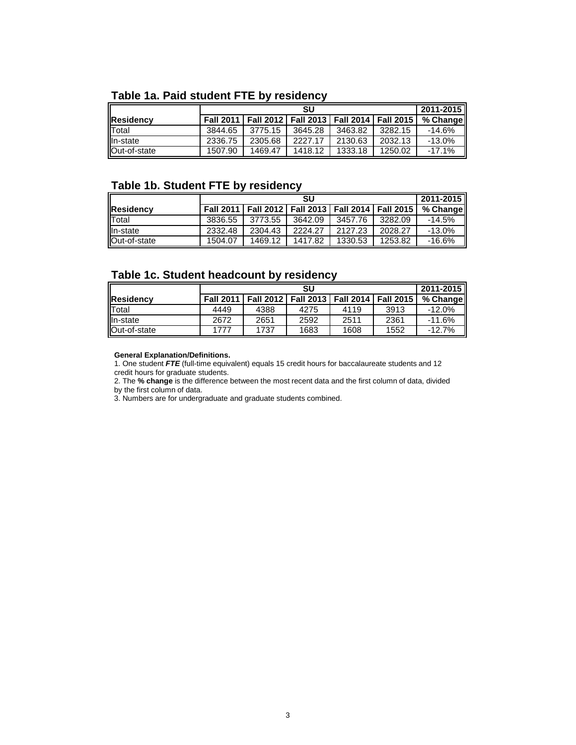# **Table 1a. Paid student FTE by residency**

|               |         |                                                           | SU      |         |         | 2011-2015 |
|---------------|---------|-----------------------------------------------------------|---------|---------|---------|-----------|
| Residency     |         | Fall 2011   Fall 2012   Fall 2013   Fall 2014   Fall 2015 |         |         |         | % Change  |
| <b>T</b> otal | 3844.65 | 3775.15                                                   | 3645.28 | 3463.82 | 3282.15 | $-14.6%$  |
| lln-state     | 2336.75 | 2305.68                                                   | 2227.17 | 2130.63 | 2032.13 | $-13.0\%$ |
| Out-of-state  | 1507.90 | 1469.47                                                   | 1418.12 | 1333.18 | 1250.02 | $-17.1%$  |

## **Table 1b. Student FTE by residency**

|              |         |                                                           | SU      |         |         | 2011-2015 |
|--------------|---------|-----------------------------------------------------------|---------|---------|---------|-----------|
| Residency    |         | Fall 2011   Fall 2012   Fall 2013   Fall 2014   Fall 2015 |         |         |         | % Change  |
| Total        | 3836.55 | 3773.55                                                   | 3642.09 | 3457.76 | 3282.09 | $-14.5\%$ |
| In-state     | 2332.48 | 2304.43                                                   | 2224.27 | 2127.23 | 2028.27 | $-13.0%$  |
| Out-of-state | 1504.07 | 1469.12                                                   | 1417.82 | 1330.53 | 1253.82 | $-16.6%$  |

## **Table 1c. Student headcount by residency**

|                  |                  |      | SU   |                                               |      | 2011-2015 |
|------------------|------------------|------|------|-----------------------------------------------|------|-----------|
| <b>Residency</b> | <b>Fall 2011</b> |      |      | Fall 2012   Fall 2013   Fall 2014   Fall 2015 |      | % Change  |
| Total            | 4449             | 4388 | 4275 | 4119                                          | 3913 | $-12.0%$  |
| In-state         | 2672             | 2651 | 2592 | 2511                                          | 2361 | $-11.6%$  |
| Out-of-state     | 1777             | 1737 | 1683 | 1608                                          | 1552 | $-12.7%$  |

#### **General Explanation/Definitions.**

1. One student *FTE* (full-time equivalent) equals 15 credit hours for baccalaureate students and 12 credit hours for graduate students.

2. The **% change** is the difference between the most recent data and the first column of data, divided by the first column of data.

3. Numbers are for undergraduate and graduate students combined.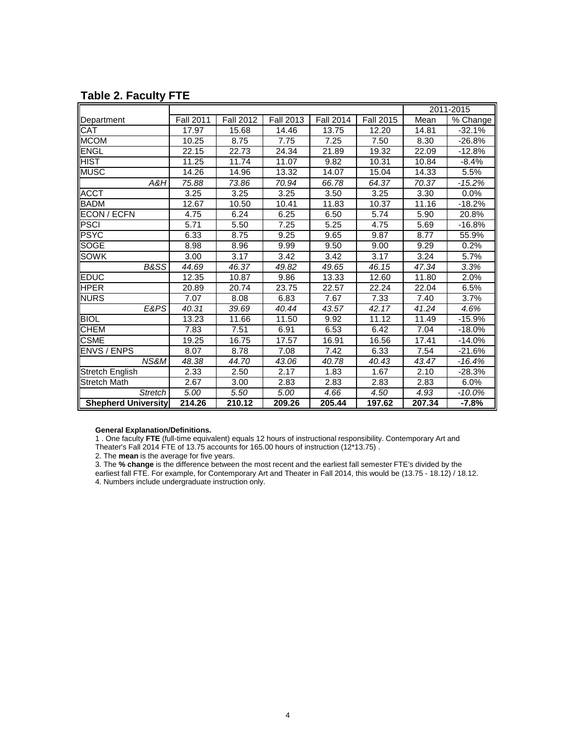|                            |                  |                  |                   |                  |                  |        | 2011-2015              |
|----------------------------|------------------|------------------|-------------------|------------------|------------------|--------|------------------------|
| Department                 | <b>Fall 2011</b> | <b>Fall 2012</b> | <b>Fall 2013</b>  | <b>Fall 2014</b> | <b>Fall 2015</b> | Mean   | $\overline{\%}$ Change |
| <b>CAT</b>                 | 17.97            | 15.68            | 14.46             | 13.75            | 12.20            | 14.81  | $-32.1%$               |
| <b>MCOM</b>                | 10.25            | 8.75             | 7.75              | 7.25             | 7.50             | 8.30   | $-26.8%$               |
| ENGL                       | 22.15            | 22.73            | 24.34             | 21.89            | 19.32            | 22.09  | $-12.8%$               |
| <b>HIST</b>                | 11.25            | 11.74            | 11.07             | 9.82             | 10.31            | 10.84  | $-8.4%$                |
| <b>MUSC</b>                | 14.26            | 14.96            | 13.32             | 14.07            | 15.04            | 14.33  | $\overline{5.5\%}$     |
| A&H                        | 75.88            | 73.86            | 70.94             | 66.78            | 64.37            | 70.37  | $-15.2%$               |
| <b>ACCT</b>                | 3.25             | 3.25             | 3.25              | 3.50             | 3.25             | 3.30   | 0.0%                   |
| <b>BADM</b>                | 12.67            | 10.50            | 10.41             | 11.83            | 10.37            | 11.16  | $-18.2%$               |
| ECON / ECFN                | 4.75             | 6.24             | 6.25              | 6.50             | 5.74             | 5.90   | 20.8%                  |
| <b>PSCI</b>                | 5.71             | 5.50             | 7.25              | 5.25             | 4.75             | 5.69   | $-16.8%$               |
| <b>PSYC</b>                | 6.33             | 8.75             | 9.25              | 9.65             | 9.87             | 8.77   | 55.9%                  |
| <b>SOGE</b>                | 8.98             | 8.96             | 9.99              | 9.50             | 9.00             | 9.29   | 0.2%                   |
| <b>SOWK</b>                | 3.00             | 3.17             | 3.42              | 3.42             | 3.17             | 3.24   | 5.7%                   |
| <b>B&amp;SS</b>            | 44.69            | 46.37            | 49.82             | 49.65            | 46.15            | 47.34  | 3.3%                   |
| <b>EDUC</b>                | 12.35            | 10.87            | 9.86              | 13.33            | 12.60            | 11.80  | 2.0%                   |
| <b>HPER</b>                | 20.89            | 20.74            | 23.75             | 22.57            | 22.24            | 22.04  | 6.5%                   |
| <b>NURS</b>                | 7.07             | 8.08             | 6.83              | 7.67             | 7.33             | 7.40   | 3.7%                   |
| E&PS                       | 40.31            | 39.69            | 40.44             | 43.57            | 42.17            | 41.24  | 4.6%                   |
| <b>BIOL</b>                | 13.23            | 11.66            | 11.50             | 9.92             | 11.12            | 11.49  | $-15.9%$               |
| <b>CHEM</b>                | 7.83             | 7.51             | 6.91              | 6.53             | 6.42             | 7.04   | $-18.0%$               |
| <b>CSME</b>                | 19.25            | 16.75            | 17.57             | 16.91            | 16.56            | 17.41  | $-14.0%$               |
| <b>ENVS / ENPS</b>         | 8.07             | 8.78             | 7.08              | 7.42             | 6.33             | 7.54   | $-21.6%$               |
| NS&M                       | 48.38            | 44.70            | 43.06             | 40.78            | 40.43            | 43.47  | $-16.4%$               |
| <b>Stretch English</b>     | 2.33             | 2.50             | 2.17              | 1.83             | 1.67             | 2.10   | -28.3%                 |
| Stretch Math               | 2.67             | 3.00             | 2.83              | 2.83             | 2.83             | 2.83   | 6.0%                   |
| <b>Stretch</b>             | 5.00             | 5.50             | $\overline{5.00}$ | 4.66             | 4.50             | 4.93   | $-10.0%$               |
| <b>Shepherd University</b> | 214.26           | 210.12           | 209.26            | 205.44           | 197.62           | 207.34 | $-7.8%$                |

# **Table 2. Faculty FTE**

**General Explanation/Definitions.**

1 . One faculty **FTE** (full-time equivalent) equals 12 hours of instructional responsibility. Contemporary Art and

Theater's Fall 2014 FTE of 13.75 accounts for 165.00 hours of instruction (12\*13.75) .

2. The **mean** is the average for five years.

3. The **% change** is the difference between the most recent and the earliest fall semester FTE's divided by the earliest fall FTE. For example, for Contemporary Art and Theater in Fall 2014, this would be (13.75 - 18.12) / 18.12. 4. Numbers include undergraduate instruction only.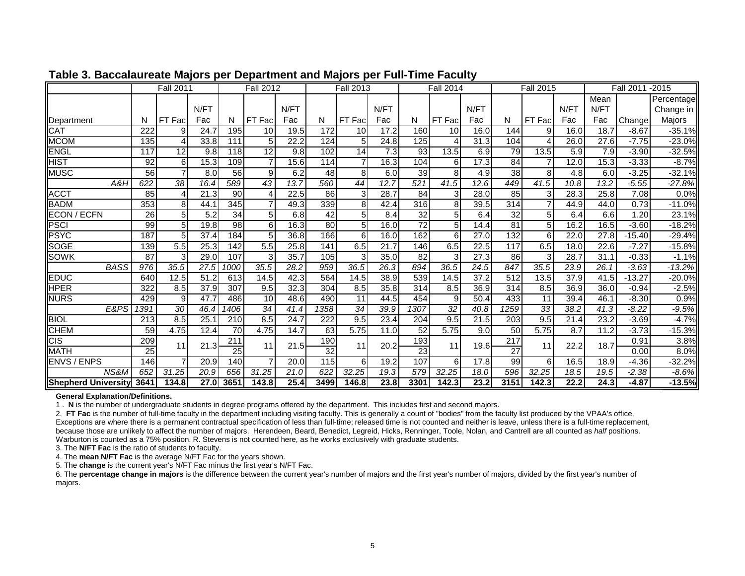|                            |                  | <b>Fall 2011</b> |                   |                 | <b>Fall 2012</b> |                   |      | <b>Fall 2013</b> |      |                  | <b>Fall 2014</b>  |      |                 | <b>Fall 2015</b> |      | <b>Fall 2011</b>  | $-2015$  |            |
|----------------------------|------------------|------------------|-------------------|-----------------|------------------|-------------------|------|------------------|------|------------------|-------------------|------|-----------------|------------------|------|-------------------|----------|------------|
|                            |                  |                  |                   |                 |                  |                   |      |                  |      |                  |                   |      |                 |                  |      | Mean              |          | Percentage |
|                            |                  |                  | N/FT              |                 |                  | N/FT              |      |                  | N/FT |                  |                   | N/FT |                 |                  | N/FT | N/FT              |          | Change in  |
| Department                 | N                | Fac<br>FT        | Fac               | N               | FT Fac           | Fac               | N    | FT Fac           | Fac  | N                | FT Fac            | Fac  | N               | FT Fac           | Fac  | Fac               | Change   | Majors     |
| <b>CAT</b>                 | 222              | 9                | 24.7              | 195             | 10               | 19.5              | 172  | 10               | 17.2 | 160              | 10                | 16.0 | 144             | 9                | 16.0 | 18.7              | $-8.67$  | $-35.1%$   |
| <b>MCOM</b>                | $\overline{135}$ |                  | 33.8              | 111             | 5                | $\overline{22.2}$ | 124  | 5 <sub>l</sub>   | 24.8 | 125              | 4                 | 31.3 | 104             | 4                | 26.0 | 27.6              | $-7.75$  | $-23.0%$   |
| <b>ENGL</b>                | 117              | 12               | 9.8               | 118             | 12               | 9.8               | 102  | 14               | 7.3  | 93               | $\overline{13.5}$ | 6.9  | 79              | 13.5             | 5.9  | 7.9               | $-3.90$  | $-32.5%$   |
| HIST                       | 92               | 6                | 15.3              | 109             |                  | 15.6              | 114  | $\overline{7}$   | 16.3 | 104              | 6                 | 17.3 | 84              | 7                | 12.0 | 15.3              | $-3.33$  | $-8.7%$    |
| <b>MUSC</b>                | 56               |                  | 8.0               | 56              | 9                | 6.2               | 48   | 8 <sup>1</sup>   | 6.0  | 39               | 8                 | 4.9  | 38              | 8                | 4.8  | 6.0               | $-3.25$  | $-32.1%$   |
| A&H                        | 622              | $\overline{38}$  | 16.4              | 589             | $\overline{43}$  | 13.7              | 560  | $\overline{44}$  | 12.7 | 521              | 41.5              | 12.6 | 449             | 41.5             | 10.8 | 13.2              | $-5.55$  | $-27.8%$   |
| <b>ACCT</b>                | 85               |                  | $\overline{21.3}$ | 90              |                  | 22.5              | 86   | $\overline{3}$   | 28.7 | 84               | 3                 | 28.0 | 85              | 3                | 28.3 | 25.8              | 7.08     | 0.0%       |
| <b>BADM</b>                | 353              | 8                | 44.1              | 345             |                  | 49.3              | 339  | 8 <sup>1</sup>   | 42.4 | 316              | 8                 | 39.5 | 314             | $\overline{7}$   | 44.9 | 44.0              | 0.73     | $-11.0%$   |
| ECON / ECFN                | 26               | 5 <sub>l</sub>   | 5.2               | 34              | 5                | 6.8               | 42   | 5 <sub>5</sub>   | 8.4  | 32               | 5 <sup>1</sup>    | 6.4  | 32              | 5                | 6.4  | 6.6               | 1.20     | 23.1%      |
| PSCI                       | 99               | 5                | 19.8              | $\overline{98}$ | 6                | 16.3              | 80   | 5 <sub>5</sub>   | 16.0 | $\overline{72}$  | 5 <sub>l</sub>    | 14.4 | 81              | 5                | 16.2 | 16.5              | $-3.60$  | $-18.2%$   |
| <b>PSYC</b>                | 187              | 5                | 37.4              | 184             | 5                | 36.8              | 166  | $6 \mid$         | 16.0 | 162              | 6                 | 27.0 | 132             | 6                | 22.0 | 27.8              | $-15.40$ | $-29.4%$   |
| <b>SOGE</b>                | 139              | 5.5              | 25.3              | 142             | 5.5              | 25.8              | 141  | 6.5              | 21.7 | 146              | 6.5               | 22.5 | 117             | 6.5              | 18.0 | 22.6              | $-7.27$  | $-15.8%$   |
| <b>SOWK</b>                | 87               | 3                | 29.0              | 107             | 3                | 35.7              | 105  | 3 <sub>l</sub>   | 35.0 | 82               | 3 <sub>l</sub>    | 27.3 | 86              | 3                | 28.7 | 31.1              | $-0.33$  | $-1.1%$    |
| <b>BASS</b>                | 976              | 35.5             | 27.5              | 1000            | 35.5             | 28.2              | 959  | 36.5             | 26.3 | 894              | 36.5              | 24.5 | 847             | 35.5             | 23.9 | $\overline{26.1}$ | $-3.63$  | $-13.2%$   |
| EDUC                       | 640              | 12.5             | 51.2              | 613             | 14.5             | 42.3              | 564  | 14.5             | 38.9 | 539              | 14.5              | 37.2 | 512             | 13.5             | 37.9 | 41.5              | $-13.27$ | $-20.0%$   |
| <b>HPER</b>                | 322              | 8.5              | 37.9              | 307             | 9.5              | 32.3              | 304  | 8.5              | 35.8 | 314              | 8.5               | 36.9 | 314             | 8.5              | 36.9 | 36.0              | $-0.94$  | $-2.5%$    |
| <b>NURS</b>                | 429              | 9                | 47.7              | 486             | 10               | 48.6              | 490  | 11               | 44.5 | 454              | 9                 | 50.4 | 433             | 11               | 39.4 | 46.1              | $-8.30$  | 0.9%       |
| E&PS                       | $\sqrt{391}$     | 30               | 46.4              | 1406            | 34               | 41.4              | 1358 | 34               | 39.9 | 1307             | 32                | 40.8 | 1259            | 33               | 38.2 | 41.3              | $-8.22$  | $-9.5%$    |
| <b>BIOL</b>                | 213              | 8.5              | 25.1              | 210             | 8.5              | 24.7              | 222  | 9.5              | 23.4 | 204              | 9.5               | 21.5 | 203             | 9.5              | 21.4 | 23.2              | $-3.69$  | $-4.7%$    |
| <b>CHEM</b>                | 59               | 4.75             | 12.4              | $\overline{70}$ | 4.75             | 14.7              | 63   | 5.75             | 11.0 | 52               | 5.75              | 9.0  | 50              | 5.75             | 8.7  | 11.2              | $-3.73$  | $-15.3%$   |
| <b>CIS</b>                 | 209              | 11               | 21.3              | 211             | 11               | 21.5              | 190  | 11               | 20.2 | 193              | 11                | 19.6 | 217             | 11               | 22.2 | 18.7              | 0.91     | 3.8%       |
| <b>MATH</b>                | $\overline{25}$  |                  |                   | $\overline{25}$ |                  |                   | 32   |                  |      | 23               |                   |      | $\overline{27}$ |                  |      |                   | 0.00     | 8.0%       |
| <b>ENVS / ENPS</b>         | 146              |                  | 20.9              | 140             |                  | 20.0              | 115  | $6 \mid$         | 19.2 | 107              | 6                 | 17.8 | 99              | 6                | 16.5 | 18.9              | $-4.36$  | $-32.2%$   |
| NS&M                       | 652              | 31.25            | 20.9              | 656             | 31.25            | 21.0              | 622  | 32.25            | 19.3 | $\overline{579}$ | 32.25             | 18.0 | 596             | 32.25            | 18.5 | 19.5              | $-2.38$  | $-8.6%$    |
| <b>Shepherd University</b> | 3641             | 134.8            | 27.0              | 3651            | 143.8            | 25.4              | 3499 | 146.8            | 23.8 | 3301             | 142.3             | 23.2 | 3151            | 142.3            | 22.2 | 24.3              | $-4.87$  | $-13.5%$   |

## **Table 3. Baccalaureate Majors per Department and Majors per Full-Time Facult y**

#### **General Explanation/Definitions.**

1 . **N** is the number of undergraduate students in degree programs offered by the department. This includes first and second majors.

2. **FT Fac** is the number of full-time faculty in the department including visiting faculty. This is generally a count of "bodies" from the faculty list produced by the VPAA's office. Exceptions are where there is a permanent contractual specification of less than full-time; released time is not counted and neither is leave, unless there is a full-time replacement, because those are unlikely to affect the number of majors. Herendeen, Beard, Benedict, Legreid, Hicks, Renninger, Toole, Nolan, and Cantrell are all counted as *half* positions. Warburton is counted as a 75% position. R. Stevens is not counted here, as he works exclusively with graduate students.

3. The **N/FT Fac** is the ratio of students to faculty.

4. The **mean N/FT Fac** is the average N/FT Fac for the years shown.

5. The **change** is the current year's N/FT Fac minus the first year's N/FT Fac.

6. The **percentage change in majors** is the difference between the current year's number of majors and the first year's number of majors, divided by the first year's number of majors.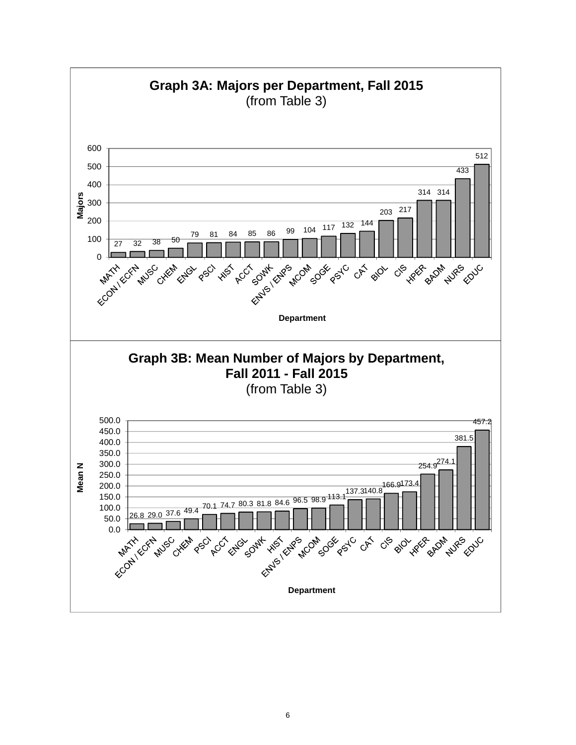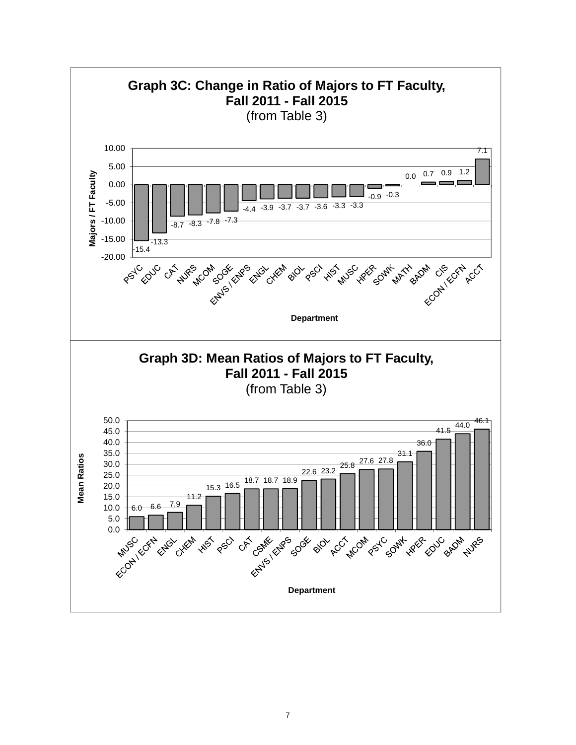

7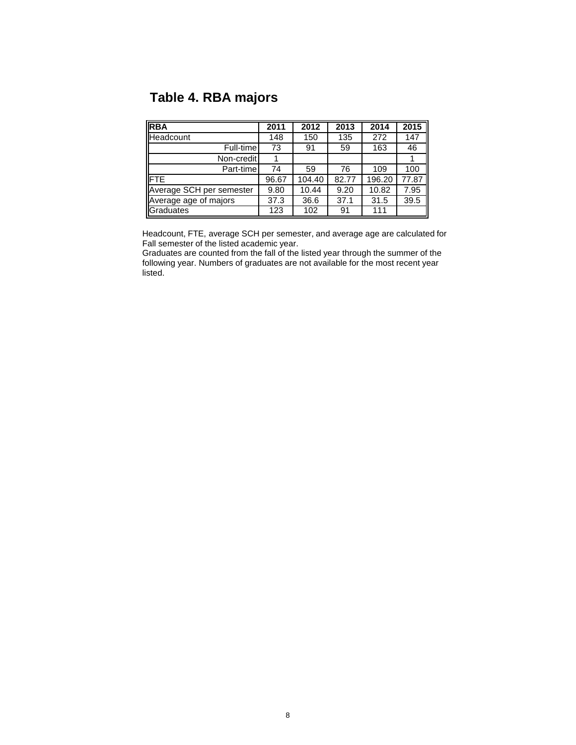# **Table 4. RBA majors**

| <b>RBA</b>               | 2011  | 2012   | 2013  | 2014   | 2015  |
|--------------------------|-------|--------|-------|--------|-------|
| <b>Headcount</b>         | 148   | 150    | 135   | 272    | 147   |
| Full-time                | 73    | 91     | 59    | 163    | 46    |
| Non-credit               |       |        |       |        |       |
| Part-time                | 74    | 59     | 76    | 109    | 100   |
| <b>FTE</b>               | 96.67 | 104.40 | 82.77 | 196.20 | 77.87 |
| Average SCH per semester | 9.80  | 10.44  | 9.20  | 10.82  | 7.95  |
| Average age of majors    | 37.3  | 36.6   | 37.1  | 31.5   | 39.5  |
| Graduates                | 123   | 102    | 91    | 111    |       |

Headcount, FTE, average SCH per semester, and average age are calculated for Fall semester of the listed academic year.

Graduates are counted from the fall of the listed year through the summer of the following year. Numbers of graduates are not available for the most recent year listed.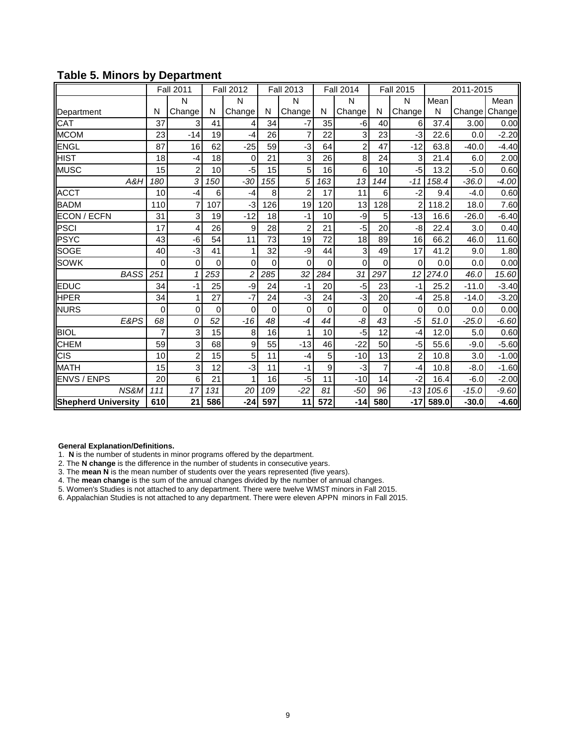|                            |             | <b>Fall 2011</b> |             | <b>Fall 2012</b> |     | <b>Fall 2013</b> |                  | <b>Fall 2014</b> |             | <b>Fall 2015</b> |       | 2011-2015 |         |
|----------------------------|-------------|------------------|-------------|------------------|-----|------------------|------------------|------------------|-------------|------------------|-------|-----------|---------|
|                            |             | N                |             | N                |     | N                |                  | N                |             | N                | Mean  |           | Mean    |
| Department                 | N           | Change           | N           | Change           | N   | Change           | N                | Change           | N           | Change           | N     | Change    | Change  |
| CAT                        | 37          | 3                | 41          |                  | 34  | -7               | 35               | -6               | 40          | 6                | 37.4  | 3.00      | 0.00    |
| <b>MCOM</b>                | 23          | $-14$            | 19          | $-4$             | 26  | 7                | 22               | 3                | 23          | -3               | 22.6  | 0.0       | $-2.20$ |
| <b>ENGL</b>                | 87          | 16               | 62          | $-25$            | 59  | $-3$             | 64               | $\overline{2}$   | 47          | $-12$            | 63.8  | $-40.0$   | $-4.40$ |
| <b>HIST</b>                | 18          | $-4$             | 18          | $\mathbf 0$      | 21  | 3                | 26               | 8                | 24          | 3                | 21.4  | 6.0       | 2.00    |
| <b>MUSC</b>                | 15          | $\overline{2}$   | 10          | $-5$             | 15  | 5                | 16               | 6                | 10          | $-5$             | 13.2  | $-5.0$    | 0.60    |
| A&H                        | 180         | 3                | 150         | $-30$            | 155 | 5                | 163              | 13               | 144         | $-11$            | 158.4 | $-36.0$   | $-4.00$ |
| <b>ACCT</b>                | 10          | $-4$             | 6           | $-4$             | 8   | $\overline{2}$   | 17               | 11               | 6           | $-2$             | 9.4   | $-4.0$    | 0.60    |
| <b>BADM</b>                | 110         |                  | 107         | -3               | 126 | 19               | 120              | 13               | 128         | $\overline{2}$   | 118.2 | 18.0      | 7.60    |
| ECON / ECFN                | 31          | 3                | 19          | $-12$            | 18  | $-1$             | 10               | -9               | 5           | $-13$            | 16.6  | $-26.0$   | $-6.40$ |
| <b>PSCI</b>                | 17          | 4                | 26          | 9                | 28  | $\overline{2}$   | 21               | $-5$             | 20          | -8               | 22.4  | 3.0       | 0.40    |
| <b>PSYC</b>                | 43          | -6               | 54          | 11               | 73  | 19               | 72               | 18               | 89          | 16               | 66.2  | 46.0      | 11.60   |
| <b>SOGE</b>                | 40          | $-3$             | 41          |                  | 32  | -9               | 44               | 3                | 49          | 17               | 41.2  | 9.0       | 1.80    |
| <b>SOWK</b>                | 0           | 0                | $\mathbf 0$ | 0                | 0   | $\Omega$         | $\mathbf 0$      | 0                | 0           | 0                | 0.0   | 0.0       | 0.00    |
| <b>BASS</b>                | 251         |                  | 253         | $\overline{c}$   | 285 | 32               | 284              | 31               | 297         | 12               | 274.0 | 46.0      | 15.60   |
| EDUC                       | 34          | $-1$             | 25          | -9               | 24  | $-1$             | 20               | $-5$             | 23          | $-1$             | 25.2  | $-11.0$   | $-3.40$ |
| <b>HPER</b>                | 34          |                  | 27          | $-7$             | 24  | $-3$             | 24               | -3               | 20          | $-4$             | 25.8  | $-14.0$   | $-3.20$ |
| <b>NURS</b>                | $\mathbf 0$ | 0                | $\mathbf 0$ | 0                | 0   | 0                | $\overline{0}$   | $\mathbf 0$      | $\mathbf 0$ | 0                | 0.0   | 0.0       | 0.00    |
| E&PS                       | 68          | 0                | 52          | $-16$            | 48  | $-4$             | 44               | -8               | 43          | $-5$             | 51.0  | $-25.0$   | $-6.60$ |
| <b>BIOL</b>                | 7           | 3                | 15          | 8                | 16  |                  | 10               | -5               | 12          | -4               | 12.0  | 5.0       | 0.60    |
| <b>CHEM</b>                | 59          | 3                | 68          | 9                | 55  | $-13$            | 46               | $-22$            | 50          | $-5$             | 55.6  | $-9.0$    | $-5.60$ |
| <b>CIS</b>                 | 10          | $\overline{2}$   | 15          | 5                | 11  | $-4$             | 5                | $-10$            | 13          | $\overline{2}$   | 10.8  | 3.0       | $-1.00$ |
| <b>MATH</b>                | 15          | 3                | 12          | -3               | 11  | $-1$             | 9                | $-3$             | 7           | $-4$             | 10.8  | $-8.0$    | $-1.60$ |
| <b>ENVS / ENPS</b>         | 20          | 6                | 21          |                  | 16  | $-5$             | 11               | $-10$            | 14          | $-2$             | 16.4  | $-6.0$    | $-2.00$ |
| NS&M                       | 111         | 17               | 131         | 20               | 109 | $-22$            | 81               | $-50$            | 96          | $-13$            | 105.6 | $-15.0$   | $-9.60$ |
| <b>Shepherd University</b> | 610         | 21               | 586         | $-24$            | 597 | 11               | $\overline{572}$ | $-14$            | 580         | -17              | 589.0 | $-30.0$   | $-4.60$ |

## **Table 5. Minors by Department**

#### **General Explanation/Definitions.**

1. **N** is the number of students in minor programs offered by the department.

2. The **N change** is the difference in the number of students in consecutive years.

3. The **mean N** is the mean number of students over the years represented (five years).

4. The **mean change** is the sum of the annual changes divided by the number of annual changes.

5. Women's Studies is not attached to any department. There were twelve WMST minors in Fall 2015.

6. Appalachian Studies is not attached to any department. There were eleven APPN minors in Fall 2015.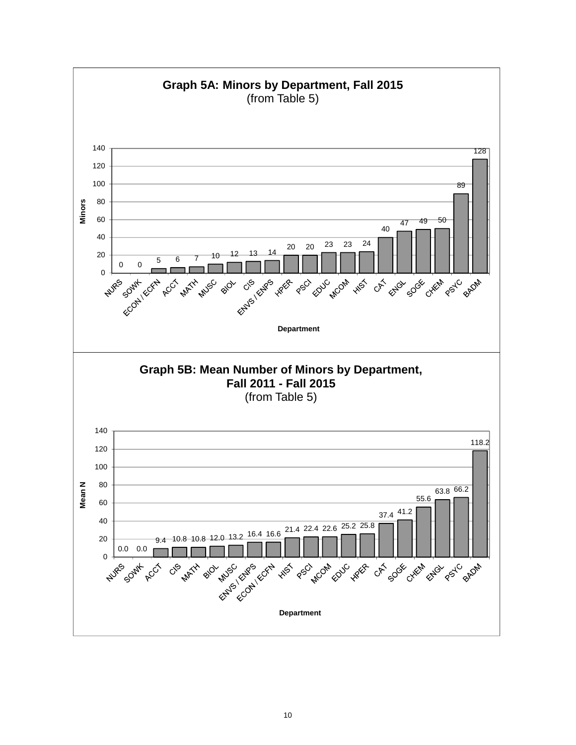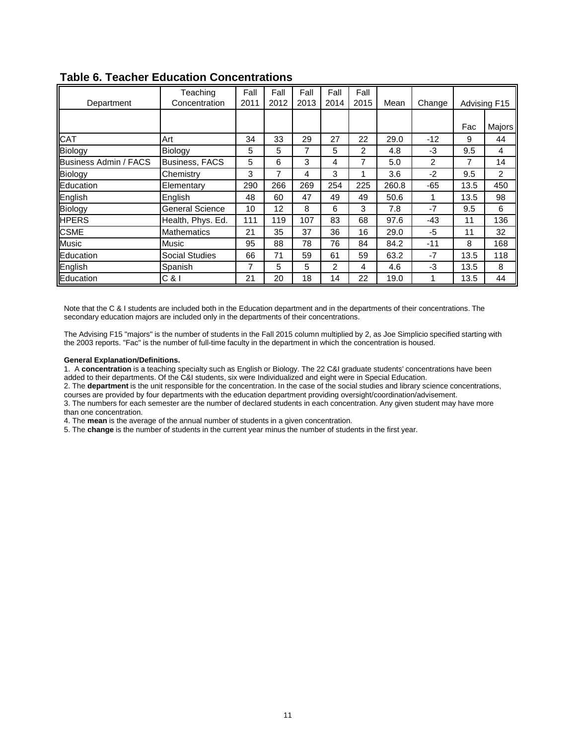| Department                   | Teaching<br>Concentration | Fall<br>2011 | Fall<br>2012 | Fall<br>2013 | Fall<br>2014 | Fall<br>2015   | Mean  | Change |      | Advising F15   |
|------------------------------|---------------------------|--------------|--------------|--------------|--------------|----------------|-------|--------|------|----------------|
|                              |                           |              |              |              |              |                |       |        |      |                |
|                              |                           |              |              |              |              |                |       |        | Fac  | Majors         |
| <b>CAT</b>                   | Art                       | 34           | 33           | 29           | 27           | 22             | 29.0  | $-12$  | 9    | 44             |
| Biology                      | Biology                   | 5            | 5            | 7            | 5            | $\overline{2}$ | 4.8   | $-3$   | 9.5  | 4              |
| <b>Business Admin / FACS</b> | <b>Business, FACS</b>     | 5            | 6            | 3            | 4            | 7              | 5.0   | 2      |      | 14             |
| Biology                      | Chemistry                 | 3            | 7            | 4            | 3            |                | 3.6   | $-2$   | 9.5  | $\overline{2}$ |
| Education                    | Elementary                | 290          | 266          | 269          | 254          | 225            | 260.8 | $-65$  | 13.5 | 450            |
| English                      | English                   | 48           | 60           | 47           | 49           | 49             | 50.6  | 1      | 13.5 | 98             |
| Biology                      | <b>General Science</b>    | 10           | 12           | 8            | 6            | 3              | 7.8   | $-7$   | 9.5  | 6              |
| <b>HPERS</b>                 | Health, Phys. Ed.         | 111          | 119          | 107          | 83           | 68             | 97.6  | $-43$  | 11   | 136            |
| <b>CSME</b>                  | <b>Mathematics</b>        | 21           | 35           | 37           | 36           | 16             | 29.0  | -5     | 11   | 32             |
| <b>Music</b>                 | Music                     | 95           | 88           | 78           | 76           | 84             | 84.2  | $-11$  | 8    | 168            |
| Education                    | <b>Social Studies</b>     | 66           | 71           | 59           | 61           | 59             | 63.2  | $-7$   | 13.5 | 118            |
| English                      | Spanish                   | 7            | 5            | 5            | 2            | 4              | 4.6   | -3     | 13.5 | 8              |
| Education                    | C &                       | 21           | 20           | 18           | 14           | 22             | 19.0  |        | 13.5 | 44             |

## **Table 6. Teacher Education Concentrations**

Note that the C & I students are included both in the Education department and in the departments of their concentrations. The secondary education majors are included only in the departments of their concentrations.

The Advising F15 "majors" is the number of students in the Fall 2015 column multiplied by 2, as Joe Simplicio specified starting with the 2003 reports. "Fac" is the number of full-time faculty in the department in which the concentration is housed.

#### **General Explanation/Definitions.**

1. A **concentration** is a teaching specialty such as English or Biology. The 22 C&I graduate students' concentrations have been added to their departments. Of the C&I students, six were Individualized and eight were in Special Education.

2. The **department** is the unit responsible for the concentration. In the case of the social studies and library science concentrations, courses are provided by four departments with the education department providing oversight/coordination/advisement.

3. The numbers for each semester are the number of declared students in each concentration. Any given student may have more than one concentration.

4. The **mean** is the average of the annual number of students in a given concentration.

5. The **change** is the number of students in the current year minus the number of students in the first year.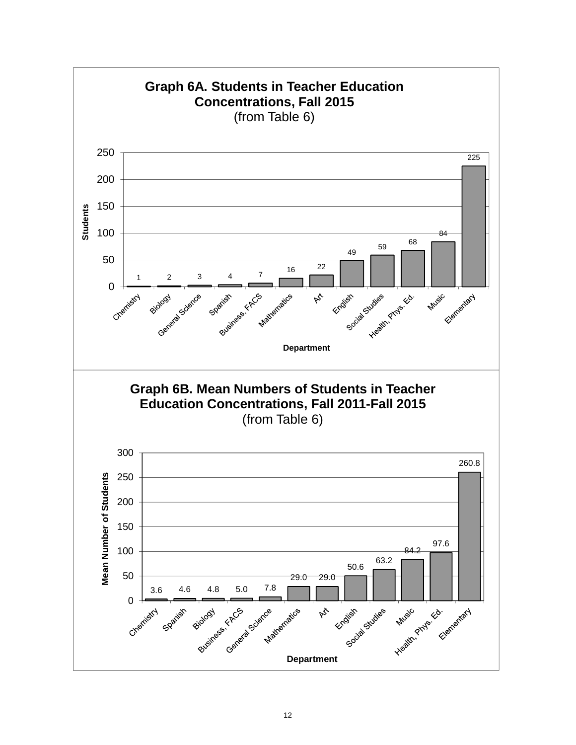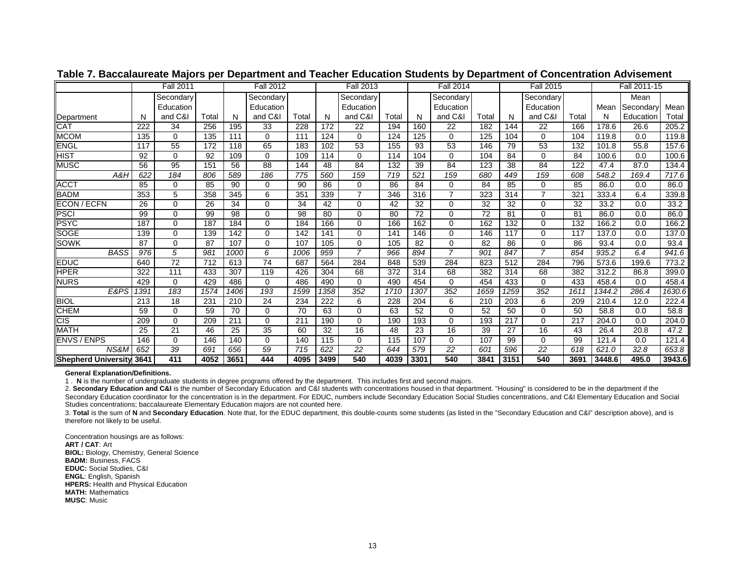|                                   |      | <b>Fall 2011</b> |       |      | <b>Fall 2012</b> |       |      | <b>Fall 2013</b> |       |      | <b>Fall 2014</b> |       |      | <b>Fall 2015</b> |                  |        | Fall 2011-15 |        |
|-----------------------------------|------|------------------|-------|------|------------------|-------|------|------------------|-------|------|------------------|-------|------|------------------|------------------|--------|--------------|--------|
|                                   |      | Secondary        |       |      | Secondary        |       |      | Secondary        |       |      | Secondary        |       |      | Secondary        |                  |        | Mean         |        |
|                                   |      | Education        |       |      | Education        |       |      | Education        |       |      | Education        |       |      | Education        |                  | Mean   | Secondary    | Mean   |
| Department                        | N    | and C&I          | Total | N    | and C&I          | Total | N    | and C&I          | Total | N    | and C&I          | Total |      | and C&I          | Total            | N      | Education    | Total  |
| <b>CAT</b>                        | 222  | 34               | 256   | 195  | 33               | 228   | 172  | 22               | 194   | 160  | 22               | 182   | 144  | $\overline{22}$  | 166              | 178.6  | 26.6         | 205.2  |
| <b>MCOM</b>                       | 135  | 0                | 135   | 111  | $\Omega$         | 111   | 124  | $\Omega$         | 124   | 125  | 0                | 125   | 104  | $\Omega$         | 104              | 119.8  | 0.0          | 119.8  |
| <b>ENGL</b>                       | 117  | 55               | 172   | 118  | 65               | 183   | 102  | $\overline{53}$  | 155   | 93   | 53               | 146   | 79   | 53               | 132              | 101.8  | 55.8         | 157.6  |
| HIST                              | 92   | 0                | 92    | 109  | $\mathbf 0$      | 109   | 114  | 0                | 114   | 104  | 0                | 104   | 84   | $\Omega$         | 84               | 100.6  | 0.0          | 100.6  |
| <b>MUSC</b>                       | 56   | 95               | 151   | 56   | 88               | 144   | 48   | 84               | 132   | 39   | 84               | 123   | 38   | 84               | 122              | 47.4   | 87.0         | 134.4  |
| A&H                               | 622  | 184              | 806   | 589  | 186              | 775   | 560  | 159              | 719   | 521  | 159              | 680   | 449  | 159              | 608              | 548.2  | 169.4        | 717.6  |
| <b>ACCT</b>                       | 85   | $\Omega$         | 85    | 90   | 0                | 90    | 86   | 0                | 86    | 84   | 0                | 84    | 85   | $\Omega$         | 85               | 86.0   | 0.0          | 86.0   |
| <b>BADM</b>                       | 353  | 5                | 358   | 345  | 6                | 351   | 339  | $\overline{7}$   | 346   | 316  | $\overline{7}$   | 323   | 314  | $\overline{7}$   | 321              | 333.4  | 6.4          | 339.8  |
| ECON / ECFN                       | 26   | 0                | 26    | 34   | $\Omega$         | 34    | 42   | $\Omega$         | 42    | 32   | 0                | 32    | 32   | $\Omega$         | 32               | 33.2   | 0.0          | 33.2   |
| <b>PSCI</b>                       | 99   | $\Omega$         | 99    | 98   | $\Omega$         | 98    | 80   | $\Omega$         | 80    | 72   | $\Omega$         | 72    | 81   | $\Omega$         | 81               | 86.0   | 0.0          | 86.0   |
| PSYC                              | 187  | 0                | 187   | 184  | $\Omega$         | 184   | 166  | 0                | 166   | 162  | 0                | 162   | 132  | $\Omega$         | 132              | 166.2  | 0.0          | 166.2  |
| <b>SOGE</b>                       | 139  | 0                | 139   | 142  | $\mathbf 0$      | 142   | 141  | $\mathbf 0$      | 141   | 146  | 0                | 146   | 117  | $\Omega$         | 117              | 137.0  | 0.0          | 137.0  |
| SOWK                              | 87   | $\Omega$         | 87    | 107  | $\Omega$         | 107   | 105  | $\Omega$         | 105   | 82   | $\Omega$         | 82    | 86   | $\Omega$         | 86               | 93.4   | 0.0          | 93.4   |
| <b>BASS</b>                       | 976  | 5                | 981   | 1000 | 6                | 1006  | 959  | $\overline{7}$   | 966   | 894  | $\overline{z}$   | 901   | 847  | $\overline{7}$   | 854              | 935.2  | 6.4          | 941.6  |
| <b>EDUC</b>                       | 640  | $\overline{72}$  | 712   | 613  | $\overline{74}$  | 687   | 564  | 284              | 848   | 539  | 284              | 823   | 512  | 284              | 796              | 573.6  | 199.6        | 773.2  |
| <b>HPER</b>                       | 322  | 111              | 433   | 307  | 119              | 426   | 304  | 68               | 372   | 314  | 68               | 382   | 314  | 68               | 382              | 312.2  | 86.8         | 399.0  |
| <b>NURS</b>                       | 429  | $\Omega$         | 429   | 486  | $\Omega$         | 486   | 490  | $\Omega$         | 490   | 454  | 0                | 454   | 433  | $\Omega$         | 433              | 458.4  | 0.0          | 458.4  |
| E&PS                              | 1391 | 183              | 1574  | 1406 | 193              | 1599  | 1358 | 352              | 1710  | 1307 | 352              | 1659  | 1259 | 352              | 1611             | 1344.2 | 286.4        | 1630.6 |
| <b>BIOL</b>                       | 213  | 18               | 231   | 210  | 24               | 234   | 222  | 6                | 228   | 204  | 6                | 210   | 203  | 6                | 209              | 210.4  | 12.0         | 222.4  |
| <b>CHEM</b>                       | 59   | 0                | 59    | 70   | 0                | 70    | 63   | 0                | 63    | 52   | 0                | 52    | 50   | $\Omega$         | 50               | 58.8   | 0.0          | 58.8   |
| <b>CIS</b>                        | 209  | 0                | 209   | 211  | $\mathbf 0$      | 211   | 190  | $\mathbf 0$      | 190   | 193  | $\Omega$         | 193   | 217  | $\Omega$         | $\overline{217}$ | 204.0  | 0.0          | 204.0  |
| <b>MATH</b>                       | 25   | 21               | 46    | 25   | 35               | 60    | 32   | 16               | 48    | 23   | 16               | 39    | 27   | 16               | 43               | 26.4   | 20.8         | 47.2   |
| <b>ENVS / ENPS</b>                | 146  | 0                | 146   | 140  | $\mathbf 0$      | 140   | 115  | $\mathbf 0$      | 115   | 107  | 0                | 107   | 99   | $\Omega$         | 99               | 121.4  | 0.0          | 121.4  |
| NS&M                              | 652  | $\overline{39}$  | 691   | 656  | 59               | 715   | 622  | $\overline{22}$  | 644   | 579  | 22               | 601   | 596  | 22               | 618              | 621.0  | 32.8         | 653.8  |
| <b>I</b> Shepherd University 3641 |      | 411              | 4052  | 3651 | 444              | 4095  | 3499 | 540              | 4039  | 3301 | 540              | 3841  | 3151 | 540              | 3691             | 3448.6 | 495.0        | 3943.6 |

### **Table 7. Baccalaureate Majors per Department and Teacher Education Students by Department of Concentration Advisement**

#### **General Explanation/Definitions.**

1 . **N** is the number of undergraduate students in degree programs offered by the department. This includes first and second majors.

2. **Secondary Education and C&I** is the number of Secondary Education and C&I students with concentrations housed in that department. "Housing" is considered to be in the department if the Secondary Education coordinator for the concentration is in the department. For EDUC, numbers include Secondary Education Social Studies concentrations, and C&I Elementary Education and Social Studies concentrations; baccalaureate Elementary Education majors are not counted here.

3. Total is the sum of N and Secondary Education. Note that, for the EDUC department, this double-counts some students (as listed in the "Secondary Education and C&I" description above), and is therefore not likely to be useful.

Concentration housings are as follows: **ART / CAT**: Art **BIOL:** Biology, Chemistry, General Science **BADM:** Business, FACS **EDUC:** Social Studies, C&I **ENGL**: English, Spanish **HPERS:** Health and Physical Education **MATH:** Mathematics**MUSC**: Music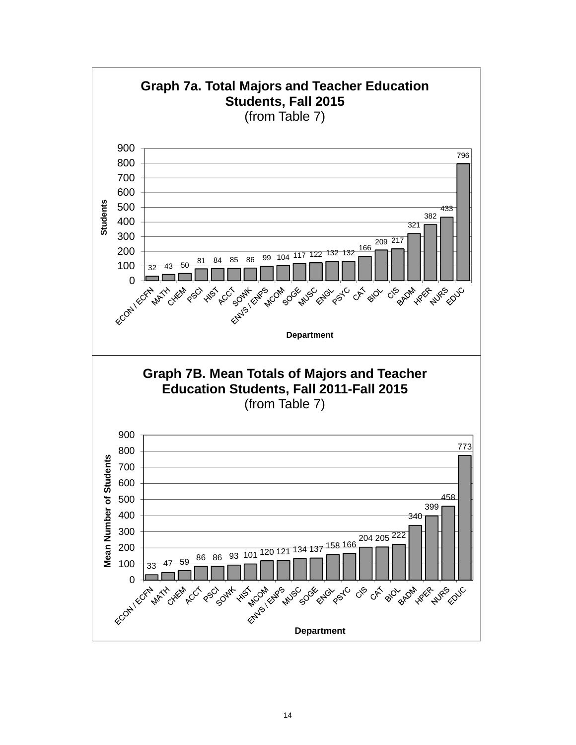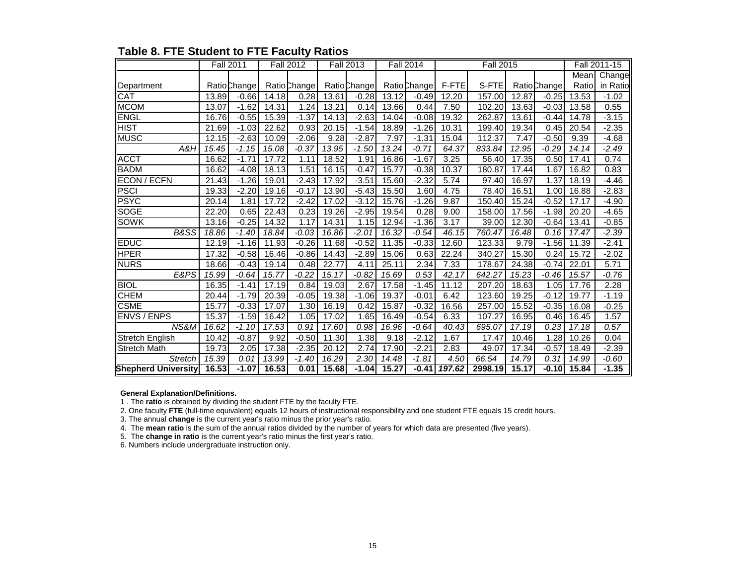|                            |       | <b>Fall 2011</b> |       | <b>Fall 2012</b> |       | <b>Fall 2013</b> |       | <b>Fall 2014</b> |        | <b>Fall 2015</b> |       |              |       | Fall 2011-15 |
|----------------------------|-------|------------------|-------|------------------|-------|------------------|-------|------------------|--------|------------------|-------|--------------|-------|--------------|
|                            |       |                  |       |                  |       |                  |       |                  |        |                  |       |              | Mean  | Change       |
| Department                 |       | Ratio Change     |       | Ratio Change     |       | Ratio Change     |       | Ratio Change     | F-FTE  | S-FTE            |       | Ratio Change | Ratio | in Ratio     |
| <b>CAT</b>                 | 13.89 | $-0.66$          | 14.18 | 0.28             | 13.61 | $-0.28$          | 13.12 | $-0.49$          | 12.20  | 157.00           | 12.87 | $-0.25$      | 13.53 | $-1.02$      |
| <b>MCOM</b>                | 13.07 | $-1.62$          | 14.31 | 1.24             | 13.21 | 0.14             | 13.66 | 0.44             | 7.50   | 102.20           | 13.63 | $-0.03$      | 13.58 | 0.55         |
| <b>ENGL</b>                | 16.76 | $-0.55$          | 15.39 | $-1.37$          | 14.13 | $-2.63$          | 14.04 | $-0.08$          | 19.32  | 262.87           | 13.61 | $-0.44$      | 14.78 | $-3.15$      |
| <b>HIST</b>                | 21.69 | $-1.03$          | 22.62 | 0.93             | 20.15 | $-1.54$          | 18.89 | $-1.26$          | 10.31  | 199.40           | 19.34 | 0.45         | 20.54 | $-2.35$      |
| <b>MUSC</b>                | 12.15 | $-2.63$          | 10.09 | $-2.06$          | 9.28  | $-2.87$          | 7.97  | $-1.31$          | 15.04  | 112.37           | 7.47  | $-0.50$      | 9.39  | $-4.68$      |
| A&H                        | 15.45 | $-1.15$          | 15.08 | $-0.37$          | 13.95 | $-1.50$          | 13.24 | $-0.71$          | 64.37  | 833.84           | 12.95 | $-0.29$      | 14.14 | $-2.49$      |
| <b>ACCT</b>                | 16.62 | $-1.71$          | 17.72 | 1.11             | 18.52 | 1.91             | 16.86 | $-1.67$          | 3.25   | 56.40            | 17.35 | 0.50         | 17.41 | 0.74         |
| <b>BADM</b>                | 16.62 | $-4.08$          | 18.13 | 1.51             | 16.15 | $-0.47$          | 15.77 | $-0.38$          | 10.37  | 180.87           | 17.44 | 1.67         | 16.82 | 0.83         |
| <b>ECON / ECFN</b>         | 21.43 | $-1.26$          | 19.01 | $-2.43$          | 17.92 | $-3.51$          | 15.60 | $-2.32$          | 5.74   | 97.40            | 16.97 | 1.37         | 18.19 | $-4.46$      |
| <b>PSCI</b>                | 19.33 | $-2.20$          | 19.16 | $-0.17$          | 13.90 | $-5.43$          | 15.50 | 1.60             | 4.75   | 78.40            | 16.51 | 1.00         | 16.88 | $-2.83$      |
| <b>PSYC</b>                | 20.14 | 1.81             | 17.72 | $-2.42$          | 17.02 | $-3.12$          | 15.76 | $-1.26$          | 9.87   | 150.40           | 15.24 | $-0.52$      | 17.17 | $-4.90$      |
| <b>SOGE</b>                | 22.20 | 0.65             | 22.43 | 0.23             | 19.26 | $-2.95$          | 19.54 | 0.28             | 9.00   | 158.00           | 17.56 | $-1.98$      | 20.20 | $-4.65$      |
| <b>SOWK</b>                | 13.16 | $-0.25$          | 14.32 | 1.17             | 14.31 | 1.15             | 12.94 | $-1.36$          | 3.17   | 39.00            | 12.30 | $-0.64$      | 13.41 | $-0.85$      |
| B&SS                       | 18.86 | $-1.40$          | 18.84 | $-0.03$          | 16.86 | $-2.01$          | 16.32 | $-0.54$          | 46.15  | 760.47           | 16.48 | 0.16         | 17.47 | $-2.39$      |
| <b>EDUC</b>                | 12.19 | $-1.16$          | 11.93 | $-0.26$          | 11.68 | $-0.52$          | 11.35 | $-0.33$          | 12.60  | 123.33           | 9.79  | $-1.56$      | 11.39 | $-2.41$      |
| <b>HPER</b>                | 17.32 | $-0.58$          | 16.46 | $-0.86$          | 14.43 | $-2.89$          | 15.06 | 0.63             | 22.24  | 340.27           | 15.30 | 0.24         | 15.72 | $-2.02$      |
| <b>NURS</b>                | 18.66 | $-0.43$          | 19.14 | 0.48             | 22.77 | 4.11             | 25.11 | 2.34             | 7.33   | 178.67           | 24.38 | $-0.74$      | 22.01 | 5.71         |
| E&PS                       | 15.99 | $-0.64$          | 15.77 | $-0.22$          | 15.17 | $-0.82$          | 15.69 | 0.53             | 42.17  | 642.27           | 15.23 | $-0.46$      | 15.57 | $-0.76$      |
| <b>BIOL</b>                | 16.35 | $-1.41$          | 17.19 | 0.84             | 19.03 | 2.67             | 17.58 | $-1.45$          | 11.12  | 207.20           | 18.63 | 1.05         | 17.76 | 2.28         |
| <b>CHEM</b>                | 20.44 | $-1.79$          | 20.39 | $-0.05$          | 19.38 | $-1.06$          | 19.37 | $-0.01$          | 6.42   | 123.60           | 19.25 | $-0.12$      | 19.77 | $-1.19$      |
| <b>CSME</b>                | 15.77 | $-0.33$          | 17.07 | 1.30             | 16.19 | 0.42             | 15.87 | $-0.32$          | 16.56  | 257.00           | 15.52 | $-0.35$      | 16.08 | $-0.25$      |
| ENVS / ENPS                | 15.37 | $-1.59$          | 16.42 | 1.05             | 17.02 | 1.65             | 16.49 | $-0.54$          | 6.33   | 107.27           | 16.95 | 0.46         | 16.45 | 1.57         |
| NS&M                       | 16.62 | $-1.10$          | 17.53 | 0.91             | 17.60 | 0.98             | 16.96 | $-0.64$          | 40.43  | 695.07           | 17.19 | 0.23         | 17.18 | 0.57         |
| <b>Stretch English</b>     | 10.42 | $-0.87$          | 9.92  | $-0.50$          | 11.30 | 1.38             | 9.18  | $-2.12$          | 1.67   | 17.47            | 10.46 | 1.28         | 10.26 | 0.04         |
| <b>Stretch Math</b>        | 19.73 | 2.05             | 17.38 | $-2.35$          | 20.12 | 2.74             | 17.90 | $-2.21$          | 2.83   | 49.07            | 17.34 | $-0.57$      | 18.49 | $-2.39$      |
| <b>Stretch</b>             | 15.39 | 0.01             | 13.99 | $-1.40$          | 16.29 | 2.30             | 14.48 | $-1.81$          | 4.50   | 66.54            | 14.79 | 0.31         | 14.99 | $-0.60$      |
| <b>Shepherd University</b> | 16.53 | $-1.07$          | 16.53 | 0.01             | 15.68 | $-1.04$          | 15.27 | $-0.41$          | 197.62 | 2998.19          | 15.17 | $-0.10$      | 15.84 | $-1.35$      |

# **Table 8. FTE Student to FTE Faculty Ratios**

#### **General Explanation/Definitions.**

1 . The **ratio** is obtained by dividing the student FTE by the faculty FTE.

2. One faculty **FTE** (full-time equivalent) equals 12 hours of instructional responsibility and one student FTE equals 15 credit hours.

3. The annual **change** is the current year's ratio minus the prior year's ratio.

4. The **mean ratio** is the sum of the annual ratios divided by the number of years for which data are presented (five years).

5. The **change in ratio** is the current year's ratio minus the first year's ratio.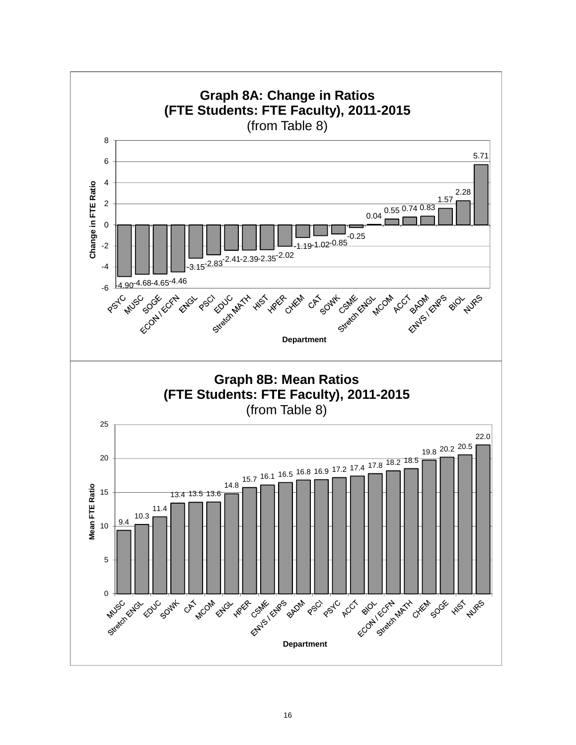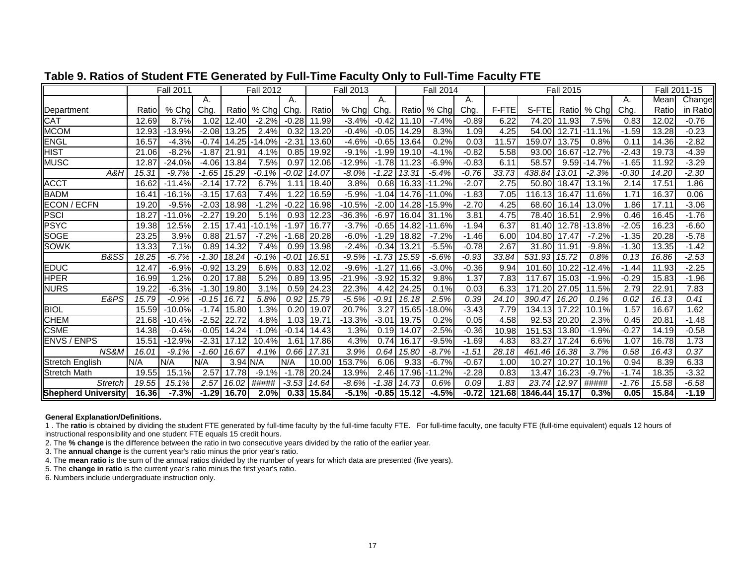|                            |       | <b>Fall 2011</b> |         |            | <b>Fall 2012</b> |           |                    | <b>Fall 2013</b> |             |               | <b>Fall 2014</b> |         |       |                | <b>Fall 2015</b>  |               |         |                   | Fall 2011-15 |
|----------------------------|-------|------------------|---------|------------|------------------|-----------|--------------------|------------------|-------------|---------------|------------------|---------|-------|----------------|-------------------|---------------|---------|-------------------|--------------|
|                            |       |                  | А.      |            |                  | А.        |                    |                  | Α.          |               |                  | А.      |       |                |                   |               | А.      | Mean              | Change       |
| Department                 | Ratio | % Chal           | Cha     | Ratio      | % Cha            | Chg.      | Ratio              | $%$ Cha          | Chg.        | Ratiol        | % Chal           | Chg     | F-FTE | S-FTEI         |                   | Ratio   % Cha | Chg.    | Ratio             | in Ratio     |
| <b>CAT</b>                 | 12.69 | 8.7%             | 1.02    | 12.40      | $-2.2%$          | $-0.28$   | 11.99              | $-3.4%$          | $-0.42$     | 11.10         | $-7.4%$          | $-0.89$ | 6.22  | 74.20          | 11.93             | 7.5%          | 0.83    | 12.02             | $-0.76$      |
| <b>MCOM</b>                | 12.93 | $-13.9%$         | $-2.08$ | 13.25      | 2.4%             | 0.32      | 13.20              | $-0.4%$          | $-0.05$     | 14.29         | 8.3%             | 1.09    | 4.25  | 54.00          | 12.7 <sup>′</sup> | $-11.1%$      | $-1.59$ | 13.28             | $-0.23$      |
| <b>ENGL</b>                | 16.57 | $-4.3%$          | $-0.74$ | 14.25      | $-14.0%$         | $-2.31$   | 13.60              | $-4.6%$          | $-0.65$     | 13.64         | 0.2%             | 0.03    | 11.57 | 159.07         | 13.75             | 0.8%          | 0.11    | 14.36             | $-2.82$      |
| <b>HIST</b>                | 21.06 | $-8.2%$          | $-1.87$ | 21.91      | 4.1%             | 0.85      | 19.92              | $-9.1%$          | $-1.99$     | 19.10         | $-4.1%$          | $-0.82$ | 5.58  | 93.00          | 16.67             | $-12.7%$      | $-2.43$ | 19.73             | $-4.39$      |
| <b>MUSC</b>                | 12.87 | $-24.0%$         | $-4.06$ | 13.84      | 7.5%             | 0.97      | 12.06              | $-12.9%$         | $-1.78$     | 11.23         | $-6.9%$          | $-0.83$ | 6.11  | 58.57          | 9.59              | $-14.7%$      | $-1.65$ | 11.92             | $-3.29$      |
| A&H                        | 15.31 | $-9.7%$          | $-1.65$ | 15.29      | $-0.1%$          | $-0.02$   | 14.07              | -8.0%            | $-1.22$     | 13.31         | $-5.4%$          | $-0.76$ | 33.73 | 438.84         | 13.01             | $-2.3%$       | $-0.30$ | 14.20             | $-2.30$      |
| <b>ACCT</b>                | 16.62 | $-11.4%$         | $-2.14$ | 17.72      | 6.7%             | 1.11      | 18.40              | 3.8%             | 0.68        | 16.33         | $-11.2%$         | $-2.07$ | 2.75  | 50.80          | 18.47             | 13.1%         | 2.14    | 17.5 <sup>4</sup> | 1.86         |
| <b>BADM</b>                | 16.41 | $-16.1%$         | $-3.15$ | 17.63      | 7.4%             | .22       | 16.59              | $-5.9%$          | $-1.04$     | 14.76         | $-11.0%$         | $-1.83$ | 7.05  | 116.13         | 16.47             | 11.6%         | 1.71    | 16.37             | 0.06         |
| <b>ECON / ECFN</b>         | 19.20 | $-9.5%$          | $-2.03$ | 18.98      | $-1.2%$          | $-0.22$   | 16.98              | $-10.5%$         | $-2.00$     | 14.28         | $-15.9%$         | $-2.70$ | 4.25  | 68.60          | 16.14             | 13.0%         | 1.86    | 17.11             | $-3.06$      |
| PSCI                       | 18.27 | $-11.0%$         | $-2.27$ | 19.20      | 5.1%             | 0.93      | 12.23              | $-36.3%$         | $-6.97$     | 16.04         | 31.1%            | 3.81    | 4.75  | 78.40          | 16.5'             | 2.9%          | 0.46    | 16.45             | $-1.76$      |
| <b>PSYC</b>                | 19.38 | 12.5%            | 2.15    | 17.41      | $-10.1%$         | $-1.97$   | 16.77              | $-3.7%$          | $-0.65$     | 14.82         | $-11.6%$         | $-1.94$ | 6.37  | 81.40          | 12.78             | $-13.8%$      | $-2.05$ | 16.23             | $-6.60$      |
| <b>SOGE</b>                | 23.25 | 3.9%             | 0.88    | 21.57      | $-7.2%$          | .68<br>-1 | 20.28              | $-6.0%$          | .29<br>$-1$ | 18.82         | $-7.2%$          | $-1.46$ | 6.00  | 104.80         | 17.47             | $-7.2%$       | $-1.35$ | 20.28             | $-5.78$      |
| <b>SOWK</b>                | 13.33 | 7.1%             | 0.89    | 14.32      | 7.4%             | 0.99      | 13.98              | $-2.4%$          | $-0.34$     | 13.21         | $-5.5%$          | $-0.78$ | 2.67  | 31.80          | 11.91             | $-9.8%$       | $-1.30$ | 13.35             | $-1.42$      |
| B&SS                       | 18.25 | $-6.7%$          | $-1.30$ | 18.24      | $-0.1%$          | $-0.01$   | 16.51              | $-9.5%$          | $-1.73$     | 15.59         | $-5.6%$          | $-0.93$ | 33.84 | 531.93         | 15.72             | 0.8%          | 0.13    | 16.86             | $-2.53$      |
| <b>EDUC</b>                | 12.47 | $-6.9%$          | $-0.92$ | 13.29      | 6.6%             | 0.83      | 12.02              | $-9.6%$          | $-1.27$     | 11.66         | $-3.0%$          | $-0.36$ | 9.94  | 101.60         | 10.22             | $-12.4%$      | $-1.44$ | 11.93             | $-2.25$      |
| <b>HPER</b>                | 16.99 | $1.2\%$          | 0.20    | 17.88      | 5.2%             | 0.89      | 13.95              | $-21.9%$         | $-3.92$     | 15.32         | 9.8%             | 1.37    | 7.83  | 117.67         | 15.03             | $-1.9%$       | $-0.29$ | 15.83             | $-1.96$      |
| <b>NURS</b>                | 19.22 | $-6.3%$          | $-1.30$ | 19.80      | 3.1%             | 0.59      | 24.23              | 22.3%            | 4.42        | 24.25         | 0.1%             | 0.03    | 6.33  | 171.20         | 27.05             | 11.5%         | 2.79    | 22.91             | 7.83         |
| E&PS                       | 15.79 | $-0.9%$          | $-0.15$ | 16.71      | 5.8%             | 0.92      | 15.79              | $-5.5%$          | $-0.91$     | 16.18         | 2.5%             | 0.39    | 24.10 | 390.47         | 16.20             | 0.1%          | 0.02    | 16.13             | 0.41         |
| <b>BIOL</b>                | 15.59 | $-10.0%$         | $-1.74$ | 15.80      | 1.3%             | 0.20      | 19.07              | 20.7%            | 3.27        | 15.65         | $-18.0%$         | $-3.43$ | 7.79  | 134.13         | 17.22             | 10.1%         | 1.57    | 16.67             | 1.62         |
| <b>CHEM</b>                | 21.68 | $-10.4%$         | $-2.52$ | 22.72      | 4.8%             | .03       | 19.71              | $-13.3%$         | $-3.01$     | 19.75         | 0.2%             | 0.05    | 4.58  | 92.53          | 20.20             | 2.3%          | 0.45    | 20.81             | $-1.48$      |
| <b>CSME</b>                | 14.38 | $-0.4%$          | $-0.05$ | 14.24      | $-1.0%$          | $-0.14$   | 14.43              | 1.3%             | 0.19        | 14.07         | $-2.5%$          | $-0.36$ | 10.98 | 151.53         | 13.80             | $-1.9%$       | $-0.27$ | 14.19             | $-0.58$      |
| <b>ENVS / ENPS</b>         | 15.51 | $-12.9%$         | $-2.31$ | 17.12      | 10.4%            | .61       | 17.86              | 4.3%             | 0.74        | 16.17         | $-9.5%$          | $-1.69$ | 4.83  | 83.27          | 17.24             | 6.6%          | 1.07    | 16.78             | 1.73         |
| NS&M                       | 16.01 | $-9.1%$          | $-1.60$ | 16.67      | 4.1%             | 0.66      | 17.31              | 3.9%             | 0.64        | 15.80         | $-8.7%$          | $-1.51$ | 28.18 | 461.46         | 16.38             | 3.7%          | 0.58    | 16.43             | 0.37         |
| <b>Stretch English</b>     | N/A   | N/A              | N/A     | $3.94$ N/A |                  | N/A       | 10.00              | 153.7%           | 6.06        | 9.33          | $-6.7%$          | $-0.67$ | 1.00  | 10.27          | 10.27             | 10.1%         | 0.94    | 8.39              | 6.33         |
| <b>Stretch Math</b>        | 19.55 | 15.1%            | 2.57    | 17.78      | $-9.1%$          | $-1.78$   | $\overline{20.24}$ | 13.9%            | 2.46        | 17.96         | $-11.2%$         | $-2.28$ | 0.83  | 13.47          | 16.23             | $-9.7%$       | $-1.74$ | 18.35             | $-3.32$      |
| <b>Stretch</b>             | 19.55 | 15.1%            | 2.57    | 16.02      | #####            | $-3.53$   | 14.64              | -8.6%            | $-1.38$     | 14.73         | 0.6%             | 0.09    | 1.83  | 23.74          | 12.97             | #####         | $-1.76$ | 15.58             | $-6.58$      |
| <b>Shepherd University</b> | 16.36 | $-7.3%$          | $-1.29$ | 16.70      | 2.0%             |           | $0.33$ 15.84       | $-5.1%$          |             | $-0.85$ 15.12 | $-4.5%$          | $-0.72$ |       | 121.68 1846.44 | 15.17             | 0.3%          | 0.05    | 15.84             | $-1.19$      |

## **Table 9. Ratios of Student FTE Generated by Full-Time Faculty Only to Full-Time Faculty FTE**

#### **General Explanation/Definitions.**

1 . The **ratio** is obtained by dividing the student FTE generated by full-time faculty by the full-time faculty FTE. For full-time faculty, one faculty FTE (full-time equivalent) equals 12 hours of instructional responsibility and one student FTE equals 15 credit hours.

2. The **% change** is the difference between the ratio in two consecutive years divided by the ratio of the earlier year.

3. The **annual change** is the current year's ratio minus the prior year's ratio.

4. The **mean ratio** is the sum of the annual ratios divided by the number of years for which data are presented (five years).

5. The **change in ratio** is the current year's ratio minus the first year's ratio.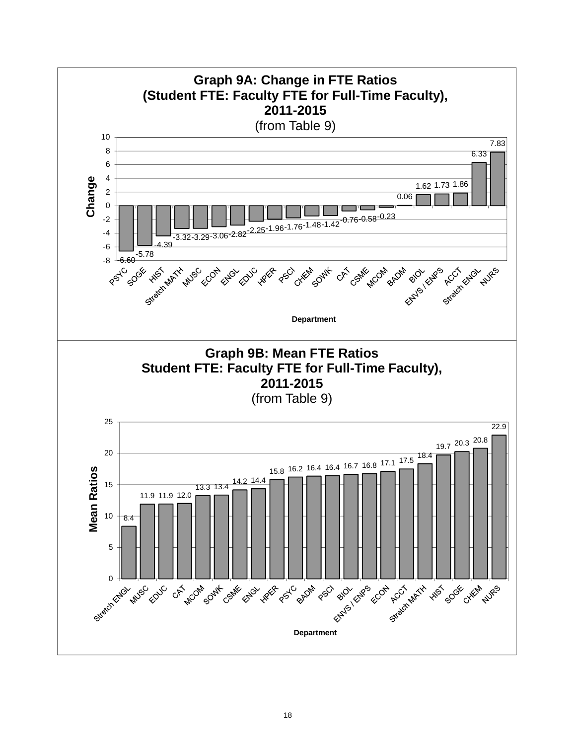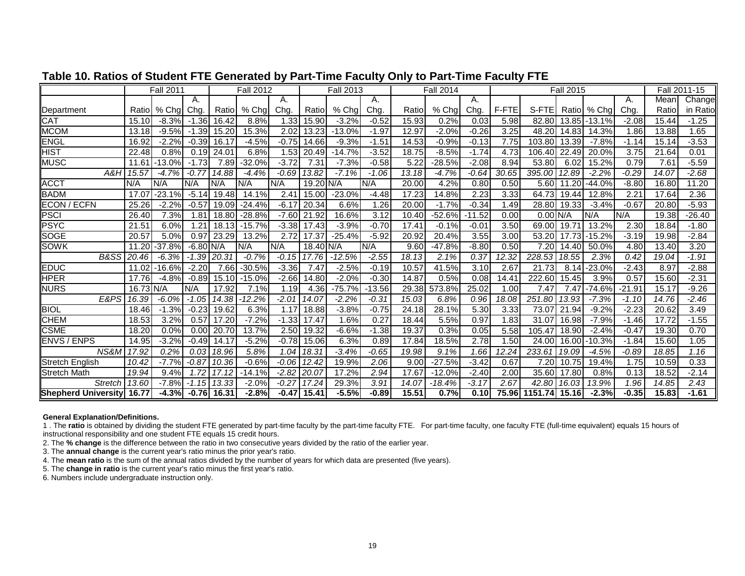|                           |                   | <b>Fall 2011</b> |             |        | <b>Fall 2012</b> |         |             | <b>Fall 2013</b> |          |       | <b>Fall 2014</b> |          |       |            | <b>Fall 2015</b> |             |          |       | Fall 2011-15 |
|---------------------------|-------------------|------------------|-------------|--------|------------------|---------|-------------|------------------|----------|-------|------------------|----------|-------|------------|------------------|-------------|----------|-------|--------------|
|                           |                   |                  | А.          |        |                  | Α.      |             |                  | А.       |       |                  | А.       |       |            |                  |             | А.       | Mean  | Change       |
| Department                | Ratiol            | % Cha            | Chg.        | Ratiol | % Chg            | Chg.    | Ratio       | % Chal           | Chg.     | Ratio | % Chal           | Chg.     | F-FTE | S-FTE      |                  | Ratio % Chg | Chg.     | Ratio | in Ratio     |
| CAT                       | 15.10             | $-8.3%$          | $-1.36$     | 16.42  | 8.8%             | 1.33    | 15.90       | $-3.2%$          | $-0.52$  | 15.93 | 0.2%             | 0.03     | 5.98  | 82.80      | 13.85            | $-13.1%$    | $-2.08$  | 15.44 | $-1.25$      |
| <b>MCOM</b>               | 13.18             | $-9.5%$          | $-1.39$     | 15.20  | 15.3%            | 2.02    | 13.23       | $-13.0%$         | $-1.97$  | 12.97 | $-2.0\%$         | $-0.26$  | 3.25  | 48.20      | 14.83            | 14.3%       | 1.86     | 13.88 | 1.65         |
| <b>ENGL</b>               | 16.92             | $-2.2%$          | $-0.39$     | 16.17  | $-4.5%$          | $-0.75$ | 14.66       | $-9.3%$          | $-1.51$  | 14.53 | $-0.9%$          | $-0.13$  | 7.75  | 103.80     | 13.39            | $-7.8%$     | $-1.14$  | 15.14 | $-3.53$      |
| <b>HIST</b>               | 22.48             | 0.8%             | 0.19        | 24.01  | 6.8%             | 1.53    | 20.49       | $-14.7%$         | $-3.52$  | 18.75 | $-8.5%$          | $-1.74$  | 4.73  | 106.40     | 22.49            | 20.0%       | 3.75     | 21.64 | 0.01         |
| <b>MUSC</b>               | 11.61             | $-13.0%$         | $-1.73$     | 7.89   | $-32.0%$         | $-3.72$ | 7.31        | $-7.3%$          | $-0.58$  | 5.22  | $-28.5%$         | $-2.08$  | 8.94  | 53.80      | 6.02             | 15.2%       | 0.79     | 7.61  | $-5.59$      |
| A&H                       | 15.57             | $-4.7%$          | $-0.77$     | 14.88  | $-4.4%$          | $-0.69$ | 13.82       | $-7.1%$          | $-1.06$  | 13.18 | $-4.7%$          | $-0.64$  | 30.65 | 395.00     | 12.89            | $-2.2%$     | $-0.29$  | 14.07 | $-2.68$      |
| <b>ACCT</b>               | N/A               | N/A              | N/A         | N/A    | N/A              | N/A     | $19.20$ N/A |                  | N/A      | 20.00 | 4.2%             | 0.80     | 0.50  | 5.60       | 11.20            | 44.0%       | $-8.80$  | 16.80 | 11.20        |
| <b>BADM</b>               | 17.07             | $-23.1%$         | $-5.14$     | 19.48  | 14.1%            | 2.41    | 15.00       | $-23.0%$         | $-4.48$  | 17.23 | 14.8%            | 2.23     | 3.33  | 64.73      | 19.44            | 12.8%       | 2.21     | 17.64 | 2.36         |
| <b>ECON / ECFN</b>        | 25.26             | $-2.2%$          | $-0.57$     | 19.09  | $-24.4%$         | $-6.17$ | 20.34       | 6.6%             | 1.26     | 20.00 | $-1.7%$          | $-0.34$  | 1.49  | 28.80      | 19.33            | $-3.4%$     | $-0.67$  | 20.80 | $-5.93$      |
| <b>PSCI</b>               | 26.40             | 7.3%             | 1.81        | 18.80  | $-28.8%$         | $-7.60$ | 21.92       | 16.6%            | 3.12     | 10.40 | $-52.6%$         | $-11.52$ | 0.00  | $0.00$ N/A |                  | IN/A        | N/A      | 19.38 | $-26.40$     |
| <b>PSYC</b>               | 21.5 <sup>′</sup> | 6.0%             | 1.21        | 18.13  | $-15.7%$         | $-3.38$ | 17.43       | $-3.9%$          | $-0.70$  | 17.41 | $-0.1%$          | $-0.01$  | 3.50  | 69.00      | 19.71            | 13.2%       | 2.30     | 18.84 | $-1.80$      |
| <b>SOGE</b>               | 20.57             | 5.0%             | 0.97        | 23.29  | 13.2%            | 2.72    | 17.37       | $-25.4%$         | $-5.92$  | 20.92 | 20.4%            | 3.55     | 3.00  | 53.20      | 17.73            | $-15.2%$    | $-3.19$  | 19.98 | $-2.84$      |
| <b>SOWK</b>               | 11.20             | $-37.8%$         | $-6.80$ N/A |        | N/A              | N/A     | 18.40       | N/A              | N/A      | 9.60  | $-47.8%$         | $-8.80$  | 0.50  | 7.20       | 14.40            | 50.0%       | 4.80     | 13.40 | 3.20         |
| B&SS                      | 20.46             | $-6.3%$          | $-1.39$     | 20.31  | $-0.7%$          | $-0.15$ | 17.76       | $-12.5%$         | $-2.55$  | 18.13 | 2.1%             | 0.37     | 12.32 | 228.53     | 18.55            | 2.3%        | 0.42     | 19.04 | $-1.91$      |
| <b>EDUC</b>               | 11.02             | $-16.6%$         | $-2.20$     | 7.66   | $-30.5%$         | $-3.36$ | 7.47        | $-2.5%$          | $-0.19$  | 10.57 | 41.5%            | 3.10     | 2.67  | 21.73      | 8.14             | $-23.0%$    | $-2.43$  | 8.97  | $-2.88$      |
| HPER                      | 17.76             | $-4.8%$          | $-0.89$     | 15.10  | $-15.0%$         | $-2.66$ | 14.80       | $-2.0%$          | $-0.30$  | 14.87 | 0.5%             | 0.08     | 14.41 | 222.60     | 15.45            | 3.9%        | 0.57     | 15.60 | $-2.31$      |
| <b>NURS</b>               | 16.73 N/A         |                  | N/A         | 17.92  | 7.1%             | 1.19    | 4.36        | $-75.7%$         | $-13.56$ | 29.38 | 573.8%           | 25.02    | 1.00  | 7.47       | 7.47             | $-74.6%$    | $-21.91$ | 15.17 | $-9.26$      |
| E&PS                      | 16.39             | $-6.0%$          | $-1.05$     | 14.38  | $-12.2\%$        | $-2.01$ | 14.07       | $-2.2%$          | $-0.31$  | 15.03 | 6.8%             | 0.96     | 18.08 | 251.80     | 13.93            | $-7.3%$     | $-1.10$  | 14.76 | $-2.46$      |
| <b>BIOL</b>               | 18.46             | $-1.3%$          | $-0.23$     | 19.62  | 6.3%             | 1.17    | 18.88       | $-3.8%$          | $-0.75$  | 24.18 | 28.1%            | 5.30     | 3.33  | 73.07      | 21.94            | $-9.2%$     | $-2.23$  | 20.62 | 3.49         |
| <b>CHEM</b>               | 18.53             | 3.2%             | 0.57        | 17.20  | $-7.2%$          | $-1.33$ | 17.47       | .6%              | 0.27     | 18.44 | 5.5%             | 0.97     | 1.83  | 31.07      | 16.98            | $-7.9%$     | $-1.46$  | 17.72 | $-1.55$      |
| <b>CSME</b>               | 18.20             | 0.0%             | 0.00        | 20.70  | 13.7%            | 2.50    | 19.32       | $-6.6%$          | $-1.38$  | 19.37 | 0.3%             | 0.05     | 5.58  | 105.47     | 18.90            | $-2.4%$     | $-0.47$  | 19.30 | 0.70         |
| <b>ENVS / ENPS</b>        | 14.95             | $-3.2%$          | $-0.49$     | 14.17  | $-5.2%$          | $-0.78$ | 15.06       | 6.3%             | 0.89     | 17.84 | 18.5%            | 2.78     | 1.50  | 24.00      | 16.00            | $-10.3%$    | $-1.84$  | 15.60 | 1.05         |
| NS&M                      | 17.92             | 0.2%             | 0.03        | 18.96  | 5.8%             | 1.04    | 18.31       | $-3.4%$          | $-0.65$  | 19.98 | 9.1%             | 1.66     | 12.24 | 233.61     | 19.09            | $-4.5%$     | $-0.89$  | 18.85 | 1.16         |
| <b>Stretch English</b>    | 10.42             | $-7.7%$          | $-0.87$     | 10.36  | $-0.6%$          | $-0.06$ | 12.42       | 19.9%            | 2.06     | 9.00  | $-27.5%$         | $-3.42$  | 0.67  | 7.20       | 10.75            | 19.4%       | 1.75     | 10.59 | 0.33         |
| <b>Stretch Math</b>       | 19.94             | 9.4%             | 1.72        | 17.12  | $-14.1%$         | $-2.82$ | 20.07       | 17.2%            | 2.94     | 17.67 | $-12.0%$         | $-2.40$  | 2.00  | 35.60      | 17.80            | 0.8%        | 0.13     | 18.52 | $-2.14$      |
| <b>Stretch</b>            | 13.60             | $-7.8%$          | -1.15       | 13.33  | $-2.0%$          | $-0.27$ | 17.24       | 29.3%            | 3.91     | 14.07 | $-18.4%$         | $-3.17$  | 2.67  | 42.80      | 16.03            | 13.9%       | 1.96     | 14.85 | 2.43         |
| Shepherd University 16.77 |                   | $-4.3%$          | $-0.76$     | 16.31  | $-2.8%$          | $-0.47$ | 15.41       | $-5.5%$          | $-0.89$  | 15.51 | 0.7%             | 0.10     | 75.96 | 1151.74    | 15.16            | $-2.3%$     | $-0.35$  | 15.83 | $-1.61$      |

## **Table 10. Ratios of Student FTE Generated by Part-Time Faculty Only to Part-Time Faculty FTE**

#### **General Explanation/Definitions.**

1 . The **ratio** is obtained by dividing the student FTE generated by part-time faculty by the part-time faculty FTE. For part-time faculty, one faculty FTE (full-time equivalent) equals 15 hours of instructional responsibility and one student FTE equals 15 credit hours.

2. The **% change** is the difference between the ratio in two consecutive years divided by the ratio of the earlier year.

3. The **annual change** is the current year's ratio minus the prior year's ratio.

4. The **mean ratio** is the sum of the annual ratios divided by the number of years for which data are presented (five years).

5. The **change in ratio** is the current year's ratio minus the first year's ratio.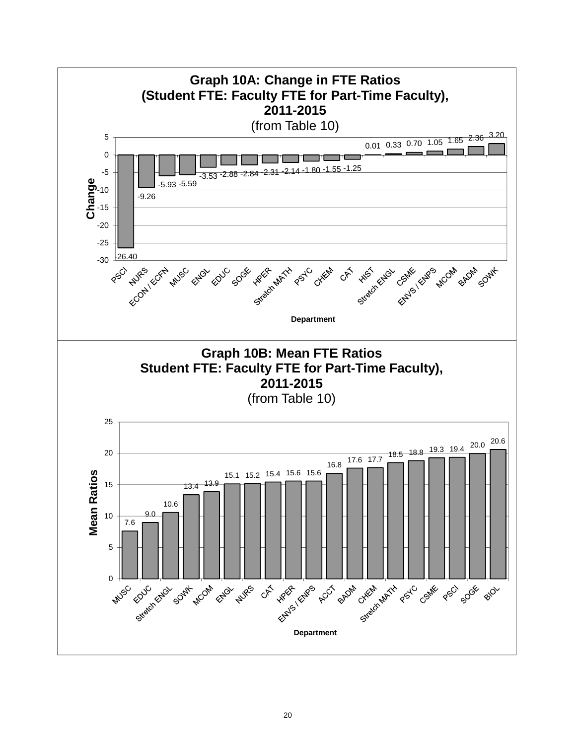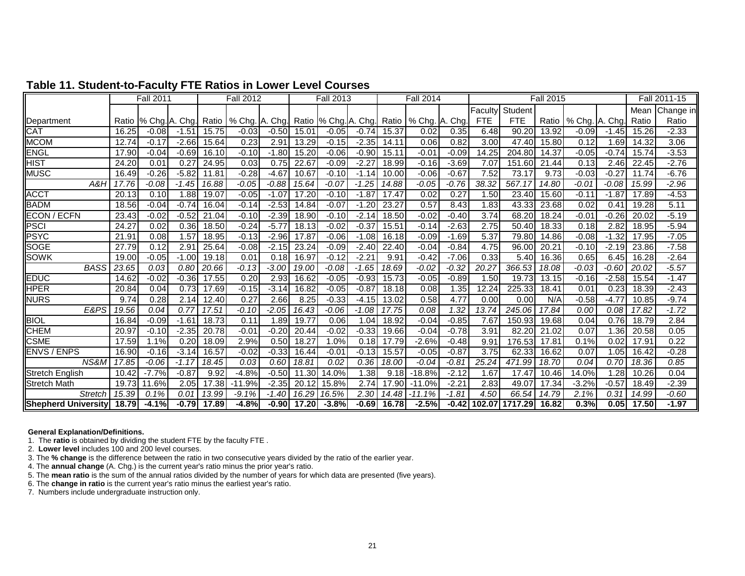|                           |       | <b>Fall 2011</b> |                |       | <b>Fall 2012</b>       |         |                    | <b>Fall 2013</b>     |         |       | <b>Fall 2014</b> |         |            |                        | <b>Fall 2015</b>   |                |         |       | Fall 2011-15 |
|---------------------------|-------|------------------|----------------|-------|------------------------|---------|--------------------|----------------------|---------|-------|------------------|---------|------------|------------------------|--------------------|----------------|---------|-------|--------------|
|                           |       |                  |                |       |                        |         |                    |                      |         |       |                  |         | Faculty    | Student                |                    |                |         | Mean  | Change in    |
| Department                | Ratio |                  | % Chg. A. Chg. |       | Ratio   % Chg. A. Chg. |         |                    | Ratio % Chg. A. Chg. |         | Ratio | % Chg. A. Chg.   |         | <b>FTE</b> | <b>FTE</b>             | Ratio              | % Chg. A. Chg. |         | Ratio | Ratio        |
| CAT                       | 16.25 | $-0.08$          | $-1.51$        | 15.75 | $-0.03$                | $-0.50$ | 15.01              | $-0.05$              | $-0.74$ | 15.37 | 0.02             | 0.35    | 6.48       | 90.20                  | 13.92              | $-0.09$        | $-1.45$ | 15.26 | $-2.33$      |
| <b>MCOM</b>               | 12.74 | $-0.17$          | $-2.66$        | 15.64 | 0.23                   | 2.91    | 13.29              | $-0.15$              | $-2.35$ | 14.11 | 0.06             | 0.82    | 3.00       | 47.40                  | 15.80              | 0.12           | 1.69    | 14.32 | 3.06         |
| <b>ENGL</b>               | 17.90 | $-0.04$          | $-0.69$        | 16.10 | $-0.10$                | $-1.80$ | 15.20              | $-0.06$              | $-0.90$ | 15.11 | $-0.01$          | $-0.09$ | 14.25      | 204.80                 | 14.37              | $-0.05$        | $-0.74$ | 15.74 | $-3.53$      |
| <b>HIST</b>               | 24.20 | 0.01             | 0.27           | 24.95 | 0.03                   | 0.75    | 22.67              | $-0.09$              | $-2.27$ | 18.99 | $-0.16$          | $-3.69$ | 7.07       | 151.60                 | $\overline{21.44}$ | 0.13           | 2.46    | 22.45 | $-2.76$      |
| <b>MUSC</b>               | 16.49 | $-0.26$          | $-5.82$        | 11.81 | $-0.28$                | $-4.67$ | 10.67              | $-0.10$              | $-1.14$ | 10.00 | $-0.06$          | $-0.67$ | 7.52       | 73.17                  | 9.73               | $-0.03$        | $-0.27$ | 11.74 | $-6.76$      |
| A&H                       | 17.76 | $-0.08$          | $-1.45$        | 16.88 | $-0.05$                | $-0.88$ | 15.64              | $-0.07$              | $-1.25$ | 14.88 | $-0.05$          | $-0.76$ | 38.32      | 567.17                 | 14.80              | $-0.01$        | $-0.08$ | 15.99 | $-2.96$      |
| <b>ACCT</b>               | 20.13 | 0.10             | 1.88           | 19.07 | $-0.05$                | $-1.07$ | $\overline{17.20}$ | $-0.10$              | $-1.87$ | 17.47 | 0.02             | 0.27    | 1.50       | 23.40                  | 15.60              | $-0.11$        | $-1.87$ | 17.89 | $-4.53$      |
| <b>BADM</b>               | 18.56 | $-0.04$          | $-0.74$        | 16.04 | $-0.14$                | $-2.53$ | 14.84              | $-0.07$              | $-1.20$ | 23.27 | 0.57             | 8.43    | 1.83       | 43.33                  | 23.68              | 0.02           | 0.41    | 19.28 | 5.11         |
| <b>ECON / ECFN</b>        | 23.43 | $-0.02$          | $-0.52$        | 21.04 | $-0.10$                | $-2.39$ | 18.90              | $-0.10$              | $-2.14$ | 18.50 | $-0.02$          | $-0.40$ | 3.74       | 68.20                  | 18.24              | $-0.01$        | $-0.26$ | 20.02 | $-5.19$      |
| <b>PSCI</b>               | 24.27 | 0.02             | 0.36           | 18.50 | $-0.24$                | $-5.77$ | 18.13              | $-0.02$              | $-0.37$ | 15.51 | $-0.14$          | $-2.63$ | 2.75       | 50.40                  | 18.33              | 0.18           | 2.82    | 18.95 | $-5.94$      |
| <b>PSYC</b>               | 21.91 | 0.08             | 1.57           | 18.95 | $-0.13$                | $-2.96$ | 17.87              | $-0.06$              | $-1.08$ | 16.18 | $-0.09$          | $-1.69$ | 5.37       | 79.80                  | 14.86              | $-0.08$        | $-1.32$ | 17.95 | $-7.05$      |
| <b>SOGE</b>               | 27.79 | 0.12             | 2.91           | 25.64 | $-0.08$                | $-2.15$ | 23.24              | $-0.09$              | $-2.40$ | 22.40 | $-0.04$          | $-0.84$ | 4.75       | 96.00                  | 20.21              | $-0.10$        | $-2.19$ | 23.86 | $-7.58$      |
| <b>SOWK</b>               | 19.00 | $-0.05$          | $-1.00$        | 19.18 | 0.01                   | 0.18    | 16.97              | $-0.12$              | $-2.21$ | 9.91  | $-0.42$          | $-7.06$ | 0.33       | 5.40                   | 16.36              | 0.65           | 6.45    | 16.28 | $-2.64$      |
| <b>BASS</b>               | 23.65 | 0.03             | 0.80           | 20.66 | $-0.13$                | $-3.00$ | 19.00              | $-0.08$              | $-1.65$ | 18.69 | $-0.02$          | $-0.32$ | 20.27      | 366.53                 | 18.08              | $-0.03$        | -0.60   | 20.02 | $-5.57$      |
| <b>EDUC</b>               | 14.62 | $-0.02$          | $-0.36$        | 17.55 | 0.20                   | 2.93    | 16.62              | $-0.05$              | $-0.93$ | 15.73 | $-0.05$          | $-0.89$ | 1.50       | 19.73                  | 13.15              | $-0.16$        | $-2.58$ | 15.54 | $-1.47$      |
| <b>HPER</b>               | 20.84 | 0.04             | 0.73           | 17.69 | $-0.15$                | $-3.14$ | 16.82              | -0.05                | $-0.87$ | 18.18 | 0.08             | 1.35    | 12.24      | 225.33                 | 18.41              | 0.01           | 0.23    | 18.39 | $-2.43$      |
| <b>NURS</b>               | 9.74  | 0.28             | 2.14           | 12.40 | 0.27                   | 2.66    | 8.25               | $-0.33$              | $-4.15$ | 13.02 | 0.58             | 4.77    | 0.00       | 0.00                   | N/A                | $-0.58$        | $-4.7$  | 10.85 | $-9.74$      |
| E&PS                      | 19.56 | 0.04             | 0.77           | 17.51 | $-0.10$                | $-2.05$ | 16.43              | $-0.06$              | $-1.08$ | 17.75 | 0.08             | 1.32    | 13.74      | 245.06                 | 17.84              | 0.00           | 0.08    | 17.82 | $-1.72$      |
| <b>BIOL</b>               | 16.84 | $-0.09$          | $-1.61$        | 18.73 | 0.11                   | 1.89    | 19.77              | 0.06                 | 1.04    | 18.92 | $-0.04$          | $-0.85$ | 7.67       | 150.93                 | 19.68              | 0.04           | 0.76    | 18.79 | 2.84         |
| <b>CHEM</b>               | 20.97 | $-0.10$          | $-2.35$        | 20.78 | $-0.01$                | $-0.20$ | 20.44              | $-0.02$              | $-0.33$ | 19.66 | $-0.04$          | $-0.78$ | 3.91       | 82.20                  | 21.02              | 0.07           | 1.36    | 20.58 | 0.05         |
| <b>CSME</b>               | 17.59 | 1.1%             | 0.20           | 18.09 | 2.9%                   | 0.50    | 18.27              | 1.0%                 | 0.18    | 17.79 | $-2.6%$          | $-0.48$ | 9.91       | 176.53                 | 17.81              | 0.1%           | 0.02    | 17.91 | 0.22         |
| <b>ENVS / ENPS</b>        | 16.90 | $-0.16$          | $-3.14$        | 16.57 | $-0.02$                | $-0.33$ | 16.44              | $-0.01$              | $-0.13$ | 15.57 | $-0.05$          | $-0.87$ | 3.75       | 62.33                  | 16.62              | 0.07           | 1.05    | 16.42 | $-0.28$      |
| NS&M                      | 17.85 | $-0.06$          | $-1.17$        | 18.45 | 0.03                   | 0.60    | 18.81              | 0.02                 | 0.36    | 18.00 | $-0.04$          | $-0.81$ | 25.24      | 471.99                 | 18.70              | 0.04           | 0.70    | 18.36 | 0.85         |
| <b>Stretch English</b>    | 10.42 | $-7.7%$          | $-0.87$        | 9.92  | $-4.8%$                | $-0.50$ | 11.30              | 14.0%                | 1.38    | 9.18  | $-18.8%$         | $-2.12$ | 1.67       | 17.47                  | 10.46              | 14.0%          | 1.28    | 10.26 | 0.04         |
| <b>Stretch Math</b>       | 19.73 | 11.6%            | 2.05           | 17.38 | $-11.9%$               | $-2.35$ | 20.12              | 15.8%                | 2.74    | 17.90 | $-11.0%$         | $-2.21$ | 2.83       | 49.07                  | 17.34              | $-3.2%$        | $-0.57$ | 18.49 | $-2.39$      |
| <b>Stretch</b>            | 15.39 | 0.1%             | 0.01           | 13.99 | $-9.1%$                | $-1.40$ | 16.29              | 16.5%                | 2.30    | 14.48 | $-11.1%$         | $-1.81$ | 4.50       | 66.54                  | 14.79              | 2.1%           | 0.31    | 14.99 | $-0.60$      |
| Shepherd University 18.79 |       | $-4.1%$          | $-0.79$        | 17.89 | $-4.8%$                | $-0.90$ | 17.20              | $-3.8%$              | $-0.69$ | 16.78 | $-2.5%$          |         |            | $-0.42$ 102.07 1717.29 | 16.82              | 0.3%           | 0.05    | 17.50 | $-1.97$      |

## **Table 11. Student-to-Faculty FTE Ratios in Lower Level Courses**

**General Explanation/Definitions.**

1. The **ratio** is obtained by dividing the student FTE by the faculty FTE .

2. **Lower level** includes 100 and 200 level courses.

3. The **% change** is the difference between the ratio in two consecutive years divided by the ratio of the earlier year.

4. The **annual change** (A. Chg.) is the current year's ratio minus the prior year's ratio.

5. The **mean ratio** is the sum of the annual ratios divided by the number of years for which data are presented (five years).

6. The **change in ratio** is the current year's ratio minus the earliest year's ratio.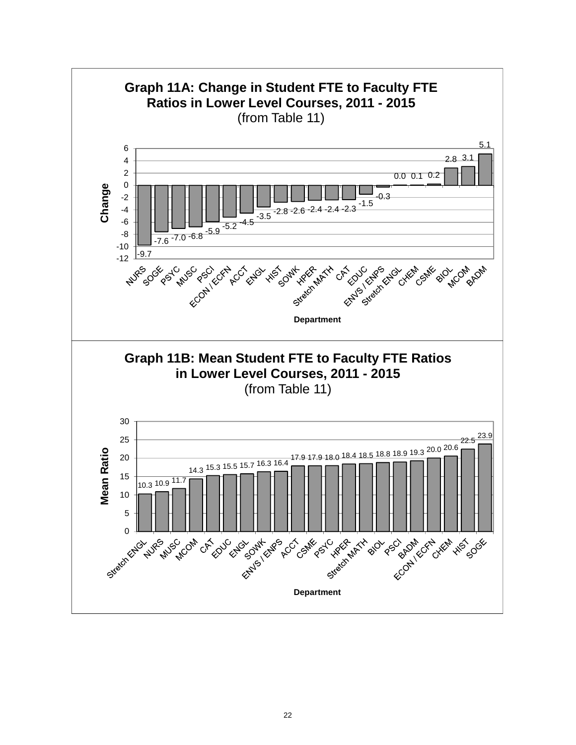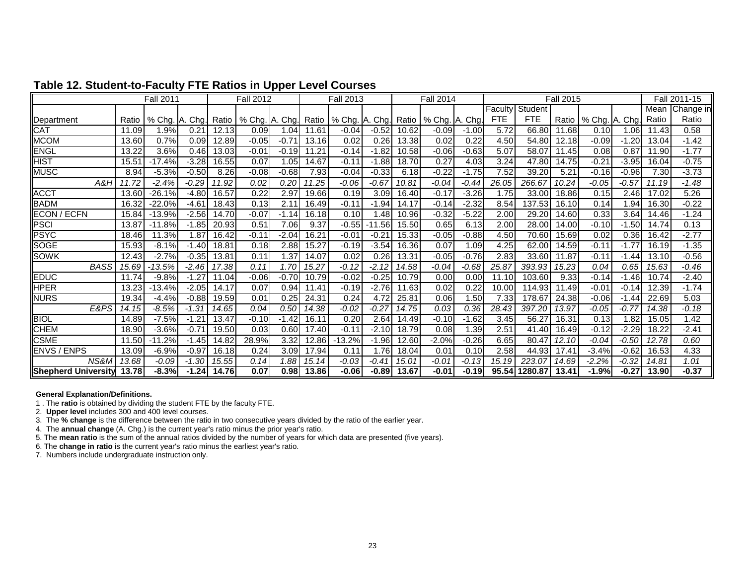|                            |       | <b>Fall 2011</b> |               |           | <b>Fall 2012</b> |         |       | <b>Fall 2013</b> |          |       | <b>Fall 2014</b> |         |                |               | <b>Fall 2015</b> |                        |         |       | Fall 2011-15 |
|----------------------------|-------|------------------|---------------|-----------|------------------|---------|-------|------------------|----------|-------|------------------|---------|----------------|---------------|------------------|------------------------|---------|-------|--------------|
|                            |       |                  |               |           |                  |         |       |                  |          |       |                  |         | <b>Faculty</b> | Student       |                  |                        |         | Mean  | Change in    |
| Department                 | Ratio | % Chg.           | . Cha.<br>IA. | Ratio     | % Chg. A. Chg.   |         | Ratio | % Chg. A. Chg.   |          | Ratio | % Chg. A. Chg.   |         | <b>FTE</b>     | <b>FTE</b>    |                  | Ratio   % Chg. A. Chg. |         | Ratio | Ratio        |
| CAT                        | 11.09 | 1.9%             | 0.21          | 12.13     | 0.09             | 1.04    | 11.61 | -0.04            | $-0.52$  | 10.62 | $-0.09$          | $-1.00$ | 5.72           | 66.80         | 11.68            | 0.10                   | 1.06    | 11.43 | 0.58         |
| <b>MCOM</b>                | 13.60 | 0.7%             | 0.09          | 12.89     | $-0.05$          | $-0.71$ | 13.16 | 0.02             | 0.26     | 13.38 | 0.02             | 0.22    | 4.50           | 54.80         | 12.18            | $-0.09$                | $-1.20$ | 13.04 | $-1.42$      |
| <b>ENGL</b>                | 13.22 | 3.6%             | 0.46          | 13.03     | $-0.01$          | $-0.19$ | 11.21 | $-0.14$          | $-1.82$  | 10.58 | $-0.06$          | $-0.63$ | 5.07           | 58.07         | 1.45             | 0.08                   | 0.87    | 11.90 | $-1.77$      |
| HIST                       | 15.51 | $-17.4%$         | $-3.28$       | 16.55     | 0.07             | 1.05    | 14.67 | -0.11            | $-1.88$  | 18.70 | 0.27             | 4.03    | 3.24           | 47.80         | 14.75            | $-0.21$                | $-3.95$ | 16.04 | $-0.75$      |
| <b>MUSC</b>                | 8.94  | $-5.3%$          | $-0.50$       | 8.26      | $-0.08$          | $-0.68$ | 7.93  | $-0.04$          | $-0.33$  | 6.18  | $-0.22$          | $-1.75$ | 7.52           | 39.20         | 5.21             | $-0.16$                | $-0.96$ | 7.30  | $-3.73$      |
| A&H                        | . 72  | -2.4%            | $-0.29$       | 11.92     | 0.02             | 0.20    | 11.25 | $-0.06$          | $-0.67$  | 10.81 | $-0.04$          | $-0.44$ | 26.05          | 266.67        | 10.24            | $-0.05$                | $-0.57$ | 11.19 | $-1.48$      |
| <b>ACCT</b>                | 13.60 | $-26.1%$         | $-4.80$       | 16.57     | 0.22             | 2.97    | 19.66 | 0.19             | 3.09     | 16.40 | $-0.17$          | $-3.26$ | 1.75           | 33.00         | 18.86            | 0.15                   | 2.46    | 17.02 | 5.26         |
| BADM                       | 16.32 | $-22.0%$         | $-4.61$       | 18.43     | 0.13             | 2.11    | 16.49 | $-0.11$          | $-1.94$  | 14.17 | $-0.14$          | $-2.32$ | 8.54           | 137.53        | 16.10            | 0.14                   | 1.94    | 16.30 | $-0.22$      |
| <b>ECON / ECFN</b>         | 15.84 | $-13.9%$         | $-2.56$       | 14.70     | $-0.07$          | $-1.14$ | 16.18 | 0.10             | 1.48     | 10.96 | $-0.32$          | $-5.22$ | 2.00           | 29.20         | 14.60            | 0.33                   | 3.64    | 14.46 | $-1.24$      |
| PSCI                       | 13.87 | $-11.8%$         | $-1.85$       | 20.93     | 0.51             | 7.06    | 9.37  | $-0.55$          | $-11.56$ | 15.50 | 0.65             | 6.13    | 2.00           | 28.00         | 14.00            | $-0.10$                | $-1.50$ | 14.74 | 0.13         |
| <b>PSYC</b>                | 18.46 | 11.3%            | 1.87          | 16.42     | $-0.11$          | $-2.04$ | 16.21 | -0.01            | $-0.21$  | 15.33 | $-0.05$          | $-0.88$ | 4.50           | 70.60         | 15.69            | 0.02                   | 0.36    | 16.42 | $-2.77$      |
| <b>SOGE</b>                | 15.93 | $-8.1%$          | $-1.40$       | 18.81     | 0.18             | 2.88    | 15.27 | $-0.19$          | $-3.54$  | 16.36 | 0.07             | 1.09    | 4.25           | 62.00         | 14.59            | $-0.11$                | $-1.77$ | 16.19 | $-1.35$      |
| <b>SOWK</b>                | 12.43 | $-2.7%$          | $-0.35$       | 3.81<br>1 | 0.11             | 1.37    | 14.07 | 0.02             | 0.26     | 13.31 | $-0.05$          | $-0.76$ | 2.83           | 33.60         | 11.87            | $-0.11$                | -1.44   | 13.10 | $-0.56$      |
| <b>BASS</b>                | 15.69 | $-13.5%$         | $-2.46$       | 17.38     | 0.11             | 1.70    | 15.27 | -0.12            | $-2.12$  | 14.58 | -0.04            | -0.68   | 25.87          | 393.93        | 15.23            | 0.04                   | 0.65    | 15.63 | $-0.46$      |
| <b>EDUC</b>                | 11.74 | $-9.8%$          | $-1.27$       | 1.04      | $-0.06$          | $-0.70$ | 10.79 | $-0.02$          | $-0.25$  | 10.79 | 0.00             | 0.00    | 11.10          | 103.60        | 9.33             | $-0.14$                | -1.461  | 10.74 | $-2.40$      |
| <b>HPER</b>                | 13.23 | $-13.4%$         | $-2.05$       | 14.17     | 0.07             | 0.94    | 11.41 | $-0.19$          | $-2.76$  | 11.63 | 0.02             | 0.22    | 10.00          | 114.93        | 11.49            | $-0.01$                | $-0.14$ | 12.39 | $-1.74$      |
| <b>NURS</b>                | 19.34 | $-4.4%$          | $-0.88$       | 19.59     | 0.01             | 0.25    | 24.31 | 0.24             | 4.72     | 25.81 | 0.06             | 1.50    | 7.33           | 178.67        | 24.38            | $-0.06$                | $-1.44$ | 22.69 | 5.03         |
| E&PS                       | 14.15 | $-8.5%$          | $-1.31$       | 14.65     | 0.04             | 0.50    | 14.38 | -0.02            | $-0.27$  | 14.75 | 0.03             | 0.36    | 28.43          | 397.20        | 13.97            | $-0.05$                | $-0.77$ | 14.38 | -0.18        |
| <b>BIOL</b>                | 14.89 | $-7.5%$          | $-1.21$       | 13.47     | $-0.10$          | $-1.42$ | 16.11 | 0.20             | 2.64     | 14.49 | $-0.10$          | $-1.62$ | 3.45           | 56.27         | 16.31            | 0.13                   | 1.82    | 15.05 | 1.42         |
| <b>CHEM</b>                | 18.90 | $-3.6%$          | $-0.71$       | 19.50     | 0.03             | 0.60    | 17.40 | $-0.11$          | $-2.10$  | 18.79 | 0.08             | 1.39    | 2.51           | 41.40         | 16.49            | $-0.12$                | $-2.29$ | 18.22 | $-2.41$      |
| <b>CSME</b>                | 11.50 | $-11.2%$         | $-1.45$       | 14.82     | 28.9%            | 3.32    | 12.86 | 13.2%            | $-1.96$  | 12.60 | $-2.0%$          | $-0.26$ | 6.65           | 80.47         | 12.10            | $-0.04$                | $-0.50$ | 12.78 | 0.60         |
| <b>ENVS / ENPS</b>         | 13.09 | $-6.9%$          | $-0.97$       | 16.18     | 0.24             | 3.09    | 17.94 | 0.11             | 1.76     | 18.04 | 0.01             | 0.10    | 2.58           | 44.93         | 17.41            | $-3.4%$                | $-0.62$ | 16.53 | 4.33         |
| NS&M                       | 13.68 | $-0.09$          | $-1.30$       | 15.55     | 0.14             | 1.88    | 15.14 | -0.03            | $-0.41$  | 15.01 | $-0.01$          | $-0.13$ | 15.19          | 223.07        | 14.69            | $-2.2%$                | $-0.32$ | 14.81 | 1.01         |
| <b>Shepherd University</b> | 13.78 | $-8.3%$          | $-1.24$       | 14.76     | 0.07             | 0.98    | 13.86 | $-0.06$          | $-0.89$  | 13.67 | $-0.01$          | $-0.19$ |                | 95.54 1280.87 | 13.41            | $-1.9%$                | $-0.27$ | 13.90 | $-0.37$      |

## **Table 12. Student-to-Faculty FTE Ratios in Upper Level Courses**

#### **General Explanation/Definitions.**

1 . The **ratio** is obtained by dividing the student FTE by the faculty FTE.

2. **Upper level** includes 300 and 400 level courses.

3. The **% change** is the difference between the ratio in two consecutive years divided by the ratio of the earlier year.

4. The **annual change** (A. Chg.) is the current year's ratio minus the prior year's ratio.

5. The **mean ratio** is the sum of the annual ratios divided by the number of years for which data are presented (five years).

6. The **change in ratio** is the current year's ratio minus the earliest year's ratio.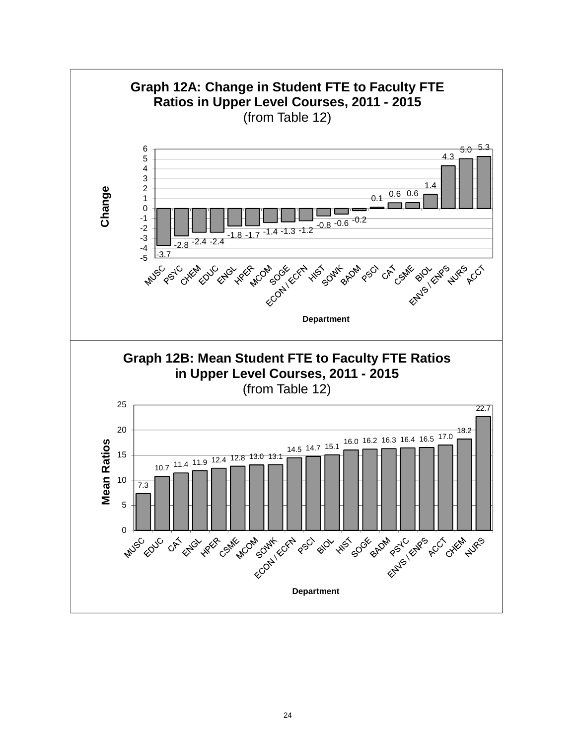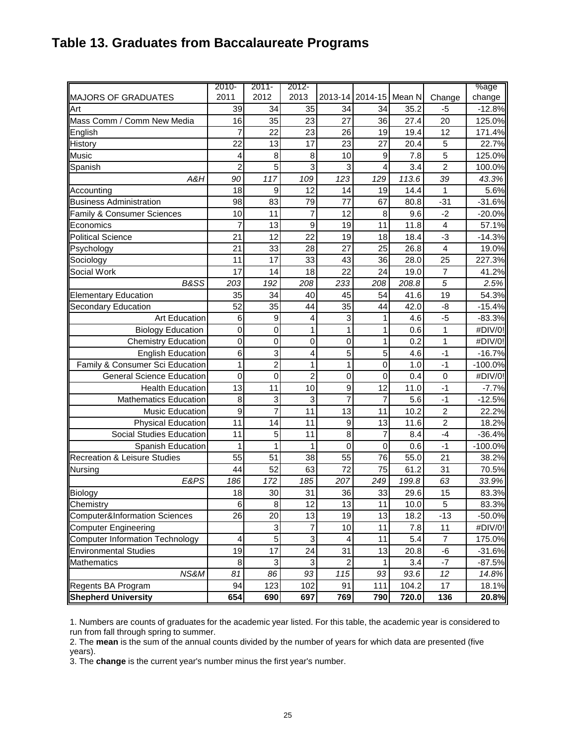# **Table 13. Graduates from Baccalaureate Programs**

|                                          | 2010-          | $2011 -$       | 2012-           |                |                |        |                         | %age      |
|------------------------------------------|----------------|----------------|-----------------|----------------|----------------|--------|-------------------------|-----------|
| <b>MAJORS OF GRADUATES</b>               | 2011           | 2012           | 2013            | 2013-14        | 2014-15        | Mean N | Change                  | change    |
| Art                                      | 39             | 34             | 35              | 34             | 34             | 35.2   | -5                      | $-12.8%$  |
| Mass Comm / Comm New Media               | 16             | 35             | 23              | 27             | 36             | 27.4   | 20                      | 125.0%    |
| English                                  | 7              | 22             | 23              | 26             | 19             | 19.4   | 12                      | 171.4%    |
| History                                  | 22             | 13             | 17              | 23             | 27             | 20.4   | 5                       | 22.7%     |
| <b>Music</b>                             | 4              | 8              | 8               | 10             | 9              | 7.8    | 5                       | 125.0%    |
| Spanish                                  | $\overline{2}$ | 5              | 3               | 3              | 4              | 3.4    | $\overline{2}$          | 100.0%    |
| A&H                                      | 90             | 117            | 109             | 123            | 129            | 113.6  | 39                      | 43.3%     |
| Accounting                               | 18             | 9              | 12              | 14             | 19             | 14.4   | 1                       | 5.6%      |
| <b>Business Administration</b>           | 98             | 83             | 79              | 77             | 67             | 80.8   | $-31$                   | $-31.6%$  |
| Family & Consumer Sciences               | 10             | 11             | $\overline{7}$  | 12             | 8              | 9.6    | $-2$                    | $-20.0%$  |
| Economics                                | 7              | 13             | 9               | 19             | 11             | 11.8   | 4                       | 57.1%     |
| <b>Political Science</b>                 | 21             | 12             | $\overline{22}$ | 19             | 18             | 18.4   | $-3$                    | $-14.3%$  |
| Psychology                               | 21             | 33             | 28              | 27             | 25             | 26.8   | $\overline{\mathbf{4}}$ | 19.0%     |
| Sociology                                | 11             | 17             | 33              | 43             | 36             | 28.0   | 25                      | 227.3%    |
| Social Work                              | 17             | 14             | 18              | 22             | 24             | 19.0   | $\overline{7}$          | 41.2%     |
| B&SS                                     | 203            | 192            | 208             | 233            | 208            | 208.8  | 5                       | 2.5%      |
| <b>Elementary Education</b>              | 35             | 34             | 40              | 45             | 54             | 41.6   | 19                      | 54.3%     |
| Secondary Education                      | 52             | 35             | 44              | 35             | 44             | 42.0   | -8                      | $-15.4%$  |
| Art Education                            | 6              | 9              | 4               | 3              |                | 4.6    | $-5$                    | $-83.3%$  |
| <b>Biology Education</b>                 | $\mathbf 0$    | 0              | 1               | 1              |                | 0.6    | 1                       | #DIV/0!   |
| <b>Chemistry Education</b>               | $\mathbf 0$    | 0              | 0               | $\mathbf 0$    |                | 0.2    | 1                       | #DIV/0!   |
| <b>English Education</b>                 | 6              | 3              | 4               | 5              | 5              | 4.6    | $-1$                    | $-16.7%$  |
| Family & Consumer Sci Education          | 1              | $\overline{2}$ | 1               | 1              | 0              | 1.0    | $-1$                    | $-100.0%$ |
| <b>General Science Education</b>         | $\mathbf 0$    | 0              | $\overline{c}$  | $\mathbf 0$    | $\mathbf 0$    | 0.4    | $\mathbf 0$             | #DIV/0!   |
| <b>Health Education</b>                  | 13             | 11             | 10              | 9              | 12             | 11.0   | $-1$                    | $-7.7%$   |
| <b>Mathematics Education</b>             | 8              | 3              | 3               | $\overline{7}$ | $\overline{7}$ | 5.6    | $-1$                    | $-12.5%$  |
| Music Education                          | 9              | $\overline{7}$ | 11              | 13             | 11             | 10.2   | $\overline{2}$          | 22.2%     |
| <b>Physical Education</b>                | 11             | 14             | 11              | 9              | 13             | 11.6   | $\overline{2}$          | 18.2%     |
| Social Studies Education                 | 11             | 5              | 11              | 8              | 7              | 8.4    | $-4$                    | $-36.4%$  |
| Spanish Education                        | 1              | 1              | 1               | $\mathbf 0$    | 0              | 0.6    | $-1$                    | $-100.0%$ |
| <b>Recreation &amp; Leisure Studies</b>  | 55             | 51             | 38              | 55             | 76             | 55.0   | 21                      | 38.2%     |
| Nursing                                  | 44             | 52             | 63              | 72             | 75             | 61.2   | 31                      | 70.5%     |
| E&PS                                     | 186            | 172            | 185             | 207            | 249            | 199.8  | 63                      | 33.9%     |
| Biology                                  | 18             | 30             | 31              | 36             | 33             | 29.6   | 15                      | 83.3%     |
| Chemistry                                | 6              | 8              | 12              | 13             | 11             | 10.0   | 5                       | 83.3%     |
| <b>Computer&amp;Information Sciences</b> | 26             | 20             | 13              | 19             | 13             | 18.2   | $-13$                   | -50.0%    |
| <b>Computer Engineering</b>              |                | 3              | $\overline{7}$  | 10             | 11             | 7.8    | 11                      | #DIV/0!   |
| <b>Computer Information Technology</b>   | 4              | 5              | 3               | 4              | 11             | 5.4    | 7                       | 175.0%    |
| <b>Environmental Studies</b>             | 19             | 17             | 24              | 31             | 13             | 20.8   | -6                      | $-31.6%$  |
| <b>Mathematics</b>                       | 8              | 3              | $\mathbf 3$     | $\overline{2}$ |                | 3.4    | $-7$                    | $-87.5%$  |
| NS&M                                     | 81             | 86             | 93              | 115            | 93             | 93.6   | 12                      | 14.8%     |
| Regents BA Program                       | 94             | 123            | 102             | 91             | 111            | 104.2  | 17                      | 18.1%     |
| <b>Shepherd University</b>               | 654            | 690            | 697             | 769            | 790            | 720.0  | 136                     | 20.8%     |

1. Numbers are counts of graduates for the academic year listed. For this table, the academic year is considered to run from fall through spring to summer.

2. The **mean** is the sum of the annual counts divided by the number of years for which data are presented (five years).

3. The **change** is the current year's number minus the first year's number.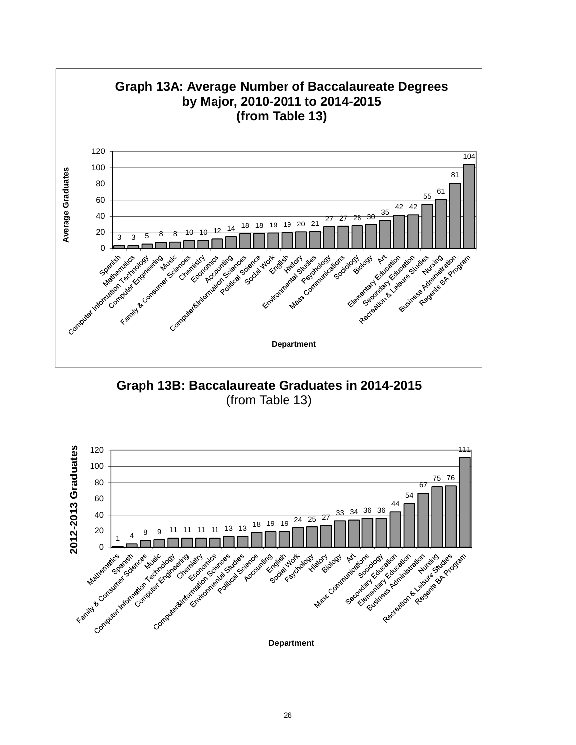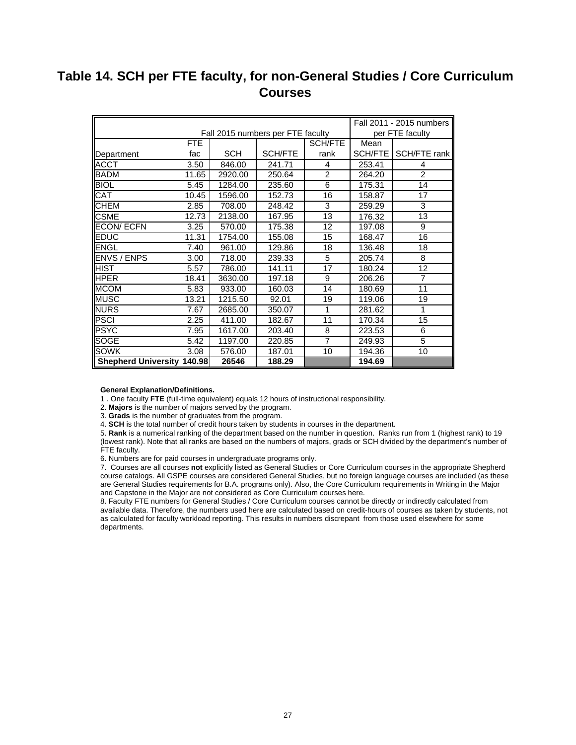# **Table 14. SCH per FTE faculty, for non-General Studies / Core Curriculum Courses**

|                                   |            |            |                                   |                |           | Fall 2011 - 2015 numbers |
|-----------------------------------|------------|------------|-----------------------------------|----------------|-----------|--------------------------|
|                                   |            |            | Fall 2015 numbers per FTE faculty |                |           | per FTE faculty          |
|                                   | <b>FTE</b> |            |                                   | SCH/FTE        | Mean      |                          |
| Department                        | fac        | <b>SCH</b> | SCH/FTE                           | rank           | SCH/FTE I | SCH/FTE rank             |
| <b>ACCT</b>                       | 3.50       | 846.00     | 241.71                            | 4              | 253.41    | 4                        |
| <b>BADM</b>                       | 11.65      | 2920.00    | 250.64                            | $\overline{2}$ | 264.20    | 2                        |
| <b>BIOL</b>                       | 5.45       | 1284.00    | 235.60                            | 6              | 175.31    | 14                       |
| CAT                               | 10.45      | 1596.00    | 152.73                            | 16             | 158.87    | 17                       |
| <b>CHEM</b>                       | 2.85       | 708.00     | 248.42                            | 3              | 259.29    | 3                        |
| <b>CSME</b>                       | 12.73      | 2138.00    | 167.95                            | 13             | 176.32    | 13                       |
| <b>ECON/ECFN</b>                  | 3.25       | 570.00     | 175.38                            | 12             | 197.08    | 9                        |
| <b>EDUC</b>                       | 11.31      | 1754.00    | 155.08                            | 15             | 168.47    | 16                       |
| ENGL                              | 7.40       | 961.00     | 129.86                            | 18             | 136.48    | 18                       |
| <b>ENVS / ENPS</b>                | 3.00       | 718.00     | 239.33                            | 5              | 205.74    | 8                        |
| <b>HIST</b>                       | 5.57       | 786.00     | 141.11                            | 17             | 180.24    | 12                       |
| <b>HPER</b>                       | 18.41      | 3630.00    | 197.18                            | 9              | 206.26    | $\overline{7}$           |
| <b>MCOM</b>                       | 5.83       | 933.00     | 160.03                            | 14             | 180.69    | 11                       |
| <b>MUSC</b>                       | 13.21      | 1215.50    | 92.01                             | 19             | 119.06    | 19                       |
| <b>NURS</b>                       | 7.67       | 2685.00    | 350.07                            | 1              | 281.62    | 1                        |
| <b>PSCI</b>                       | 2.25       | 411.00     | 182.67                            | 11             | 170.34    | 15                       |
| <b>PSYC</b>                       | 7.95       | 1617.00    | 203.40                            | 8              | 223.53    | 6                        |
| <b>SOGE</b>                       | 5.42       | 1197.00    | 220.85                            | $\overline{7}$ | 249.93    | 5                        |
| <b>SOWK</b>                       | 3.08       | 576.00     | 187.01                            | 10             | 194.36    | 10                       |
| <b>Shepherd University 140.98</b> |            | 26546      | 188.29                            |                | 194.69    |                          |

#### **General Explanation/Definitions.**

1 . One faculty **FTE** (full-time equivalent) equals 12 hours of instructional responsibility.

2. **Majors** is the number of majors served by the program.

3. **Grads** is the number of graduates from the program.

4. **SCH** is the total number of credit hours taken by students in courses in the department.

5. **Rank** is a numerical ranking of the department based on the number in question. Ranks run from 1 (highest rank) to 19 (lowest rank). Note that all ranks are based on the numbers of majors, grads or SCH divided by the department's number of FTE faculty.

6. Numbers are for paid courses in undergraduate programs only.

7. Courses are all courses **not** explicitly listed as General Studies or Core Curriculum courses in the appropriate Shepherd course catalogs. All GSPE courses are considered General Studies, but no foreign language courses are included (as these are General Studies requirements for B.A. programs only). Also, the Core Curriculum requirements in Writing in the Major and Capstone in the Major are not considered as Core Curriculum courses here.

8. Faculty FTE numbers for General Studies / Core Curriculum courses cannot be directly or indirectly calculated from available data. Therefore, the numbers used here are calculated based on credit-hours of courses as taken by students, not as calculated for faculty workload reporting. This results in numbers discrepant from those used elsewhere for some departments.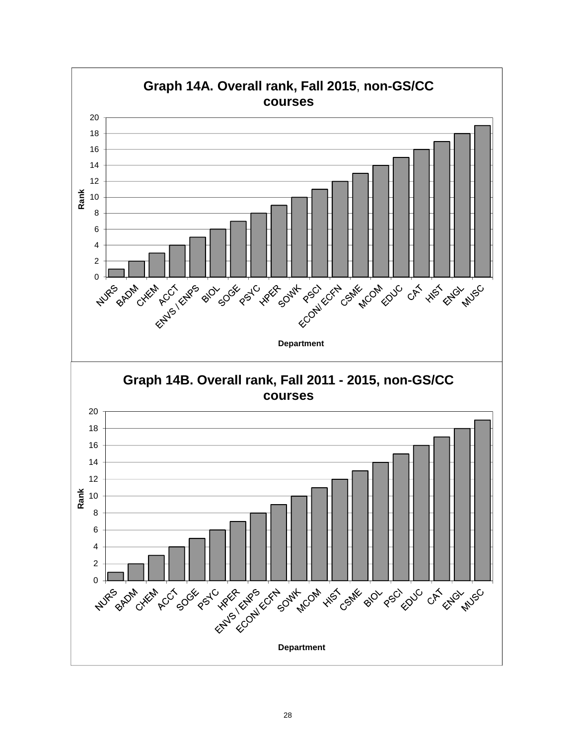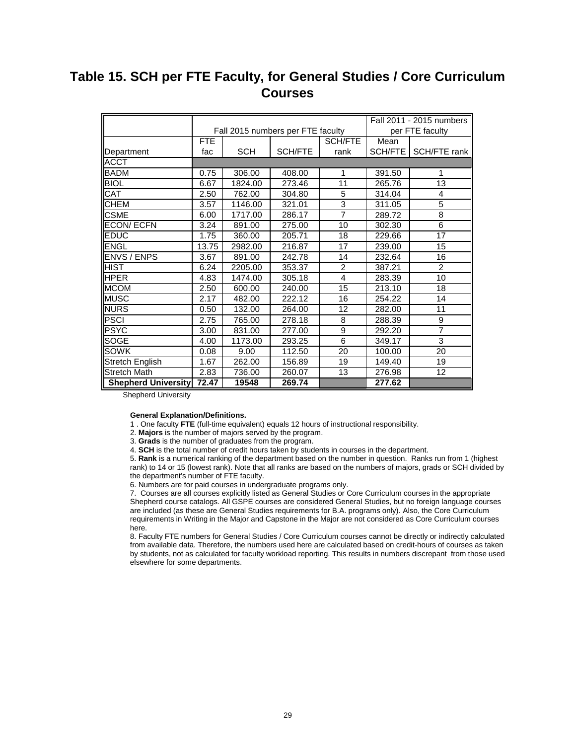# **Table 15. SCH per FTE Faculty, for General Studies / Core Curriculum Courses**

|                            |            |            |                                   |                 |         | Fall 2011 - 2015 numbers |
|----------------------------|------------|------------|-----------------------------------|-----------------|---------|--------------------------|
|                            |            |            | Fall 2015 numbers per FTE faculty |                 |         | per FTE faculty          |
|                            | <b>FTE</b> |            |                                   | <b>SCH/FTE</b>  | Mean    |                          |
| Department                 | fac        | <b>SCH</b> | SCH/FTE                           | rank            | SCH/FTE | SCH/FTE rank             |
| ACCT                       |            |            |                                   |                 |         |                          |
| BADM                       | 0.75       | 306.00     | 408.00                            | 1               | 391.50  | 1                        |
| <b>BIOL</b>                | 6.67       | 1824.00    | 273.46                            | 11              | 265.76  | $\overline{13}$          |
| CAT                        | 2.50       | 762.00     | 304.80                            | 5               | 314.04  | 4                        |
| <b>CHEM</b>                | 3.57       | 1146.00    | 321.01                            | $\overline{3}$  | 311.05  | $\overline{5}$           |
| <b>CSME</b>                | 6.00       | 1717.00    | 286.17                            | 7               | 289.72  | 8                        |
| <b>ECON/ECFN</b>           | 3.24       | 891.00     | 275.00                            | 10              | 302.30  | $\overline{6}$           |
| EDUC                       | 1.75       | 360.00     | 205.71                            | 18              | 229.66  | 17                       |
| <b>ENGL</b>                | 13.75      | 2982.00    | 216.87                            | 17              | 239.00  | 15                       |
| <b>ENVS / ENPS</b>         | 3.67       | 891.00     | 242.78                            | 14              | 232.64  | 16                       |
| <b>HIST</b>                | 6.24       | 2205.00    | 353.37                            | 2               | 387.21  | 2                        |
| <b>HPER</b>                | 4.83       | 1474.00    | 305.18                            | 4               | 283.39  | 10                       |
| <b>MCOM</b>                | 2.50       | 600.00     | 240.00                            | $\overline{15}$ | 213.10  | 18                       |
| <b>MUSC</b>                | 2.17       | 482.00     | 222.12                            | 16              | 254.22  | 14                       |
| <b>NURS</b>                | 0.50       | 132.00     | 264.00                            | 12              | 282.00  | 11                       |
| <b>PSCI</b>                | 2.75       | 765.00     | 278.18                            | 8               | 288.39  | 9                        |
| <b>PSYC</b>                | 3.00       | 831.00     | 277.00                            | 9               | 292.20  | $\overline{7}$           |
| SOGE                       | 4.00       | 1173.00    | 293.25                            | 6               | 349.17  | $\overline{3}$           |
| SOWK                       | 0.08       | 9.00       | 112.50                            | $\overline{20}$ | 100.00  | $\overline{20}$          |
| <b>Stretch English</b>     | 1.67       | 262.00     | 156.89                            | $\overline{19}$ | 149.40  | $\overline{19}$          |
| <b>Stretch Math</b>        | 2.83       | 736.00     | 260.07                            | 13              | 276.98  | 12                       |
| <b>Shepherd University</b> | 72.47      | 19548      | 269.74                            |                 | 277.62  |                          |

Shepherd University

#### **General Explanation/Definitions.**

- 1 . One faculty **FTE** (full-time equivalent) equals 12 hours of instructional responsibility.
- 2. **Majors** is the number of majors served by the program.
- 3. **Grads** is the number of graduates from the program.
- 4. **SCH** is the total number of credit hours taken by students in courses in the department.

5. **Rank** is a numerical ranking of the department based on the number in question. Ranks run from 1 (highest rank) to 14 or 15 (lowest rank). Note that all ranks are based on the numbers of majors, grads or SCH divided by the department's number of FTE faculty.

6. Numbers are for paid courses in undergraduate programs only.

7. Courses are all courses explicitly listed as General Studies or Core Curriculum courses in the appropriate Shepherd course catalogs. All GSPE courses are considered General Studies, but no foreign language courses are included (as these are General Studies requirements for B.A. programs only). Also, the Core Curriculum requirements in Writing in the Major and Capstone in the Major are not considered as Core Curriculum courses here.

8. Faculty FTE numbers for General Studies / Core Curriculum courses cannot be directly or indirectly calculated from available data. Therefore, the numbers used here are calculated based on credit-hours of courses as taken by students, not as calculated for faculty workload reporting. This results in numbers discrepant from those used elsewhere for some departments.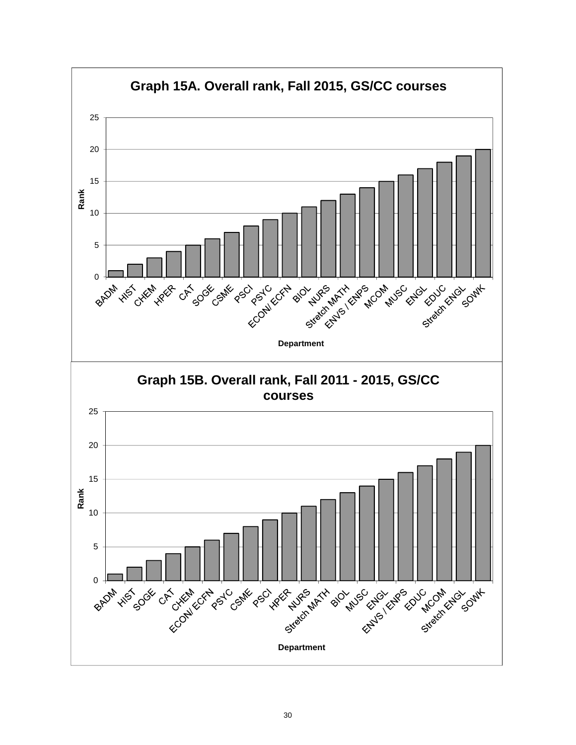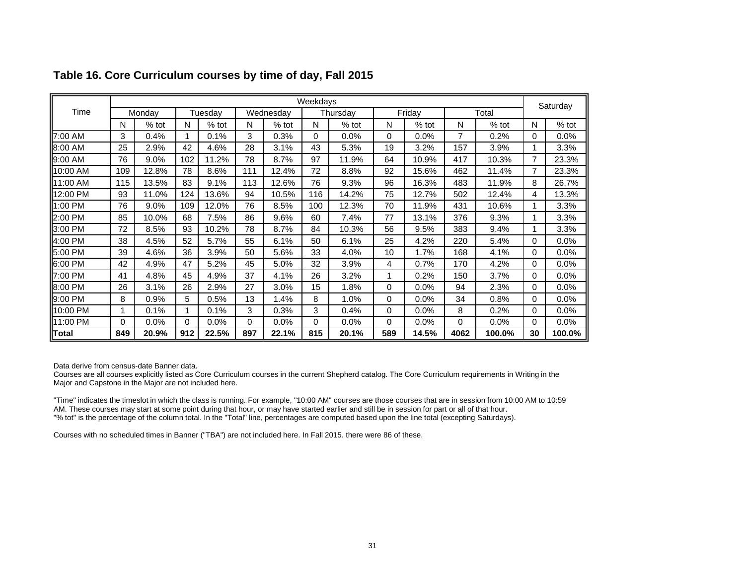|              |     |         |     |         |     |           | Weekdays |          |          |         |      |         |          | Saturday |
|--------------|-----|---------|-----|---------|-----|-----------|----------|----------|----------|---------|------|---------|----------|----------|
| Time         |     | Monday  |     | Tuesday |     | Wednesday |          | Thursday |          | Friday  |      | Total   |          |          |
|              | N   | $%$ tot | N   | $%$ tot | N   | $%$ tot   | N        | $%$ tot  | N        | % tot   | N    | $%$ tot | N        | $%$ tot  |
| 7:00 AM      | 3   | 0.4%    | 1   | 0.1%    | 3   | 0.3%      | 0        | 0.0%     | 0        | 0.0%    | 7    | 0.2%    | 0        | 0.0%     |
| 8:00 AM      | 25  | 2.9%    | 42  | 4.6%    | 28  | 3.1%      | 43       | 5.3%     | 19       | 3.2%    | 157  | 3.9%    |          | 3.3%     |
| 9:00 AM      | 76  | 9.0%    | 102 | 11.2%   | 78  | 8.7%      | 97       | 11.9%    | 64       | 10.9%   | 417  | 10.3%   | 7        | 23.3%    |
| 10:00 AM     | 109 | 12.8%   | 78  | 8.6%    | 111 | 12.4%     | 72       | 8.8%     | 92       | 15.6%   | 462  | 11.4%   |          | 23.3%    |
| 11:00 AM     | 115 | 13.5%   | 83  | 9.1%    | 113 | 12.6%     | 76       | 9.3%     | 96       | 16.3%   | 483  | 11.9%   | 8        | 26.7%    |
| 12:00 PM     | 93  | 11.0%   | 124 | 13.6%   | 94  | 10.5%     | 116      | 14.2%    | 75       | 12.7%   | 502  | 12.4%   | 4        | 13.3%    |
| 1:00 PM      | 76  | 9.0%    | 109 | 12.0%   | 76  | 8.5%      | 100      | 12.3%    | 70       | 11.9%   | 431  | 10.6%   |          | 3.3%     |
| 2:00 PM      | 85  | 10.0%   | 68  | 7.5%    | 86  | 9.6%      | 60       | 7.4%     | 77       | 13.1%   | 376  | 9.3%    |          | 3.3%     |
| 3:00 PM      | 72  | 8.5%    | 93  | 10.2%   | 78  | 8.7%      | 84       | 10.3%    | 56       | 9.5%    | 383  | 9.4%    |          | 3.3%     |
| 4:00 PM      | 38  | 4.5%    | 52  | 5.7%    | 55  | 6.1%      | 50       | 6.1%     | 25       | 4.2%    | 220  | 5.4%    | 0        | 0.0%     |
| 5:00 PM      | 39  | 4.6%    | 36  | 3.9%    | 50  | 5.6%      | 33       | 4.0%     | 10       | 1.7%    | 168  | 4.1%    | $\Omega$ | 0.0%     |
| 6:00 PM      | 42  | 4.9%    | 47  | 5.2%    | 45  | 5.0%      | 32       | 3.9%     | 4        | 0.7%    | 170  | 4.2%    | $\Omega$ | 0.0%     |
| 7:00 PM      | 41  | 4.8%    | 45  | 4.9%    | 37  | 4.1%      | 26       | 3.2%     | 1        | 0.2%    | 150  | 3.7%    | 0        | 0.0%     |
| 8:00 PM      | 26  | 3.1%    | 26  | 2.9%    | 27  | 3.0%      | 15       | 1.8%     | $\Omega$ | $0.0\%$ | 94   | 2.3%    | 0        | $0.0\%$  |
| 9:00 PM      | 8   | 0.9%    | 5   | 0.5%    | 13  | 1.4%      | 8        | 1.0%     | $\Omega$ | 0.0%    | 34   | 0.8%    | 0        | 0.0%     |
| 10:00 PM     |     | 0.1%    | 1   | 0.1%    | 3   | 0.3%      | 3        | 0.4%     | 0        | 0.0%    | 8    | 0.2%    | 0        | 0.0%     |
| 11:00 PM     | 0   | 0.0%    | 0   | 0.0%    | 0   | 0.0%      | 0        | 0.0%     | $\Omega$ | 0.0%    | 0    | $0.0\%$ | 0        | 0.0%     |
| <b>Total</b> | 849 | 20.9%   | 912 | 22.5%   | 897 | 22.1%     | 815      | 20.1%    | 589      | 14.5%   | 4062 | 100.0%  | 30       | 100.0%   |

# **Table 16. Core Curriculum courses by time of day, Fall 2015**

Data derive from census-date Banner data.

Courses are all courses explicitly listed as Core Curriculum courses in the current Shepherd catalog. The Core Curriculum requirements in Writing in the Major and Capstone in the Major are not included here.

"Time" indicates the timeslot in which the class is running. For example, "10:00 AM" courses are those courses that are in session from 10:00 AM to 10:59 AM. These courses may start at some point during that hour, or may have started earlier and still be in session for part or all of that hour. "% tot" is the percentage of the column total. In the "Total" line, percentages are computed based upon the line total (excepting Saturdays).

Courses with no scheduled times in Banner ("TBA") are not included here. In Fall 2015. there were 86 of these.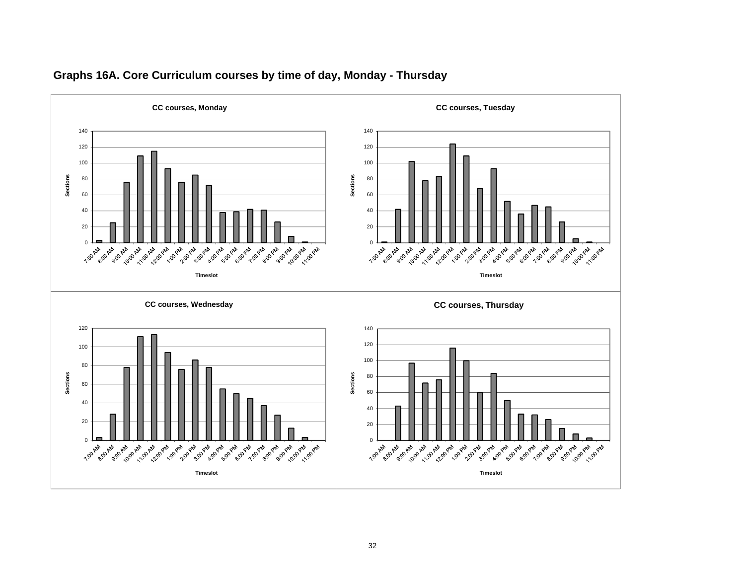

### **Graphs 16A. Core Curriculum courses by time of day, Monday - Thursday**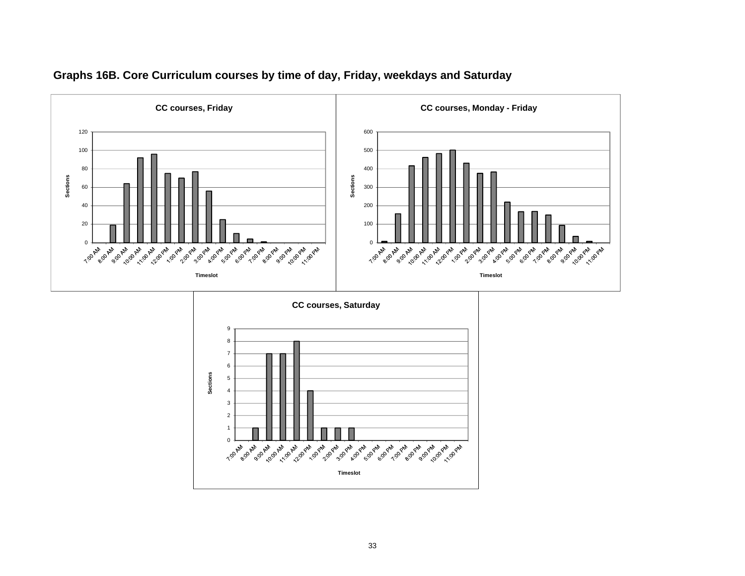

# **Graphs 16B. Core Curriculum courses by time of day, Friday, weekdays and Saturday**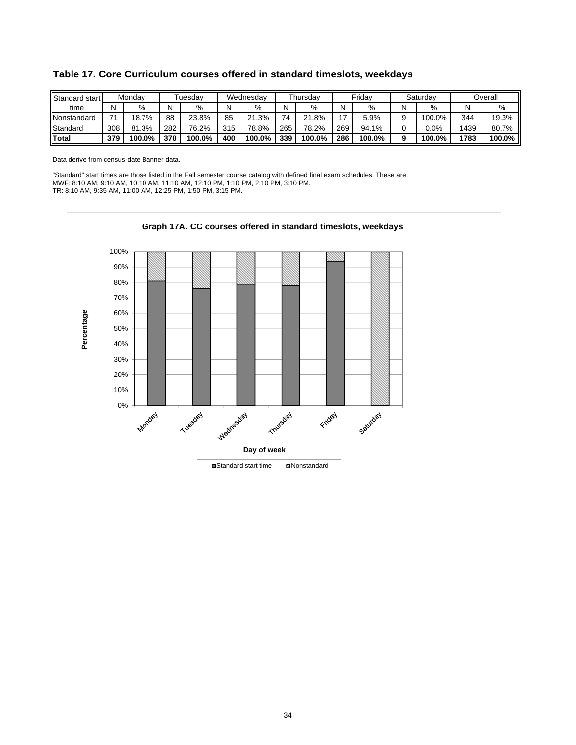| Standard start |     | Mondav |     | Tuesdav |     | Wednesdav  |     | Thursdav   |               | Fridav |        | Saturdav |      | Overall |
|----------------|-----|--------|-----|---------|-----|------------|-----|------------|---------------|--------|--------|----------|------|---------|
| time           |     | %      | N   | %       | N   | %          | N   | %          |               | %      | N      | %        | N    | %       |
| Nonstandard    | 74  | 18.7%  | 88  | 23.8%   | 85  | 1.3%<br>^1 | 74  | .8%<br>ኅ 1 | $\rightarrow$ | 5.9%   | a<br>w | 100.0%   | 344  | 19.3%   |
| Standard       | 308 | 81.3%  | 282 | 76.2%   | 315 | 78.8%      | 265 | 78.2%      | 269           | 94.1%  | 0      | 0.0%     | 1439 | 80.7%   |
| <b>IT</b> otal | 379 | 100.0% | 370 | 100.0%  | 400 | 100.0%     | 339 | 100.0%     | 286           | 100.0% | 9      | 100.0%   | 1783 | 100.0%  |

## **Table 17. Core Curriculum courses offered in standard timeslots, weekdays**

Data derive from census-date Banner data.

"Standard" start times are those listed in the Fall semester course catalog with defined final exam schedules. These are: MWF: 8:10 AM, 9:10 AM, 10:10 AM, 11:10 AM, 12:10 PM, 1:10 PM, 2:10 PM, 3:10 PM. TR: 8:10 AM, 9:35 AM, 11:00 AM, 12:25 PM, 1:50 PM, 3:15 PM.

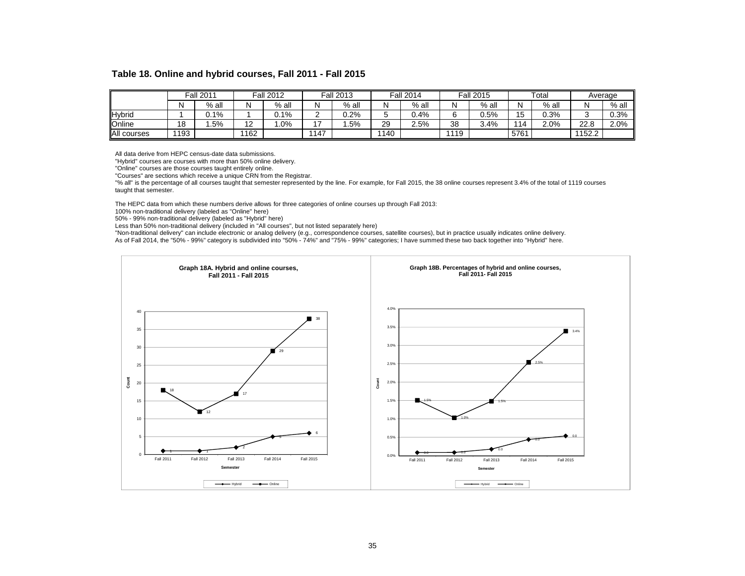#### **Table 18. Online and hybrid courses, Fall 2011 - Fall 2015**

|             |      | Fall 2011 |                 | <b>Fall 2012</b> |      | <b>Fall 2013</b> |      | <b>Fall 2014</b> |      | <b>Fall 2015</b> |      | $\tau$ otal |        | Average |
|-------------|------|-----------|-----------------|------------------|------|------------------|------|------------------|------|------------------|------|-------------|--------|---------|
|             | N    | $%$ all   |                 | $%$ all          |      | $%$ all          | N    | $%$ all          |      | $%$ all          | N    | $%$ all     | N      | $%$ all |
| Hybrid      |      | $0.1\%$   |                 | J.1%             |      | $0.2\%$          |      | 0.4%             |      | 0.5%             | 15   | $0.3\%$     |        | 0.3%    |
| Online      | 18   | .5%       | $\sqrt{2}$<br>L | .0%              | . –  | .5%              | 29   | 2.5%             | 38   | 3.4%             | 14   | 2.0%        | 22.8   | 2.0%    |
| All courses | 1193 |           | 1162            |                  | 1147 |                  | 1140 |                  | 1119 |                  | 5761 |             | 1152.2 |         |

All data derive from HEPC census-date data submissions.

"Hybrid" courses are courses with more than 50% online delivery.

"Online" courses are those courses taught entirely online.

"Courses" are sections which receive a unique CRN from the Registrar.

"% all" is the percentage of all courses taught that semester represented by the line. For example, for Fall 2015, the 38 online courses represent 3.4% of the total of 1119 courses taught that semester.

The HEPC data from which these numbers derive allows for three categories of online courses up through Fall 2013:

100% non-traditional delivery (labeled as "Online" here)

50% - 99% non-traditional delivery (labeled as "Hybrid" here)

Less than 50% non-traditional delivery (included in "All courses", but not listed separately here)

"Non-traditional delivery" can include electronic or analog delivery (e.g., correspondence courses, satellite courses), but in practice usually indicates online delivery. As of Fall 2014, the "50% - 99%" category is subdivided into "50% - 74%" and "75% - 99%" categories; I have summed these two back together into "Hybrid" here.

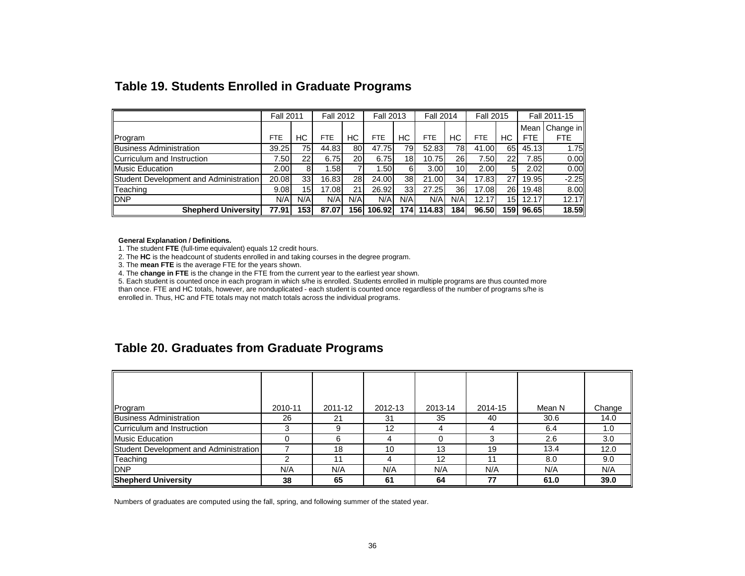|                                        | <b>Fall 2011</b> |                 | <b>Fall 2012</b> |           | <b>Fall 2013</b> |                 | <b>Fall 2014</b> |                 | <b>Fall 2015</b> |                 |            | Fall 2011-15 |
|----------------------------------------|------------------|-----------------|------------------|-----------|------------------|-----------------|------------------|-----------------|------------------|-----------------|------------|--------------|
|                                        |                  |                 |                  |           |                  |                 |                  |                 |                  |                 | Mean       | Change in    |
| Program                                | <b>FTE</b>       | НC              | <b>FTE</b>       | НC        | <b>FTE</b>       | HС              | <b>FTE</b>       | НC              | <b>FTE</b>       | НC              | <b>FTE</b> | <b>FTE</b>   |
| <b>Business Administration</b>         | 39.25            | 75              | 44.83            | 80        | 47.75            | 791             | 52.83            | 78              | 41.00            | 65              | 45.13      | $1.75$ ll    |
| Curriculum and Instruction             | 7.50             | $22 \,$         | 6.75             | 20        | 6.75             | 18 <sub>1</sub> | 10.75            | 26              | 7.50             | 22              | 7.85       | 0.00         |
| <b>Music Education</b>                 | 2.00             |                 | .58              |           | 1.50             | 61              | 3.00             | 10 <sub>1</sub> | 2.00             | 5               | 2.02       | 0.00         |
| Student Development and Administration | 20.08            | 33 <sup>1</sup> | 16.83            | <b>28</b> | 24.00            | 38 <sup>l</sup> | 21.00            | 34              | 17.83            | 27              | 19.95      | $-2.25$      |
| Teaching                               | 9.08             | 15 <sup>1</sup> | 17.08            | 21        | 26.92            | 33              | 27.25            | 36              | 17.08            | <b>26</b>       | 19.48      | 8.00         |
| <b>DNP</b>                             | N/A              | N/A             | N/A              | N/A       | N/A              | N/A             | N/A              | N/A             | 12.17            | 15 <sub>l</sub> | 12.17      | 12.17        |
| <b>Shepherd Universityl</b>            | 77.91            | 153             | 87.07            | 156       | 106.92           | 174 I           | 114.83           | 1841            | 96.50            | 159l            | 96.65      | 18.59        |

# **Table 19. Students Enrolled in Graduate Programs**

**General Explanation / Definitions.**

1. The student **FTE** (full-time equivalent) equals 12 credit hours.

2. The **HC** is the headcount of students enrolled in and taking courses in the degree program.

3. The **mean FTE** is the average FTE for the years shown.

4. The **change in FTE** is the change in the FTE from the current year to the earliest year shown.

5. Each student is counted once in each program in which s/he is enrolled. Students enrolled in multiple programs are thus counted more

than once. FTE and HC totals, however, are nonduplicated - each student is counted once regardless of the number of programs s/he is enrolled in. Thus, HC and FTE totals may not match totals across the individual programs.

# **Table 20. Graduates from Graduate Programs**

| Program                                | 2010-11 | 2011-12 | 2012-13 | 2013-14 | 2014-15 | Mean N | Change |
|----------------------------------------|---------|---------|---------|---------|---------|--------|--------|
| <b>Business Administration</b>         | 26      | 21      | 31      | 35      | 40      | 30.6   | 14.0   |
| Curriculum and Instruction             |         | 9       | 12      |         | 4       | 6.4    | 1.0    |
| <b>Music Education</b>                 |         | 6       | 4       |         | З       | 2.6    | 3.0    |
| Student Development and Administration |         | 18      | 10      | 13      | 19      | 13.4   | 12.0   |
| Teaching                               |         | 11      | 4       | 12      | 11      | 8.0    | 9.0    |
| <b>DNP</b>                             | N/A     | N/A     | N/A     | N/A     | N/A     | N/A    | N/A    |
| <b>Shepherd University</b>             | 38      | 65      | 61      | 64      | 77      | 61.0   | 39.0   |

Numbers of graduates are computed using the fall, spring, and following summer of the stated year.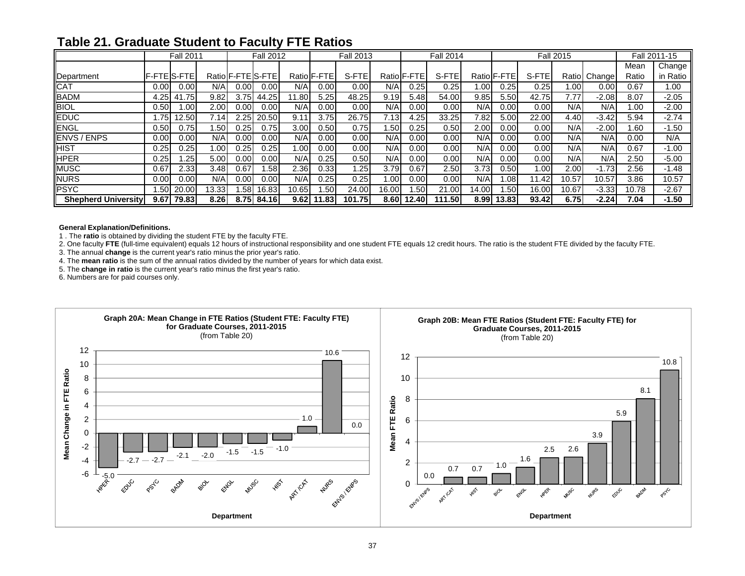|                            |                      | <b>Fall 2011</b> |       |                   | <b>Fall 2012</b> |       |                   | <b>Fall 2013</b> |                  |             | <b>Fall 2014</b> |       |                    |       | <b>Fall 2015</b> |              |       | Fall 2011-15 |
|----------------------------|----------------------|------------------|-------|-------------------|------------------|-------|-------------------|------------------|------------------|-------------|------------------|-------|--------------------|-------|------------------|--------------|-------|--------------|
|                            |                      |                  |       |                   |                  |       |                   |                  |                  |             |                  |       |                    |       |                  |              | Mean  | Change       |
| Department                 | <b>IF-FTEIS-FTEI</b> |                  |       | Ratio F-FTE S-FTE |                  |       | Ratio F-FTE       | S-FTE            |                  | Ratio F-FTE | S-FTE            |       | Ratio <b>F-FTE</b> | S-FTE |                  | Ratio Change | Ratio | in Ratio     |
| <b>CAT</b>                 | 0.00                 | 0.00             | N/A   | 0.00              | 0.00             | N/A   | 0.00              | 0.00             | N/A              | 0.25        | 0.25             | .00   | 251                | 0.25  | 1.00             | 0.001        | 0.67  | 1.00         |
| <b>BADM</b>                | 4.25                 | 41.75            | 9.82  | 3.75              | 44.25            | 1.80  | 5.25              | 48.25            | 9.19             | 5.48        | 54.00            | 9.85  | 5.50               | 42.75 | 7.77             | $-2.08$      | 8.07  | $-2.05$      |
| <b>BIOL</b>                | 0.50                 | .00              | 2.00  | 0.00              | $0.00\,$         | N/A   | 0.00              | 0.00             | N/A              | 0.00        | 0.00             | N/A   | 0.00               | 0.00  | N/A              | N/A          | 1.00  | $-2.00$      |
| <b>EDUC</b>                | 1.75                 | 2.50             | 7.14  | 2.25              | 20.50            | 9.11  | 3.75              | 26.75            | 7.13             | 4.25        | 33.25            | 7.82  | 5.00               | 22.00 | 4.40             | -3.42        | 5.94  | $-2.74$      |
| <b>IENGL</b>               | 0.50                 | 0.75             | .50   | 0.25              | 0.75             | 3.00  | 0.50              | 0.75             | .50 <sub>1</sub> | 0.25        | 0.50             | 2.00  | 0.001              | 0.00  | N/A              | $-2.00$      | .60   | $-1.50$      |
| <b>IENVS / ENPS</b>        | 0.00                 | 0.00             | N/A   | 0.00              | $0.00\,$         | N/A   | 0.00              | 0.00             | N/A              | 0.00        | 0.00             | N/A   | 0.001              | 0.00  | N/A              | N/A          | 0.00  | N/A          |
| <b>HIST</b>                | 0.25                 | 0.25             | .00   | 0.25              | 0.25             | 1.00  | 0.00 <sub>l</sub> | 0.00             | N/A              | 0.00        | 0.00             | N/A   | 0.001              | 0.00  | N/A              | N/A          | 0.67  | $-1.00$      |
| <b>HPER</b>                | 0.25                 | .25              | 5.00  | $0.00\,$          | $0.00\,$         | N/A   | 0.25              | 0.50             | N/A              | 0.00        | 0.00             | N/A   | 0.001              | 0.00  | N/A              | N/A          | 2.50  | $-5.00$      |
| <b>MUSC</b>                | 0.67                 | 2.33             | 3.48  | 0.67              | .58              | 2.36  | 0.331             | .25              | 3.79             | 0.67        | 2.50             | 3.73  | 0.50               | 00۱.، | 2.00             | $-1.73$      | 2.56  | $-1.48$      |
| <b>NURS</b>                | 0.00                 | 0.00             | N/A   | 0.00              | $0.00\,$         | N/A   | 0.25              | 0.25             | 1.00             | 0.00        | 0.00             | N/A   | .08 <sub>0</sub>   | 11.42 | 10.57            | 10.57        | 3.86  | 10.57        |
| <b>PSYC</b>                | .50                  | 20.00            | 13.33 | .58               | 16.83            | 10.65 | .50               | 24.00            | 16.00            | .50         | 21.00            | 14.00 | .50                | 16.00 | 10.67            | -3.33        | 10.78 | $-2.67$      |
| <b>Shepherd University</b> | 9.67                 | 79.83            | 8.26  | 8.75              | 84.16            | 9.62  | 1.83              | 101.75           | 8.60             | 12.40       | 111.50           | 8.99  | 13.83              | 93.42 | 6.75             | $-2.24$      | 7.04  | $-1.50$      |

# **Table 21. Graduate Student to Faculty FTE Ratios**

#### **General Explanation/Definitions.**

1 . The **ratio** is obtained by dividing the student FTE by the faculty FTE.

2. One faculty **FTE** (full-time equivalent) equals 12 hours of instructional responsibility and one student FTE equals 12 credit hours. The ratio is the student FTE divided by the faculty FTE.

3. The annual **change** is the current year's ratio minus the prior year's ratio.

4. The **mean ratio** is the sum of the annual ratios divided by the number of years for which data exist.

5. The **change in ratio** is the current year's ratio minus the first year's ratio.

6. Numbers are for paid courses only.

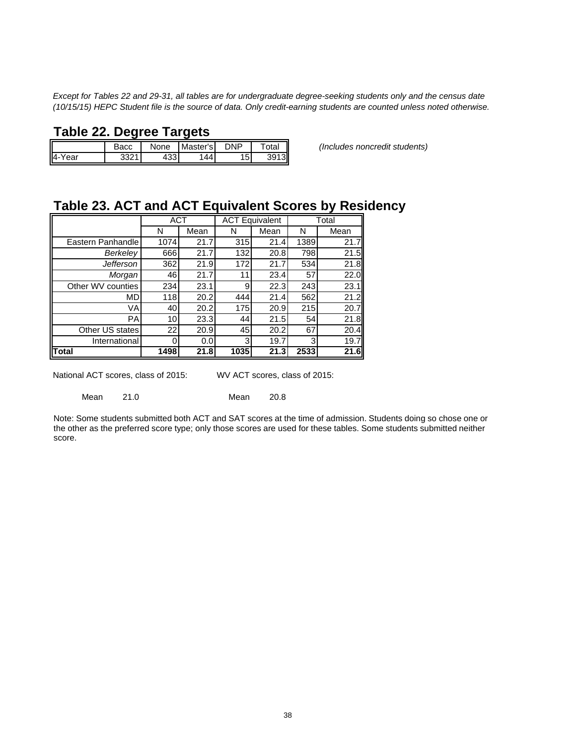*Except for Tables 22 and 29-31, all tables are for undergraduate degree-seeking students only and the census date (10/15/15) HEPC Student file is the source of data. Only credit-earning students are counted unless noted otherwise.*

# **Table 22. Degree Targets**

|            | duu | None     | Master's l | DNP | ota. |
|------------|-----|----------|------------|-----|------|
| I4-<br>ear | ດດດ | "<br>טטו |            | 15. | 31   |

Bacc None Master's DNP Total *(Includes noncredit students)*

# **Table 23. ACT and ACT Equivalent Scores by Residency**

|                   | <b>ACT</b> |      |      | <b>ACT Equivalent</b> |      | Total |
|-------------------|------------|------|------|-----------------------|------|-------|
|                   | N          | Mean | N    | Mean                  | N    | Mean  |
| Eastern Panhandle | 1074       | 21.7 | 315  | 21.4                  | 1389 | 21.7  |
| <b>Berkeley</b>   | 666        | 21.7 | 132  | 20.8                  | 798  | 21.5  |
| <b>Jefferson</b>  | 362        | 21.9 | 172  | 21.7                  | 534  | 21.8  |
| Morgan            | 46         | 21.7 | 11   | 23.4                  | 57   | 22.0  |
| Other WV counties | 234        | 23.1 | 9    | 22.3                  | 243  | 23.1  |
| <b>MD</b>         | 118        | 20.2 | 444  | 21.4                  | 562  | 21.2  |
| VA                | 40         | 20.2 | 175  | 20.9                  | 215  | 20.7  |
| <b>PA</b>         | 10         | 23.3 | 44   | 21.5                  | 54   | 21.8  |
| Other US states   | 22         | 20.9 | 45   | 20.2                  | 67   | 20.4  |
| International     |            | 0.0  | 3    | 19.7                  | 3    | 19.7  |
| Total             | 1498       | 21.8 | 1035 | 21.3                  | 2533 | 21.6  |

National ACT scores, class of 2015: WV ACT scores, class of 2015:

Mean 21.0 Mean 20.8

Note: Some students submitted both ACT and SAT scores at the time of admission. Students doing so chose one or the other as the preferred score type; only those scores are used for these tables. Some students submitted neither score.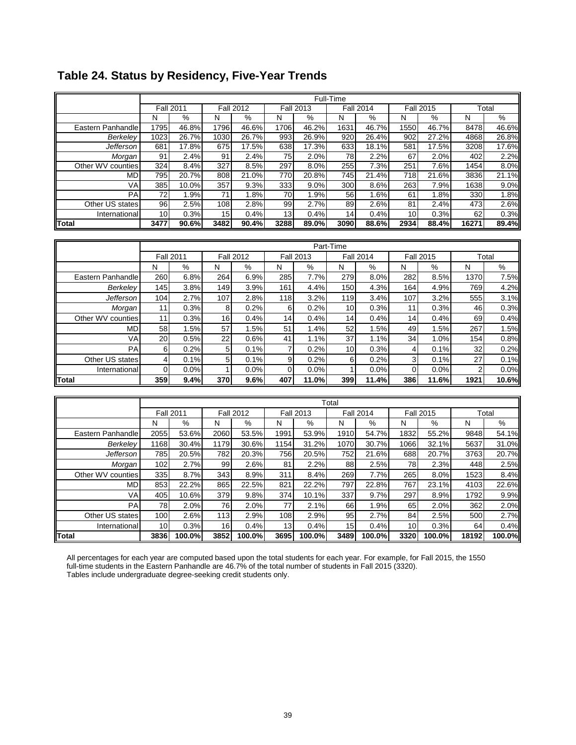|                                  |                |                  |                 |                  |                       |                  | Full-Time       |                  |             |                  |                |               |  |
|----------------------------------|----------------|------------------|-----------------|------------------|-----------------------|------------------|-----------------|------------------|-------------|------------------|----------------|---------------|--|
|                                  |                | <b>Fall 2011</b> |                 | <b>Fall 2012</b> |                       | <b>Fall 2013</b> |                 | <b>Fall 2014</b> |             | <b>Fall 2015</b> |                | Total         |  |
|                                  | N              | $\%$             | N               | ℅                | N                     | $\%$             | N               | $\%$             | N           | %                | N              | $\frac{0}{0}$ |  |
| Eastern Panhandle                | 1795           | 46.8%            | 1796            | 46.6%            | 1706                  | 46.2%            | 1631            | 46.7%            | 1550        | 46.7%            | 8478           | 46.6%         |  |
| Berkeley                         | 1023           | 26.7%            | 1030            | 26.7%            | 993                   | 26.9%            | 920             | 26.4%            | 902         | 27.2%            | 4868           | 26.8%         |  |
| Jefferson                        | 681            | 17.8%            | 675             | 17.5%            | 638                   | 17.3%            | 633             | 18.1%            | 581         | 17.5%            | 3208           | 17.6%         |  |
| Morgan                           | 91             | 2.4%             | 91              | 2.4%             | $\overline{75}$       | 2.0%             | $\overline{78}$ | 2.2%             | 67          | 2.0%             | 402            | 2.2%          |  |
| Other WV counties                | 324            | 8.4%             | 327             | 8.5%             | 297                   | 8.0%             | 255             | 7.3%             | 251         | 7.6%             | 1454           | 8.0%          |  |
| MD                               | 795            | 20.7%            | 808             | 21.0%            | 770                   | 20.8%            | 745             | 21.4%            | 718         | 21.6%            | 3836           | 21.1%         |  |
| VA                               | 385            | 10.0%            | 357             | 9.3%             | 333                   | 9.0%             | 300             | 8.6%             | 263         | 7.9%             | 1638           | 9.0%          |  |
| PA                               | 72             | 1.9%             | 71              | 1.8%             | 70                    | 1.9%             | 56              | 1.6%             | 61          | 1.8%             | 330            | 1.8%          |  |
| Other US states<br>International | 96<br>10       | 2.5%<br>0.3%     | 108<br>15       | 2.8%<br>0.4%     | 99<br>$\overline{13}$ | 2.7%<br>0.4%     | 89<br>14        | 2.6%<br>0.4%     | 81<br>10    | 2.4%<br>0.3%     | 473<br>62      | 2.6%<br>0.3%  |  |
| Total                            | 3477           | 90.6%            | 3482            | 90.4%            | 3288                  | 89.0%            | 3090            | 88.6%            | 2934        | 88.4%            | 16271          | 89.4%         |  |
|                                  |                |                  |                 |                  |                       |                  |                 |                  |             |                  |                |               |  |
|                                  |                |                  |                 |                  |                       |                  |                 |                  |             |                  |                |               |  |
|                                  |                |                  |                 |                  |                       |                  | Part-Time       |                  |             |                  |                |               |  |
|                                  |                | <b>Fall 2011</b> |                 | <b>Fall 2012</b> |                       | <b>Fall 2013</b> |                 | <b>Fall 2014</b> |             | <b>Fall 2015</b> |                | Total<br>%    |  |
|                                  | N              | %                | N               | %                | N                     | $\%$             | N               | %                | N           | $\%$<br>8.5%     | N              |               |  |
| Eastern Panhandle                | 260            | 6.8%             | 264             | 6.9%             | 285                   | 7.7%             | 279             | 8.0%             | 282         |                  | 1370           | 7.5%          |  |
| Berkeley                         | 145            | 3.8%             | 149             | 3.9%             | 161                   | 4.4%             | 150             | 4.3%             | 164         | 4.9%             | 769            | 4.2%          |  |
| Jefferson                        | 104            | 2.7%             | 107             | 2.8%             | 118                   | 3.2%             | 119             | 3.4%             | 107         | 3.2%             | 555            | 3.1%          |  |
| Morgan                           | 11             | 0.3%             | 8               | 0.2%             | 6                     | 0.2%             | 10              | 0.3%             | 11          | 0.3%             | 46             | 0.3%          |  |
| Other WV counties                | 11             | 0.3%             | 16              | 0.4%             | 14                    | 0.4%             | 14              | 0.4%             | 14          | 0.4%             | 69             | 0.4%          |  |
| <b>MD</b>                        | 58             | 1.5%             | $\overline{57}$ | 1.5%             | 51                    | 1.4%             | $\overline{52}$ | 1.5%             | 49          | 1.5%             | 267            | 1.5%          |  |
| VA                               | 20             | 0.5%             | 22              | 0.6%             | 41                    | 1.1%             | 37              | 1.1%             | 34          | 1.0%             | 154            | 0.8%          |  |
| PA                               | 6              | 0.2%             | 5               | 0.1%             | $\overline{7}$        | 0.2%             | 10              | 0.3%             | 4           | 0.1%             | 32             | 0.2%          |  |
| Other US states                  | $\overline{4}$ | 0.1%             | 5               | 0.1%             | 9                     | 0.2%             | 6               | 0.2%             | 3           | 0.1%             | 27             | 0.1%          |  |
| International                    | $\mathbf 0$    | 0.0%             | $\mathbf{1}$    | 0.0%             | $\mathbf 0$           | 0.0%             | $\mathbf{1}$    | 0.0%             | $\mathbf 0$ | 0.0%             | $\overline{2}$ | 0.0%          |  |
| <b>Total</b>                     | 359            | 9.4%             | 370             | 9.6%             | 407                   | 11.0%            | 399             | 11.4%            | 386         | 11.6%            | 1921           | 10.6%         |  |
|                                  |                |                  |                 |                  |                       |                  |                 |                  |             |                  |                |               |  |
|                                  |                |                  |                 |                  |                       |                  | Total           |                  |             |                  |                |               |  |
|                                  |                | <b>Fall 2011</b> |                 | <b>Fall 2012</b> |                       | <b>Fall 2013</b> |                 | <b>Fall 2014</b> |             | <b>Fall 2015</b> |                | Total         |  |
|                                  | N              | %                | N               | %                | N                     | %                | N               | %                | N           | $\%$             | ${\sf N}$      | $\%$          |  |
| Eastern Panhandle                | 2055           | 53.6%            | 2060            | 53.5%            | 1991                  | 53.9%            | 1910            | 54.7%            | 1832        | 55.2%            | 9848           | 54.1%         |  |
| Berkeley                         | 1168           | 30.4%            | 1179            | 30.6%            | 1154                  | 31.2%            | 1070            | 30.7%            | 1066        | 32.1%            | 5637           | 31.0%         |  |
| <b>Jefferson</b>                 | 785            | 20.5%            | 782             | 20.3%            | 756                   | 20.5%            | 752             | 21.6%            | 688         | 20.7%            | 3763           | 20.7%         |  |
| Morgan                           | 102            | 2.7%             | 99              | 2.6%             | 81                    | 2.2%             | 88              | 2.5%             | 78          | 2.3%             | 448            | 2.5%          |  |
| Other WV counties                | 335            | 8.7%             | 343             | 8.9%             | 311                   | 8.4%             | 269             | 7.7%             | 265         | 8.0%             | 1523           | 8.4%          |  |
| MD                               | 853            | 22.2%            | 865             | 22.5%            | 821                   | 22.2%            | 797             | 22.8%            | 767         | 23.1%            | 4103           | 22.6%         |  |
| VA                               | 405            | 10.6%            | 379             | 9.8%             | 374                   | 10.1%            | 337             | 9.7%             | 297         | 8.9%             | 1792           | 9.9%          |  |
| PA                               | 78             | 2.0%             | 76              | 2.0%             | 77                    | 2.1%             | 66              | 1.9%             | 65          | 2.0%             | 362            | 2.0%          |  |
| Other US states                  | 100            | 2.6%             | 113             | 2.9%             | 108                   | 2.9%             | 95              | 2.7%             | 84          | 2.5%             | 500            | 2.7%          |  |
| Internationa                     | 10             | 0.3%             | 16              | 0.4%             | 13                    | 0.4%             | 15              | 0.4%             | 10          | 0.3%             | 64             | 0.4%          |  |
| <b>Total</b>                     | 3836           | 100.0%           | 3852            | 100.0%           | 3695                  | 100.0%           | 3489            | 100.0%           | 3320        | 100.0%           | 18192          | 100.0%        |  |

# **Table 24. Status by Residency, Five-Year Trends**

All percentages for each year are computed based upon the total students for each year. For example, for Fall 2015, the 1550 full-time students in the Eastern Panhandle are 46.7% of the total number of students in Fall 2015 (3320). Tables include undergraduate degree-seeking credit students only.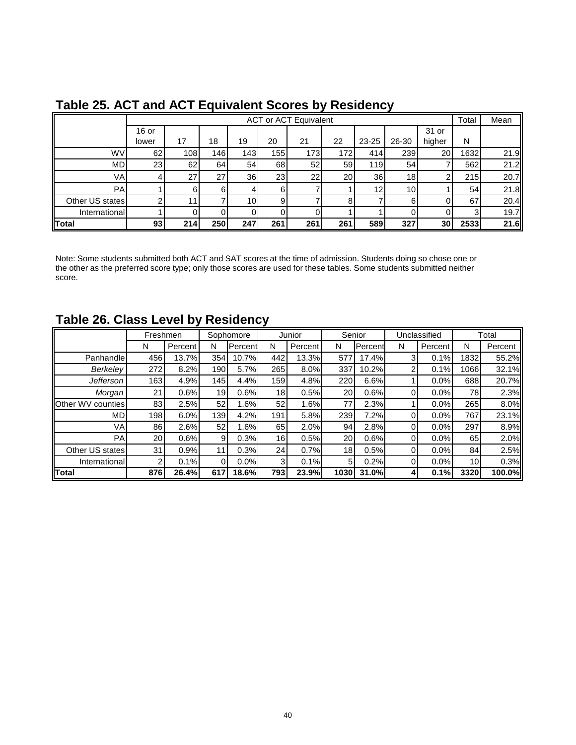|                 |         |     |     |                 |     | <b>ACT or ACT Equivalent</b> |     |                 |                 |           | Total | Mean |
|-----------------|---------|-----|-----|-----------------|-----|------------------------------|-----|-----------------|-----------------|-----------|-------|------|
|                 | $16$ or |     |     |                 |     |                              |     |                 |                 | 31 or     |       |      |
|                 | lower   | 17  | 18  | 19              | 20  | 21                           | 22  | 23-25           | 26-30           | higher    | N     |      |
| <b>WV</b>       | 62      | 108 | 146 | 143             | 155 | 173                          | 172 | 414             | 239             | <b>20</b> | 1632  | 21.9 |
| <b>MD</b>       | 23      | 62  | 64  | 54              | 68  | 52 <sub>l</sub>              | 59  | 119             | 54              |           | 562   | 21.2 |
| VA <sub>I</sub> |         | 27  | 27  | 36              | 23  | 22                           | 20  | 36 <sup>l</sup> | 18 <sub>l</sub> |           | 215   | 20.7 |
| PA              |         | 6   |     |                 | 6   |                              |     | 12 <sub>l</sub> | 10 <sup>1</sup> |           | 54    | 21.8 |
| Other US states |         | 11  |     | 10 <sup>1</sup> | 9   |                              |     |                 | 61              |           | 67    | 20.4 |
| International   |         |     |     |                 |     |                              |     |                 |                 |           |       | 19.7 |
| Total           | 93      | 214 | 250 | 247             | 261 | 261                          | 261 | 589             | 327             | 30        | 2533  | 21.6 |

# **Table 25. ACT and ACT Equivalent Scores by Residency**

Note: Some students submitted both ACT and SAT scores at the time of admission. Students doing so chose one or the other as the preferred score type; only those scores are used for these tables. Some students submitted neither score.

# **Table 26. Class Level by Residency**

|                   | Freshmen |         |     | Sophomore       |                 | Junior               | Senior |              |   | Unclassified |                 | Total         |
|-------------------|----------|---------|-----|-----------------|-----------------|----------------------|--------|--------------|---|--------------|-----------------|---------------|
|                   | N        | Percent | N   | <b>IPercent</b> | N               | Percent <sup>'</sup> | N      | Percent      | N | Percent      | N               | Percent       |
| Panhandle         | 456      | 13.7%   | 354 | 10.7%           | 442             | 13.3%                | 577    | 17.4%        |   | 0.1%         | 1832            | 55.2%         |
| Berkeley          | 272      | 8.2%    | 190 | 5.7%            | 265             | 8.0%                 | 337    | 10.2%        | 2 | 0.1%         | 1066            | 32.1%         |
| <b>Jefferson</b>  | 163      | 4.9%    | 145 | 4.4%            | 159             | 4.8%                 | 220    | 6.6%         |   | 0.0%         | 688             | 20.7%         |
| Morgan            | 21       | 0.6%    | 19  | 0.6%            | 18 <sub>1</sub> | 0.5%                 | 20     | 0.6%         |   | 0.0%         | 78I             | 2.3%          |
| Other WV counties | 83       | 2.5%    | 52  | 1.6%            | 52              | 1.6%                 | 77     | 2.3%         |   | 0.0%         | 265             | 8.0%          |
| MD                | 198      | 6.0%    | 139 | 4.2%            | 191             | 5.8%                 | 239    | 7.2%         |   | 0.0%         | 767             | 23.1%         |
| VA                | 86       | 2.6%    | 52  | 1.6%            | 65              | 2.0%                 | 94     | 2.8%         |   | 0.0%         | 297             | 8.9%          |
| <b>PA</b>         | 20       | 0.6%    | 9   | 0.3%            | 16              | 0.5%                 | 20     | 0.6%         |   | 0.0%         | 65              | 2.0%          |
| Other US states   | 31       | 0.9%    | 11  | 0.3%            | 24              | 0.7%                 | 18     | 0.5%         |   | 0.0%         | 84              | 2.5%          |
| International     | 2        | 0.1%    | 0   | $0.0\%$         | 3               | 0.1%                 | 5      | 0.2%         |   | 0.0%         | 10 <sup>1</sup> | 0.3%          |
| Total             | 876      | 26.4%   | 617 | 18.6%           | 793             | 23.9%                | 1030   | <b>31.0%</b> |   | 0.1%         | 3320            | <b>100.0%</b> |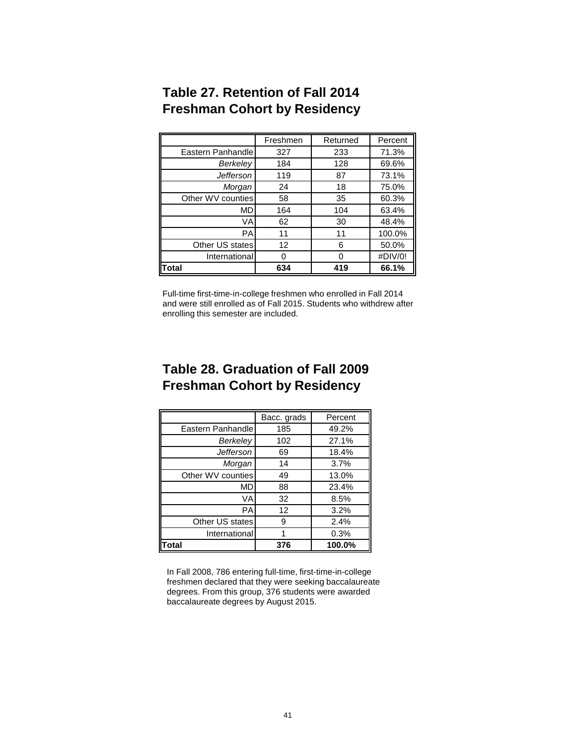|                   | Freshmen | Returned | Percent |
|-------------------|----------|----------|---------|
| Eastern Panhandle | 327      | 233      | 71.3%   |
| Berkeley          | 184      | 128      | 69.6%   |
| <b>Jefferson</b>  | 119      | 87       | 73.1%   |
| Morgan            | 24       | 18       | 75.0%   |
| Other WV counties | 58       | 35       | 60.3%   |
| MD                | 164      | 104      | 63.4%   |
| VA                | 62       | 30       | 48.4%   |
| <b>PA</b>         | 11       | 11       | 100.0%  |
| Other US states   | 12       | 6        | 50.0%   |
| International     | 0        | O        | #DIV/0! |
| Total             | 634      | 419      | 66.1%   |

# **Table 27. Retention of Fall 2014 Freshman Cohort by Residency**

Full-time first-time-in-college freshmen who enrolled in Fall 2014 and were still enrolled as of Fall 2015. Students who withdrew after enrolling this semester are included.

# **Table 28. Graduation of Fall 2009 Freshman Cohort by Residency**

|                   | Bacc. grads | Percent |
|-------------------|-------------|---------|
| Eastern Panhandle | 185         | 49.2%   |
| Berkelev          | 102         | 27.1%   |
| Jefferson         | 69          | 18.4%   |
| Morgan            | 14          | 3.7%    |
| Other WV counties | 49          | 13.0%   |
| MD                | 88          | 23.4%   |
| VA                | 32          | 8.5%    |
| PA                | 12          | 3.2%    |
| Other US states   | 9           | 2.4%    |
| International     |             | 0.3%    |
| Total             | 376         | 100.0%  |

In Fall 2008, 786 entering full-time, first-time-in-college freshmen declared that they were seeking baccalaureate degrees. From this group, 376 students were awarded baccalaureate degrees by August 2015.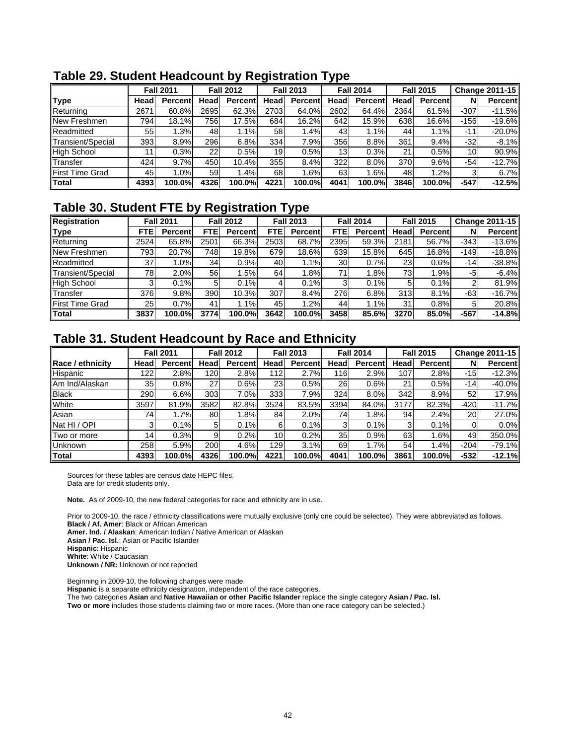|                        |      | <b>Fall 2011</b> |                 | <b>Fall 2012</b> |      | <b>Fall 2013</b> |                 | <b>Fall 2014</b> |      | <b>Fall 2015</b> |        | Change 2011-15 |
|------------------------|------|------------------|-----------------|------------------|------|------------------|-----------------|------------------|------|------------------|--------|----------------|
| <b>Type</b>            | Head | <b>Percent</b>   | Head            | <b>Percent</b>   | Head | Percentl         | Headl           | <b>Percent</b>   | Head | <b>Percent</b>   | N      | <b>Percent</b> |
| Returning              | 2671 | 60.8%            | 2695            | 62.3%            | 2703 | 64.0%            | 2602            | 64.4%            | 2364 | 61.5%            | $-307$ | $-11.5%$       |
| New Freshmen           | 794) | 18.1%            | 756             | 17.5%            | 684  | 16.2%            | 642             | 15.9%            | 638  | 16.6%            | $-156$ | $-19.6%$       |
| Readmitted             | 55   | 1.3%             | 48              | 1.1%             | 58   | 1.4%             | 43              | ا 1%،            | 44   | 1.1%             | $-11$  | $-20.0%$       |
| Transient/Special      | 393  | 8.9%             | 296             | 6.8%             | 334  | 7.9%             | 356             | 8.8%             | 361  | 9.4%             | -321   | $-8.1%$        |
| <b>High School</b>     |      | 0.3%             | 22 <sub>1</sub> | 0.5%             | 19   | 0.5%             | 13 <sub>1</sub> | 0.3%             | 21   | 0.5%             | 10     | 90.9%          |
| Transfer               | 424  | 9.7%             | 450             | 10.4%            | 355  | 8.4%             | 322             | 8.0%             | 370  | 9.6%             | -54    | $-12.7%$       |
| <b>First Time Grad</b> | 45   | 1.0%             | 59 <sub>l</sub> | 1.4%             | 68   | 1.6%             | 63              | .6%              | 48   | 1.2%             |        | 6.7%           |
| <b>Total</b>           | 4393 | 100.0%l          | 4326            | 100.0%           | 4221 | <b>100.0%</b>    | 4041            | 100.0%           | 3846 | 100.0%l          | $-547$ | $-12.5%$       |

### **Table 29. Student Headcount by Registration Type**

# **Table 30. Student FTE by Registration Type**

| Registration            |            | <b>Fall 2011</b> |            | <b>Fall 2012</b> |            | <b>Fall 2013</b> |                 | <b>Fall 2014</b> |                 | <b>Fall 2015</b> |        | <b>Change 2011-15</b> |
|-------------------------|------------|------------------|------------|------------------|------------|------------------|-----------------|------------------|-----------------|------------------|--------|-----------------------|
| <b>Type</b>             | <b>FTE</b> | <b>Percent</b>   | <b>FTE</b> | <b>Percent</b>   | <b>FTE</b> | <b>Percent</b>   | <b>FTE</b>      | <b>Percent</b>   | Head            | <b>Percentl</b>  | N      | <b>Percent</b>        |
| Returning               | 2524       | 65.8%            | 2501       | 66.3%            | 2503       | 68.7%            | 2395            | 59.3%            | 2181            | 56.7%            | $-343$ | $-13.6%$              |
| <b>INew Freshmen</b>    | 7931       | 20.7%            | 748        | 19.8%            | 679        | 18.6%            | 639             | 15.8%            | 645             | 16.8%            | $-149$ | $-18.8%$              |
| Readmitted              | 37         | 1.0%             | 34         | 0.9%             | 40         | $1.1\%$          | 30 <sup>1</sup> | 0.7%             | 23              | 0.6%             | $-14$  | $-38.8%$              |
| Transient/Special       | 78I        | 2.0%             | 56I        | .5%              | 64         | $.8\%$           | 71              | 1.8%             | 73 <sub>1</sub> | 1.9%             | -5     | $-6.4%$               |
| <b>High School</b>      |            | 0.1%             | 51         | 0.1%             |            | 0.1%             |                 | 0.1%             |                 | 0.1%             |        | 81.9%                 |
| <b>ITransfer</b>        | 376        | 9.8%             | 390        | 10.3%            | 307        | 8.4%             | 276             | 6.8%             | 313             | 8.1%             | -631   | $-16.7%$              |
| <b>IFirst Time Grad</b> | 25         | 0.7%             | 41 I       | 1.1%             | 45         | .2%              | 44              | 1.1%             | 31              | 0.8%             |        | 20.8%                 |
| <b>Total</b>            | 3837       | 100.0%l          | 3774       | 100.0%           | 3642       | 100.0%           | 3458            | 85.6%            | 3270            | 85.0%            | -567   | $-14.8%$              |

# **Table 31. Student Headcount by Race and Ethnicity**

|                         |      | <b>Fall 2011</b> |                | <b>Fall 2012</b> |                 | <b>Fall 2013</b> |                 | <b>Fall 2014</b> |      | <b>Fall 2015</b> |           | Change 2011-15 |
|-------------------------|------|------------------|----------------|------------------|-----------------|------------------|-----------------|------------------|------|------------------|-----------|----------------|
| <b>Race / ethnicity</b> | Head | <b>Percent</b>   | Head           | <b>Percent</b>   | Head            | <b>Percentl</b>  | Head            | <b>Percent</b>   | Head | <b>Percent</b>   | N         | <b>Percent</b> |
| Hispanic                | 1221 | 2.8%             | 120            | 2.8%             | 112             | 2.7%             | 116             | 2.9%             | 107  | 2.8%             | $-15$     | $-12.3%$       |
| Am Ind/Alaskan          | 35   | 0.8%             | 27             | 0.6%             | 23              | 0.5%             | 26              | 0.6%             | 21   | 0.5%             | $-14$     | $-40.0%$       |
| <b>Black</b>            | 290  | 6.6%             | 303            | 7.0%             | 333             | 7.9%             | 324             | 8.0%             | 342  | 8.9%             | 52        | 17.9%          |
| White                   | 3597 | 81.9%            | 3582           | 82.8%            | 3524            | 83.5%            | 3394            | 84.0%            | 3177 | 82.3%            | $-420$    | $-11.7%$       |
| Asian                   | 74I  | 1.7%             | 80             | 1.8%             | 84              | 2.0%             | 74              | $.8\%$           | 94   | 2.4%             | <b>20</b> | 27.0%          |
| Nat HI / OPI            | 31   | 0.1%             | 5 <sub>l</sub> | 0.1%             | 6               | 0.1%             | 3               | 0.1%             | 3    | 0.1%             |           | 0.0%           |
| Two or more             | 141  | 0.3%             | 9              | 0.2%             | 10 <sup>1</sup> | 0.2%             | 35 <sub>1</sub> | 0.9%             | 63   | 1.6%             | 49        | 350.0%         |
| <b>Unknown</b>          | 258  | 5.9%             | 200            | 4.6%             | 129             | 3.1%             | 69              | 1.7%             | 54   | 1.4%             | $-204$    | $-79.1%$       |
| Total                   | 4393 | 100.0%           | 4326           | 100.0%           | 4221            | 100.0%           | 4041            | 100.0%           | 3861 | 100.0%           | $-532$    | $-12.1%$       |

Sources for these tables are census date HEPC files. Data are for credit students only.

**Note.** As of 2009-10, the new federal categories for race and ethnicity are in use.

Prior to 2009-10, the race / ethnicity classifications were mutually exclusive (only one could be selected). They were abbreviated as follows. **Black / Af. Amer**: Black or African American

**Amer. Ind. / Alaskan**: American Indian / Native American or Alaskan

**Asian / Pac. Isl.**: Asian or Pacific Islander

**Hispanic**: Hispanic

**White**: White / Caucasian **Unknown / NR:** Unknown or not reported

Beginning in 2009-10, the following changes were made. **Hispanic** is a separate ethnicity designation, independent of the race categories. The two categories **Asian** and **Native Hawaiian or other Pacific Islander** replace the single category **Asian / Pac. Isl. Two or more** includes those students claiming two or more races. (More than one race category can be selected.)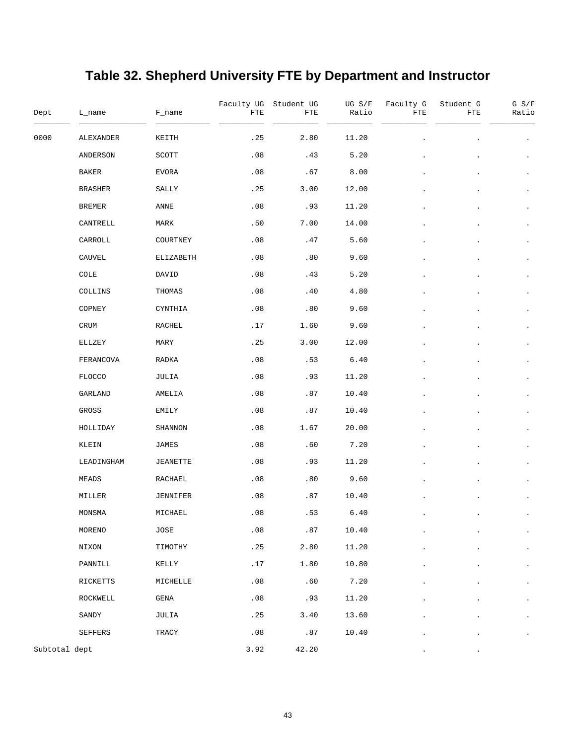# **Table 32. Shepherd University FTE by Department and Instructor**

| Dept          | L_name         | F_name          | FTE  | Faculty UG Student UG<br>FTE | UG S/F<br>Ratio | Faculty G<br>FTE | Student G<br>FTE | $G$ $S/F$<br>Ratio   |
|---------------|----------------|-----------------|------|------------------------------|-----------------|------------------|------------------|----------------------|
| 0000          | ALEXANDER      | KEITH           | .25  | 2.80                         | 11.20           |                  |                  |                      |
|               | ANDERSON       | SCOTT           | .08  | .43                          | 5.20            |                  |                  |                      |
|               | BAKER          | EVORA           | .08  | .67                          | 8.00            |                  |                  | $\bullet$            |
|               | <b>BRASHER</b> | SALLY           | .25  | 3.00                         | 12.00           |                  |                  | $\bullet$            |
|               | <b>BREMER</b>  | ANNE            | .08  | .93                          | 11.20           |                  |                  | $\bullet$            |
|               | CANTRELL       | MARK            | .50  | 7.00                         | 14.00           |                  |                  | $\bullet$            |
|               | CARROLL        | COURTNEY        | .08  | .47                          | 5.60            |                  |                  | $\bullet$            |
|               | CAUVEL         | ELIZABETH       | .08  | .80                          | 9.60            |                  |                  | $\bullet$            |
|               | COLE           | DAVID           | .08  | .43                          | 5.20            |                  |                  | $\bullet$            |
|               | COLLINS        | THOMAS          | .08  | .40                          | 4.80            |                  |                  | $\bullet$            |
|               | COPNEY         | CYNTHIA         | .08  | .80                          | 9.60            |                  |                  | $\bullet$            |
|               | CRUM           | <b>RACHEL</b>   | .17  | 1.60                         | 9.60            |                  |                  |                      |
|               | ELLZEY         | MARY            | .25  | 3.00                         | 12.00           |                  |                  | $\bullet$            |
|               | FERANCOVA      | RADKA           | .08  | .53                          | 6.40            |                  |                  | $\bullet$            |
|               | <b>FLOCCO</b>  | JULIA           | .08  | .93                          | 11.20           |                  |                  | $\bullet$            |
|               | GARLAND        | AMELIA          | .08  | .87                          | 10.40           |                  |                  | $\bullet$            |
|               | GROSS          | EMILY           | .08  | .87                          | 10.40           |                  |                  | $\bullet$            |
|               | HOLLIDAY       | SHANNON         | .08  | 1.67                         | 20.00           |                  |                  |                      |
|               | KLEIN          | JAMES           | .08  | .60                          | 7.20            |                  |                  |                      |
|               | LEADINGHAM     | <b>JEANETTE</b> | .08  | .93                          | 11.20           |                  |                  |                      |
|               | MEADS          | RACHAEL         | .08  | .80                          | 9.60            |                  |                  |                      |
|               | MILLER         | JENNIFER        | .08  | .87                          | 10.40           |                  |                  |                      |
|               | MONSMA         | MICHAEL         | .08  | .53                          | 6.40            |                  |                  |                      |
|               | MORENO         | JOSE            | .08  | .87                          | 10.40           |                  |                  | $\bullet$            |
|               | NIXON          | TIMOTHY         | .25  | 2.80                         | 11.20           |                  |                  | $\bullet$            |
|               | PANNILL        | KELLY           | .17  | 1.80                         | 10.80           |                  |                  | $\bullet$            |
|               | RICKETTS       | MICHELLE        | .08  | .60                          | 7.20            |                  |                  | $\bullet$            |
|               | ROCKWELL       | GENA            | .08  | .93                          | 11.20           |                  |                  | $\ddot{\phantom{0}}$ |
|               | SANDY          | JULIA           | .25  | 3.40                         | 13.60           |                  |                  | $\bullet$            |
|               | SEFFERS        | TRACY           | .08  | .87                          | 10.40           |                  |                  |                      |
| Subtotal dept |                |                 | 3.92 | 42.20                        |                 |                  |                  |                      |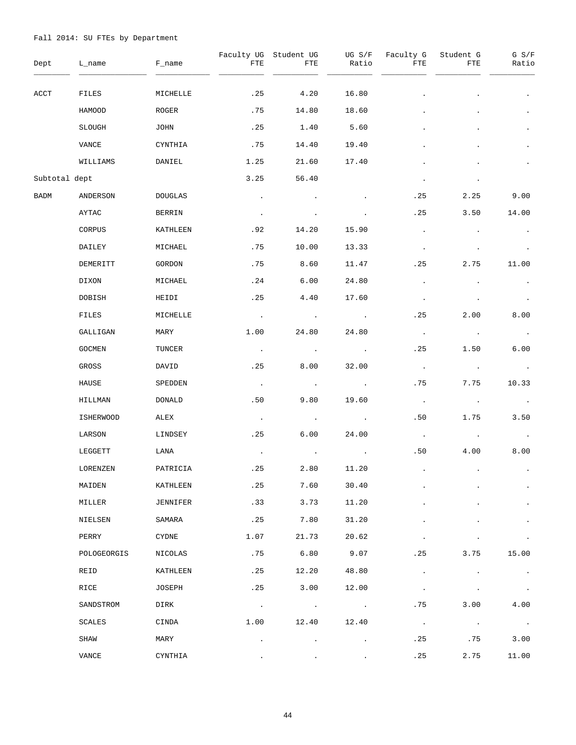| Dept          | L_name           | F_name         | Faculty UG<br>FTE | Student UG<br>FTE | UG S/F<br>Ratio          | Faculty G<br>FTE | Student G<br>FTE | G S/F<br>Ratio        |
|---------------|------------------|----------------|-------------------|-------------------|--------------------------|------------------|------------------|-----------------------|
| ACCT          | FILES            | MICHELLE       | .25               | 4.20              | 16.80                    |                  |                  | $\bullet$             |
|               | HAMOOD           | ROGER          | .75               | 14.80             | 18.60                    |                  |                  | $\bullet$             |
|               | SLOUGH           | JOHN           | .25               | 1.40              | 5.60                     |                  |                  | $\bullet$             |
|               | VANCE            | CYNTHIA        | .75               | 14.40             | 19.40                    |                  |                  | $\bullet$             |
|               | WILLIAMS         | DANIEL         | 1.25              | 21.60             | 17.40                    |                  |                  | $\bullet$             |
| Subtotal dept |                  |                | 3.25              | 56.40             |                          | $\bullet$        |                  |                       |
| BADM          | ANDERSON         | <b>DOUGLAS</b> | $\bullet$         |                   |                          | .25              | 2.25             | 9.00                  |
|               | AYTAC            | BERRIN         | $\sim$            |                   |                          | .25              | 3.50             | 14.00                 |
|               | CORPUS           | KATHLEEN       | .92               | 14.20             | 15.90                    | $\bullet$        |                  | $\bullet$             |
|               | DAILEY           | MICHAEL        | .75               | 10.00             | 13.33                    | $\bullet$        |                  |                       |
|               | DEMERITT         | GORDON         | .75               | 8.60              | 11.47                    | .25              | 2.75             | 11.00                 |
|               | DIXON            | MICHAEL        | .24               | 6.00              | 24.80                    | $\cdot$          |                  | $\bullet$             |
|               | DOBISH           | HEIDI          | .25               | 4.40              | 17.60                    | $\cdot$          |                  | $\bullet$             |
|               | FILES            | MICHELLE       | $\sim 100$        | $\sim 100$        | $\sim 100$ km s $^{-1}$  | .25              | 2.00             | 8.00                  |
|               | GALLIGAN         | MARY           | 1.00              | 24.80             | 24.80                    | $\sim$           | $\sim$           | $\sim$ 100 $\pm$      |
|               | GOCMEN           | TUNCER         | $\sim$ $\sim$     | $\sim$ $\sim$     | $\sim 100$ km s $^{-1}$  | .25              | 1.50             | 6.00                  |
|               | GROSS            | DAVID          | .25               | 8.00              | 32.00                    | $\sim$           | $\bullet$        | $\sim 100$            |
|               | HAUSE            | SPEDDEN        | $\sim$ $\sim$     | $\sim 100$        | $\sim$                   | .75              | 7.75             | 10.33                 |
|               | HILLMAN          | DONALD         | .50               | 9.80              | 19.60                    | $\sim$           | $\sim 100$       | $\sim 100$            |
|               | <b>ISHERWOOD</b> | ALEX           | $\sim$            | $\sim 100$        | $\sim$                   | .50              | 1.75             | 3.50                  |
|               | LARSON           | LINDSEY        | .25               | 6.00              | 24.00                    | $\sim$ $\sim$    | $\sim$           | $\sim 100$            |
|               | LEGGETT          | LANA           |                   |                   |                          | .50              | 4.00             | 8.00                  |
|               | LORENZEN         | PATRICIA       | .25               | 2.80              | 11.20                    |                  |                  |                       |
|               | MAIDEN           | KATHLEEN       | .25               | 7.60              | 30.40                    |                  |                  | $\bullet$             |
|               | MILLER           | JENNIFER       | .33               | 3.73              | 11.20                    |                  |                  |                       |
|               | NIELSEN          | SAMARA         | .25               | 7.80              | 31.20                    |                  |                  |                       |
|               | PERRY            | CYDNE          | 1.07              | 21.73             | 20.62                    |                  |                  |                       |
|               | POLOGEORGIS      | NICOLAS        | .75               | 6.80              | 9.07                     | .25              | 3.75             | 15.00                 |
|               | REID             | KATHLEEN       | .25               | 12.20             | 48.80                    |                  |                  | $\cdot$               |
|               | RICE             | JOSEPH         | .25               | 3.00              | 12.00                    |                  |                  |                       |
|               | SANDSTROM        | DIRK           | $\sim$ $\sim$     | $\sim$            | <b>Contract Contract</b> | .75              | 3.00             | 4.00                  |
|               | SCALES           | CINDA          | 1.00              | 12.40             | 12.40                    | $\sim$           | $\bullet$        | $\sim 100$ km $^{-1}$ |
|               | SHAW             | MARY           |                   |                   |                          | .25              | . 75             | 3.00                  |
|               | VANCE            | CYNTHIA        |                   |                   |                          | .25              | 2.75             | 11.00                 |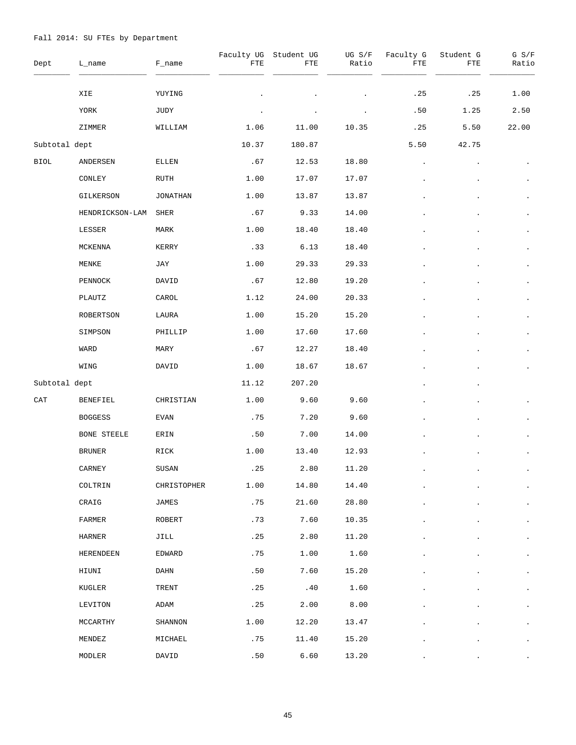| Dept          | L_name            | F_name          | Faculty UG<br>FTE           | Student UG<br>FTE | UG S/F<br>Ratio | Faculty G<br>FTE | Student G<br>FTE | G S/F<br>Ratio |
|---------------|-------------------|-----------------|-----------------------------|-------------------|-----------------|------------------|------------------|----------------|
|               | XIE               | YUYING          |                             |                   |                 | .25              | .25              | 1.00           |
|               | YORK              | JUDY            |                             |                   |                 | .50              | 1.25             | 2.50           |
|               | ZIMMER            | WILLIAM         | 1.06                        | 11.00             | 10.35           | .25              | 5.50             | 22.00          |
| Subtotal dept |                   |                 | 10.37                       | 180.87            |                 | 5.50             | 42.75            |                |
| <b>BIOL</b>   | ANDERSEN          | ELLEN           | .67                         | 12.53             | 18.80           |                  |                  |                |
|               | CONLEY            | RUTH            | 1.00                        | 17.07             | 17.07           |                  |                  |                |
|               | GILKERSON         | <b>JONATHAN</b> | 1.00                        | 13.87             | 13.87           |                  |                  |                |
|               | HENDRICKSON-LAM   | SHER            | .67                         | 9.33              | 14.00           |                  |                  |                |
|               | LESSER            | MARK            | 1.00                        | 18.40             | 18.40           |                  |                  | $\bullet$      |
|               | MCKENNA           | KERRY           | .33                         | 6.13              | 18.40           |                  |                  |                |
|               | MENKE             | JAY             | 1.00                        | 29.33             | 29.33           |                  |                  | $\bullet$      |
|               | PENNOCK           | DAVID           | .67                         | 12.80             | 19.20           |                  |                  | $\bullet$      |
|               | PLAUTZ            | CAROL           | 1.12                        | 24.00             | 20.33           |                  |                  | $\bullet$      |
|               | ROBERTSON         | LAURA           | 1.00                        | 15.20             | 15.20           |                  |                  | $\bullet$      |
|               | SIMPSON           | PHILLIP         | 1.00                        | 17.60             | 17.60           |                  |                  | $\bullet$      |
|               | WARD              | MARY            | .67                         | 12.27             | 18.40           |                  |                  | $\bullet$      |
|               | WING              | DAVID           | 1.00                        | 18.67             | 18.67           |                  |                  | $\bullet$      |
| Subtotal dept |                   |                 | 11.12                       | 207.20            |                 |                  |                  |                |
| CAT           | BENEFIEL          | CHRISTIAN       | 1.00                        | 9.60              | 9.60            |                  |                  |                |
|               | <b>BOGGESS</b>    | EVAN            | .75                         | 7.20              | 9.60            |                  |                  |                |
|               | BONE STEELE       | ERIN            | .50                         | 7.00              | 14.00           |                  |                  |                |
|               | BRUNER            | RICK            | 1.00                        | 13.40             | 12.93           |                  |                  |                |
|               | CARNEY            | SUSAN           | $\boldsymbol{\mathsf{.25}}$ | 2.80              | 11.20           |                  |                  |                |
|               | COLTRIN           | CHRISTOPHER     | 1.00                        | 14.80             | 14.40           |                  |                  |                |
|               | CRAIG             | JAMES           | .75                         | 21.60             | 28.80           |                  |                  |                |
|               | FARMER            | ROBERT          | .73                         | 7.60              | 10.35           |                  |                  | $\bullet$      |
|               | HARNER            | JILL            | .25                         | 2.80              | 11.20           |                  |                  |                |
|               | HERENDEEN         | EDWARD          | .75                         | 1.00              | 1.60            |                  |                  |                |
|               | HIUNI             | DAHN            | .50                         | 7.60              | 15.20           |                  |                  |                |
|               | KUGLER            | TRENT           | .25                         | .40               | 1.60            |                  |                  |                |
|               | LEVITON           | ADAM            | .25                         | 2.00              | 8.00            |                  |                  |                |
|               | MCCARTHY          | SHANNON         | 1.00                        | 12.20             | 13.47           |                  |                  |                |
|               | MENDEZ            | MICHAEL         | .75                         | 11.40             | 15.20           |                  |                  | $\bullet$      |
|               | $\texttt{MODLER}$ | DAVID           | .50                         | 6.60              | 13.20           |                  |                  |                |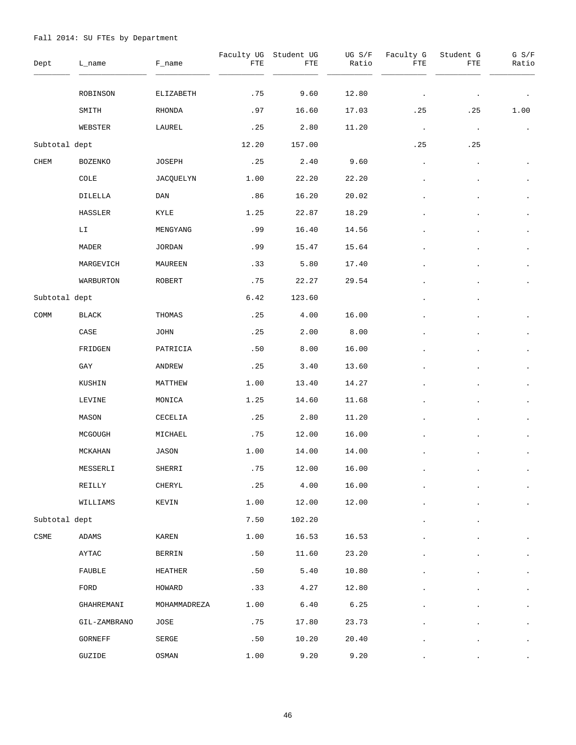| Dept                         | L_name          | $F\_name$     | Faculty UG<br>FTE | Student UG<br>${\tt FTE}$ | UG $S/F$<br>Ratio | Faculty G<br>FTE | Student G<br>FTE | G S/F<br>Ratio |
|------------------------------|-----------------|---------------|-------------------|---------------------------|-------------------|------------------|------------------|----------------|
|                              | ROBINSON        | ELIZABETH     | .75               | 9.60                      | 12.80             |                  |                  |                |
|                              | SMITH           | RHONDA        | .97               | 16.60                     | 17.03             | .25              | .25              | 1.00           |
|                              | WEBSTER         | LAUREL        | .25               | 2.80                      | 11.20             | $\sim$           | $\bullet$        |                |
| Subtotal dept                |                 |               | 12.20             | 157.00                    |                   | .25              | .25              |                |
| CHEM                         | <b>BOZENKO</b>  | JOSEPH        | .25               | 2.40                      | 9.60              | $\bullet$        | $\bullet$        |                |
|                              | COLE            | JACQUELYN     | 1.00              | 22.20                     | 22.20             |                  |                  |                |
|                              | DILELLA         | DAN           | .86               | 16.20                     | 20.02             |                  |                  | $\bullet$      |
|                              | HASSLER         | KYLE          | 1.25              | 22.87                     | 18.29             |                  |                  |                |
|                              | LI              | MENGYANG      | .99               | 16.40                     | 14.56             |                  |                  | $\bullet$      |
|                              | MADER           | <b>JORDAN</b> | .99               | 15.47                     | 15.64             |                  |                  |                |
|                              | MARGEVICH       | MAUREEN       | .33               | 5.80                      | 17.40             |                  |                  | $\bullet$      |
|                              | WARBURTON       | ROBERT        | .75               | 22.27                     | 29.54             |                  |                  |                |
| Subtotal dept                |                 |               | 6.42              | 123.60                    |                   |                  |                  |                |
| $\mathop{\mathsf{COMM}}$     | BLACK           | THOMAS        | .25               | 4.00                      | 16.00             |                  |                  |                |
|                              | $\texttt{CASE}$ | <b>JOHN</b>   | .25               | 2.00                      | 8.00              |                  |                  |                |
|                              | FRIDGEN         | PATRICIA      | .50               | 8.00                      | 16.00             |                  |                  |                |
|                              | GAY             | ANDREW        | .25               | 3.40                      | 13.60             |                  |                  | $\bullet$      |
|                              | KUSHIN          | MATTHEW       | 1.00              | 13.40                     | 14.27             |                  |                  | $\bullet$      |
|                              | LEVINE          | MONICA        | 1.25              | 14.60                     | 11.68             |                  |                  | $\bullet$      |
|                              | MASON           | CECELIA       | .25               | 2.80                      | 11.20             |                  |                  |                |
|                              | MCGOUGH         | MICHAEL       | .75               | 12.00                     | 16.00             |                  |                  | $\bullet$      |
|                              | MCKAHAN         | JASON         | 1.00              | 14.00                     | 14.00             |                  |                  |                |
|                              | MESSERLI        | SHERRI        | .75               | 12.00                     | 16.00             |                  |                  |                |
|                              | REILLY          | CHERYL        | .25               | 4.00                      | 16.00             |                  |                  | $\bullet$      |
|                              | WILLIAMS        | KEVIN         | 1.00              | 12.00                     | 12.00             |                  |                  |                |
| Subtotal dept                |                 |               | 7.50              | 102.20                    |                   |                  |                  |                |
| $\ensuremath{\mathsf{CSME}}$ | ADAMS           | KAREN         | 1.00              | 16.53                     | 16.53             |                  |                  |                |
|                              | AYTAC           | BERRIN        | .50               | 11.60                     | 23.20             |                  |                  | $\bullet$      |
|                              | FAUBLE          | HEATHER       | .50               | 5.40                      | 10.80             |                  |                  | $\cdot$        |
|                              | FORD            | HOWARD        | .33               | 4.27                      | 12.80             |                  |                  | $\bullet$      |
|                              | GHAHREMANI      | MOHAMMADREZA  | 1.00              | 6.40                      | 6.25              |                  |                  | $\bullet$      |
|                              | GIL-ZAMBRANO    | JOSE          | .75               | 17.80                     | 23.73             |                  |                  | $\bullet$      |
|                              | GORNEFF         | SERGE         | .50               | 10.20                     | 20.40             |                  |                  | $\bullet$      |
|                              | GUZIDE          | OSMAN         | 1.00              | 9.20                      | 9.20              |                  |                  |                |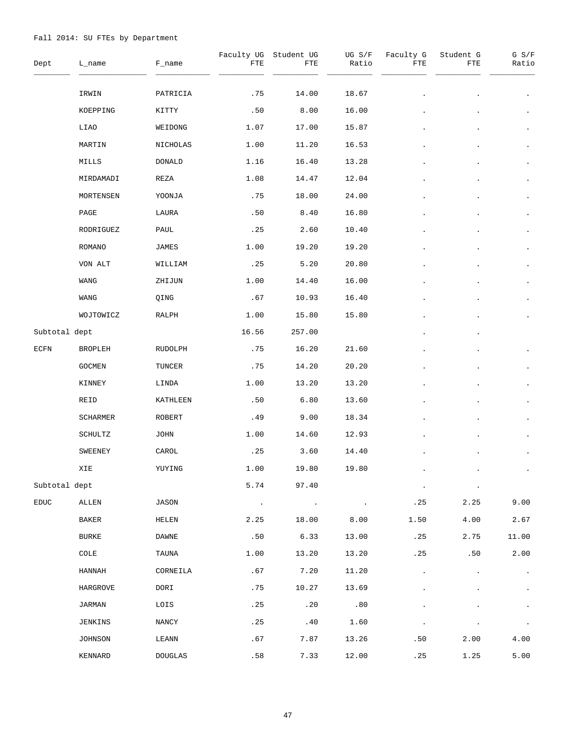| Dept          | L_name       | F_name         | FTE        | Faculty UG Student UG<br>FTE | UG S/F<br>Ratio | Faculty G<br>FTE | Student G<br>FTE | $G$ $S/F$<br>Ratio |
|---------------|--------------|----------------|------------|------------------------------|-----------------|------------------|------------------|--------------------|
|               | IRWIN        | PATRICIA       | .75        | 14.00                        | 18.67           |                  |                  | $\bullet$          |
|               | KOEPPING     | KITTY          | .50        | 8.00                         | 16.00           |                  |                  | $\bullet$          |
|               | LIAO         | WEIDONG        | 1.07       | 17.00                        | 15.87           |                  |                  | $\bullet$          |
|               | MARTIN       | NICHOLAS       | 1.00       | 11.20                        | 16.53           |                  |                  |                    |
|               | MILLS        | DONALD         | 1.16       | 16.40                        | 13.28           |                  |                  | $\bullet$          |
|               | MIRDAMADI    | REZA           | 1.08       | 14.47                        | 12.04           |                  |                  | $\bullet$          |
|               | MORTENSEN    | YOONJA         | .75        | 18.00                        | 24.00           |                  |                  | $\bullet$          |
|               | PAGE         | LAURA          | .50        | 8.40                         | 16.80           |                  |                  | $\bullet$          |
|               | RODRIGUEZ    | PAUL           | .25        | 2.60                         | 10.40           |                  |                  | $\bullet$          |
|               | ROMANO       | JAMES          | 1.00       | 19.20                        | 19.20           |                  |                  | $\bullet$          |
|               | VON ALT      | WILLIAM        | .25        | 5.20                         | 20.80           |                  |                  | $\bullet$          |
|               | WANG         | ZHIJUN         | 1.00       | 14.40                        | 16.00           |                  |                  |                    |
|               | WANG         | QING           | .67        | 10.93                        | 16.40           |                  |                  | $\bullet$          |
|               | WOJTOWICZ    | RALPH          | 1.00       | 15.80                        | 15.80           |                  |                  |                    |
| Subtotal dept |              |                | 16.56      | 257.00                       |                 |                  |                  |                    |
| ECFN          | BROPLEH      | RUDOLPH        | .75        | 16.20                        | 21.60           |                  |                  |                    |
|               | GOCMEN       | TUNCER         | .75        | 14.20                        | 20.20           |                  |                  |                    |
|               | KINNEY       | LINDA          | 1.00       | 13.20                        | 13.20           |                  |                  |                    |
|               | REID         | KATHLEEN       | .50        | 6.80                         | 13.60           |                  |                  |                    |
|               | SCHARMER     | ROBERT         | .49        | 9.00                         | 18.34           |                  |                  |                    |
|               | SCHULTZ      | JOHN           | 1.00       | 14.60                        | 12.93           |                  |                  |                    |
|               | SWEENEY      | CAROL          | .25        | 3.60                         | 14.40           |                  |                  |                    |
|               | XIE          | YUYING         | 1.00       | 19.80                        | 19.80           |                  |                  |                    |
| Subtotal dept |              |                | 5.74       | 97.40                        |                 |                  |                  |                    |
| <b>EDUC</b>   | ALLEN        | JASON          | $\sim 100$ | $\sim$ $\sim$                | $\bullet$       | .25              | 2.25             | 9.00               |
|               | BAKER        | HELEN          | 2.25       | 18.00                        | 8.00            | 1.50             | 4.00             | 2.67               |
|               | <b>BURKE</b> | DAWNE          | .50        | 6.33                         | 13.00           | .25              | 2.75             | 11.00              |
|               | COLE         | TAUNA          | 1.00       | 13.20                        | 13.20           | .25              | .50              | 2.00               |
|               | HANNAH       | CORNEILA       | .67        | 7.20                         | 11.20           |                  |                  | $\bullet$          |
|               | HARGROVE     | DORI           | .75        | 10.27                        | 13.69           |                  |                  | $\bullet$          |
|               | JARMAN       | LOIS           | .25        | .20                          | .80             |                  |                  |                    |
|               | JENKINS      | NANCY          | .25        | .40                          | 1.60            |                  |                  | $\bullet$          |
|               | JOHNSON      | LEANN          | .67        | 7.87                         | 13.26           | .50              | 2.00             | 4.00               |
|               | KENNARD      | <b>DOUGLAS</b> | .58        | 7.33                         | 12.00           | .25              | 1.25             | 5.00               |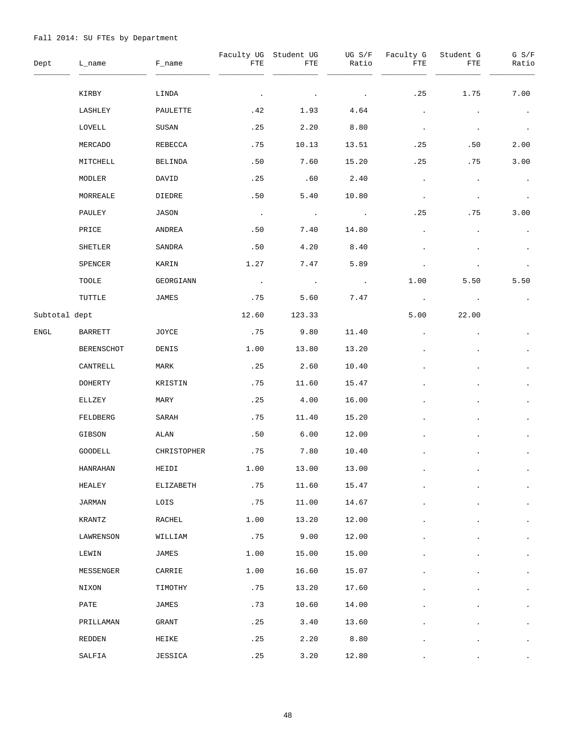| Dept          | L_name        | F_name      | FTE           | Faculty UG Student UG<br>FTE | UG S/F<br>Ratio         | Faculty G<br>FTE | Student G<br>FTE | $G$ $S/F$<br>Ratio |
|---------------|---------------|-------------|---------------|------------------------------|-------------------------|------------------|------------------|--------------------|
|               | KIRBY         | LINDA       |               |                              | $\cdot$                 | .25              | 1.75             | 7.00               |
|               | LASHLEY       | PAULETTE    | .42           | 1.93                         | 4.64                    | $\bullet$        |                  | $\bullet$          |
|               | LOVELL        | SUSAN       | .25           | 2.20                         | 8.80                    | $\bullet$        |                  | $\bullet$          |
|               | MERCADO       | REBECCA     | .75           | 10.13                        | 13.51                   | .25              | .50              | 2.00               |
|               | MITCHELL      | BELINDA     | .50           | 7.60                         | 15.20                   | .25              | .75              | 3.00               |
|               | MODLER        | DAVID       | .25           | .60                          | 2.40                    | $\bullet$        | $\bullet$        | $\bullet$          |
|               | MORREALE      | DIEDRE      | .50           | 5.40                         | 10.80                   | $\bullet$        | $\cdot$          | $\bullet$          |
|               | PAULEY        | JASON       | $\sim$        | $\sim 100$ km s $^{-1}$      | $\sim 100$              | .25              | . 75             | 3.00               |
|               | PRICE         | ANDREA      | .50           | 7.40                         | 14.80                   |                  |                  | $\bullet$          |
|               | SHETLER       | SANDRA      | .50           | 4.20                         | 8.40                    |                  |                  |                    |
|               | SPENCER       | KARIN       | 1.27          | 7.47                         | 5.89                    |                  |                  |                    |
|               | TOOLE         | GEORGIANN   | $\sim$ $\sim$ | $\sim 100$                   | $\sim 100$ km s $^{-1}$ | 1.00             | 5.50             | 5.50               |
|               | TUTTLE        | JAMES       | .75           | 5.60                         | 7.47                    | $\blacksquare$ . |                  | $\bullet$          |
| Subtotal dept |               |             | 12.60         | 123.33                       |                         | 5.00             | 22.00            |                    |
| ENGL          | BARRETT       | JOYCE       | .75           | 9.80                         | 11.40                   |                  |                  |                    |
|               | BERENSCHOT    | DENIS       | 1.00          | 13.80                        | 13.20                   |                  |                  |                    |
|               | CANTRELL      | MARK        | .25           | 2.60                         | 10.40                   |                  |                  | $\bullet$          |
|               | DOHERTY       | KRISTIN     | .75           | 11.60                        | 15.47                   |                  |                  |                    |
|               | ELLZEY        | MARY        | .25           | 4.00                         | 16.00                   |                  |                  | $\bullet$          |
|               | FELDBERG      | SARAH       | .75           | 11.40                        | 15.20                   |                  |                  |                    |
|               | GIBSON        | ALAN        | .50           | 6.00                         | 12.00                   |                  |                  | $\bullet$          |
|               | GOODELL       | CHRISTOPHER | .75           | 7.80                         | 10.40                   |                  |                  |                    |
|               | HANRAHAN      | HEIDI       | 1.00          | 13.00                        | 13.00                   |                  |                  |                    |
|               | HEALEY        | ELIZABETH   | .75           | 11.60                        | 15.47                   |                  |                  | $\bullet$          |
|               | <b>JARMAN</b> | LOIS        | .75           | 11.00                        | 14.67                   |                  |                  | $\bullet$          |
|               | KRANTZ        | RACHEL      | 1.00          | 13.20                        | 12.00                   |                  |                  | $\bullet$          |
|               | LAWRENSON     | WILLIAM     | .75           | 9.00                         | 12.00                   |                  |                  | $\bullet$          |
|               | LEWIN         | JAMES       | 1.00          | 15.00                        | 15.00                   |                  |                  | $\bullet$          |
|               | MESSENGER     | CARRIE      | 1.00          | 16.60                        | 15.07                   |                  |                  | $\bullet$          |
|               | NIXON         | TIMOTHY     | .75           | 13.20                        | 17.60                   |                  |                  | $\bullet$          |
|               | PATE          | JAMES       | .73           | 10.60                        | 14.00                   |                  |                  | $\bullet$          |
|               | PRILLAMAN     | GRANT       | .25           | 3.40                         | 13.60                   |                  |                  | $\bullet$          |
|               | REDDEN        | HEIKE       | .25           | 2.20                         | 8.80                    |                  |                  | $\bullet$          |
|               | SALFIA        | JESSICA     | .25           | 3.20                         | 12.80                   |                  |                  |                    |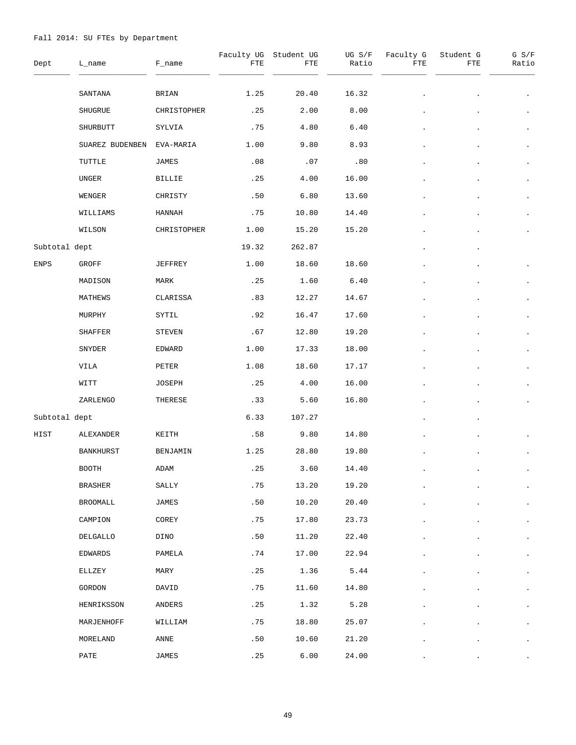| Dept          | L_name           | F_name         | FTE                     | Faculty UG Student UG<br>FTE | UG S/F<br>Ratio | Faculty G<br>FTE | Student G<br>FTE | $G$ $S/F$<br>Ratio |
|---------------|------------------|----------------|-------------------------|------------------------------|-----------------|------------------|------------------|--------------------|
|               | SANTANA          | <b>BRIAN</b>   | 1.25                    | 20.40                        | 16.32           |                  |                  |                    |
|               | SHUGRUE          | CHRISTOPHER    | .25                     | 2.00                         | 8.00            |                  |                  |                    |
|               | SHURBUTT         | SYLVIA         | .75                     | 4.80                         | 6.40            |                  |                  | $\bullet$          |
|               | SUAREZ BUDENBEN  | EVA-MARIA      | 1.00                    | 9.80                         | 8.93            |                  |                  |                    |
|               | TUTTLE           | JAMES          | .08                     | .07                          | .80             |                  |                  | $\bullet$          |
|               | UNGER            | BILLIE         | .25                     | 4.00                         | 16.00           |                  |                  | $\bullet$          |
|               | WENGER           | CHRISTY        | .50                     | 6.80                         | 13.60           |                  |                  | $\bullet$          |
|               | WILLIAMS         | HANNAH         | .75                     | 10.80                        | 14.40           |                  |                  | $\cdot$            |
|               | WILSON           | CHRISTOPHER    | 1.00                    | 15.20                        | 15.20           |                  |                  |                    |
| Subtotal dept |                  |                | 19.32                   | 262.87                       |                 |                  |                  |                    |
| <b>ENPS</b>   | GROFF            | <b>JEFFREY</b> | 1.00                    | 18.60                        | 18.60           |                  |                  |                    |
|               | MADISON          | MARK           | .25                     | 1.60                         | 6.40            |                  |                  |                    |
|               | MATHEWS          | CLARISSA       | .83                     | 12.27                        | 14.67           |                  |                  | $\bullet$          |
|               | MURPHY           | SYTIL          | .92                     | 16.47                        | 17.60           |                  |                  |                    |
|               | SHAFFER          | STEVEN         | .67                     | 12.80                        | 19.20           |                  |                  | $\bullet$          |
|               | SNYDER           | EDWARD         | 1.00                    | 17.33                        | 18.00           |                  |                  |                    |
|               | VILA             | PETER          | 1.08                    | 18.60                        | 17.17           |                  |                  |                    |
|               | WITT             | JOSEPH         | .25                     | 4.00                         | 16.00           |                  |                  |                    |
|               | ZARLENGO         | THERESE        | .33                     | 5.60                         | 16.80           |                  |                  | $\bullet$          |
| Subtotal dept |                  |                | 6.33                    | 107.27                       |                 |                  |                  |                    |
| HIST          | ALEXANDER        | KEITH          | .58                     | 9.80                         | 14.80           |                  |                  |                    |
|               | <b>BANKHURST</b> | BENJAMIN       | 1.25                    | 28.80                        | 19.80           |                  |                  |                    |
|               | <b>BOOTH</b>     | ADAM           | $\boldsymbol{\cdot}$ 25 | 3.60                         | 14.40           |                  |                  |                    |
|               | <b>BRASHER</b>   | SALLY          | .75                     | 13.20                        | 19.20           |                  |                  | $\bullet$          |
|               | BROOMALL         | JAMES          | .50                     | 10.20                        | 20.40           |                  |                  | $\bullet$          |
|               | CAMPION          | COREY          | .75                     | 17.80                        | 23.73           |                  |                  | $\bullet$          |
|               | DELGALLO         | DINO           | .50                     | 11.20                        | 22.40           |                  |                  | $\bullet$          |
|               | EDWARDS          | PAMELA         | .74                     | 17.00                        | 22.94           |                  |                  | $\bullet$          |
|               | ELLZEY           | MARY           | .25                     | 1.36                         | 5.44            |                  |                  | $\bullet$          |
|               | GORDON           | DAVID          | .75                     | 11.60                        | 14.80           |                  |                  | $\bullet$          |
|               | HENRIKSSON       | ANDERS         | .25                     | 1.32                         | 5.28            |                  |                  | $\bullet$          |
|               | MARJENHOFF       | WILLIAM        | .75                     | 18.80                        | 25.07           |                  |                  | $\bullet$          |
|               | MORELAND         | ANNE           | .50                     | 10.60                        | 21.20           |                  |                  | $\bullet$          |
|               | PATE             | <b>JAMES</b>   | .25                     | 6.00                         | 24.00           |                  |                  |                    |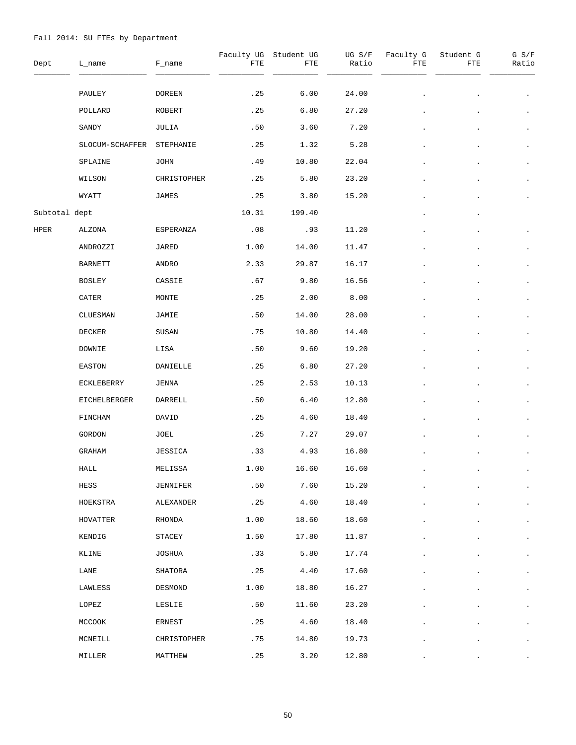| Dept          | L_name          | F_name        | FTE   | Faculty UG Student UG<br>FTE | UG S/F<br>Ratio | Faculty G<br>FTE | Student G<br>FTE | $G$ $S/F$<br>Ratio |
|---------------|-----------------|---------------|-------|------------------------------|-----------------|------------------|------------------|--------------------|
|               | PAULEY          | <b>DOREEN</b> | .25   | 6.00                         | 24.00           |                  |                  |                    |
|               | POLLARD         | ROBERT        | .25   | 6.80                         | 27.20           |                  |                  |                    |
|               | SANDY           | JULIA         | .50   | 3.60                         | 7.20            |                  |                  | $\bullet$          |
|               | SLOCUM-SCHAFFER | STEPHANIE     | .25   | 1.32                         | 5.28            |                  |                  | $\bullet$          |
|               | SPLAINE         | JOHN          | .49   | 10.80                        | 22.04           |                  |                  | $\bullet$          |
|               | WILSON          | CHRISTOPHER   | .25   | 5.80                         | 23.20           |                  |                  | $\bullet$          |
|               | WYATT           | JAMES         | .25   | 3.80                         | 15.20           |                  |                  | $\bullet$          |
| Subtotal dept |                 |               | 10.31 | 199.40                       |                 |                  |                  |                    |
| HPER          | ALZONA          | ESPERANZA     | .08   | .93                          | 11.20           |                  |                  |                    |
|               | ANDROZZI        | JARED         | 1.00  | 14.00                        | 11.47           |                  |                  |                    |
|               | <b>BARNETT</b>  | ANDRO         | 2.33  | 29.87                        | 16.17           |                  |                  | $\bullet$          |
|               | BOSLEY          | CASSIE        | .67   | 9.80                         | 16.56           |                  |                  |                    |
|               | CATER           | MONTE         | .25   | 2.00                         | 8.00            |                  |                  | $\bullet$          |
|               | CLUESMAN        | JAMIE         | .50   | 14.00                        | 28.00           |                  |                  |                    |
|               | DECKER          | SUSAN         | .75   | 10.80                        | 14.40           |                  |                  | $\bullet$          |
|               | DOWNIE          | LISA          | .50   | 9.60                         | 19.20           |                  |                  |                    |
|               | EASTON          | DANIELLE      | .25   | 6.80                         | 27.20           |                  |                  | $\bullet$          |
|               | ECKLEBERRY      | JENNA         | .25   | 2.53                         | 10.13           |                  |                  |                    |
|               | EICHELBERGER    | DARRELL       | .50   | 6.40                         | 12.80           |                  |                  | $\bullet$          |
|               | FINCHAM         | DAVID         | .25   | 4.60                         | 18.40           |                  |                  |                    |
|               | GORDON          | JOEL          | .25   | 7.27                         | 29.07           |                  |                  | $\bullet$          |
|               | GRAHAM          | JESSICA       | .33   | 4.93                         | 16.80           |                  |                  |                    |
|               | HALL            | MELISSA       | 1.00  | 16.60                        | 16.60           |                  |                  |                    |
|               | HESS            | JENNIFER      | .50   | 7.60                         | 15.20           |                  |                  | $\bullet$          |
|               | HOEKSTRA        | ALEXANDER     | .25   | 4.60                         | 18.40           |                  |                  | $\bullet$          |
|               | <b>HOVATTER</b> | RHONDA        | 1.00  | 18.60                        | 18.60           |                  |                  | $\bullet$          |
|               | KENDIG          | STACEY        | 1.50  | 17.80                        | 11.87           |                  |                  | $\bullet$          |
|               | KLINE           | JOSHUA        | .33   | 5.80                         | 17.74           |                  |                  | $\bullet$          |
|               | LANE            | SHATORA       | .25   | 4.40                         | 17.60           |                  |                  | $\bullet$          |
|               | LAWLESS         | DESMOND       | 1.00  | 18.80                        | 16.27           |                  |                  | $\bullet$          |
|               | LOPEZ           | LESLIE        | .50   | 11.60                        | 23.20           |                  |                  | $\bullet$          |
|               | MCCOOK          | ERNEST        | .25   | 4.60                         | 18.40           |                  |                  | $\bullet$          |
|               | MCNEILL         | CHRISTOPHER   | .75   | 14.80                        | 19.73           |                  |                  | $\bullet$          |
|               | MILLER          | MATTHEW       | .25   | 3.20                         | 12.80           |                  |                  |                    |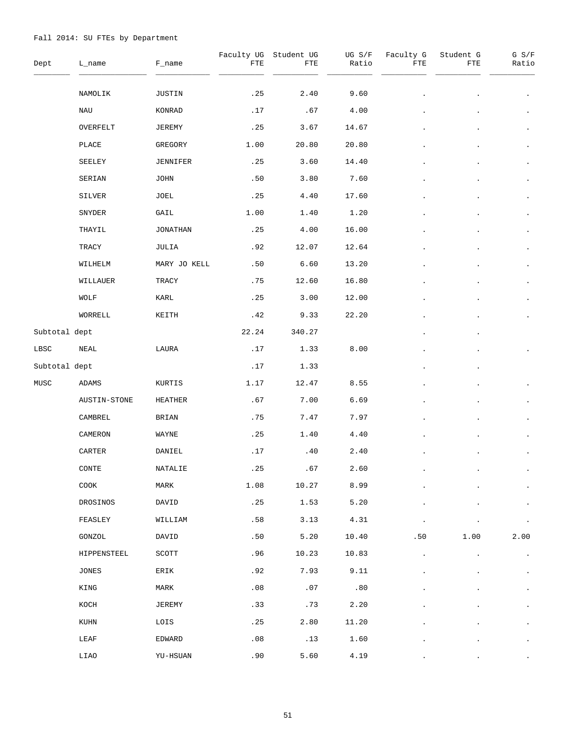| Dept          | L_name           | F_name        | FTE   | Faculty UG Student UG<br>${\tt FTE}$ | UG S/F<br>Ratio | Faculty G<br>FTE | Student G<br>FTE | G S/F<br>Ratio |
|---------------|------------------|---------------|-------|--------------------------------------|-----------------|------------------|------------------|----------------|
|               | NAMOLIK          | JUSTIN        | .25   | 2.40                                 | 9.60            |                  |                  |                |
|               | NAU              | KONRAD        | .17   | .67                                  | 4.00            |                  |                  |                |
|               | OVERFELT         | JEREMY        | .25   | 3.67                                 | 14.67           |                  |                  | $\bullet$      |
|               | PLACE            | GREGORY       | 1.00  | 20.80                                | 20.80           |                  |                  | $\bullet$      |
|               | SEELEY           | JENNIFER      | .25   | 3.60                                 | 14.40           |                  |                  | $\bullet$      |
|               | SERIAN           | <b>JOHN</b>   | .50   | 3.80                                 | 7.60            |                  |                  | $\bullet$      |
|               | SILVER           | JOEL          | .25   | 4.40                                 | 17.60           |                  |                  | $\bullet$      |
|               | SNYDER           | GAIL          | 1.00  | 1.40                                 | 1.20            |                  |                  | $\bullet$      |
|               | THAYIL           | JONATHAN      | .25   | 4.00                                 | 16.00           |                  |                  | $\bullet$      |
|               | TRACY            | JULIA         | .92   | 12.07                                | 12.64           |                  |                  | $\bullet$      |
|               | WILHELM          | MARY JO KELL  | .50   | 6.60                                 | 13.20           |                  |                  | $\bullet$      |
|               | WILLAUER         | TRACY         | .75   | 12.60                                | 16.80           |                  |                  | $\bullet$      |
|               | WOLF             | KARL          | .25   | 3.00                                 | 12.00           |                  |                  | $\bullet$      |
|               | WORRELL          | KEITH         | .42   | 9.33                                 | 22.20           |                  |                  |                |
| Subtotal dept |                  |               | 22.24 | 340.27                               |                 |                  |                  |                |
| LBSC          | NEAL             | LAURA         | .17   | 1.33                                 | 8.00            |                  |                  |                |
| Subtotal dept |                  |               | .17   | 1.33                                 |                 |                  |                  |                |
| MUSC          | ADAMS            | KURTIS        | 1.17  | 12.47                                | 8.55            |                  |                  |                |
|               | AUSTIN-STONE     | HEATHER       | .67   | 7.00                                 | 6.69            |                  |                  |                |
|               | CAMBREL          | BRIAN         | .75   | 7.47                                 | 7.97            |                  |                  |                |
|               | CAMERON          | WAYNE         | .25   | 1.40                                 | 4.40            |                  |                  |                |
|               | CARTER           | DANIEL        | .17   | .40                                  | 2.40            |                  |                  |                |
|               | $\texttt{CONTE}$ | NATALIE       | .25   | .67                                  | 2.60            |                  |                  |                |
|               | COOK             | MARK          | 1.08  | 10.27                                | 8.99            |                  |                  |                |
|               | DROSINOS         | DAVID         | .25   | 1.53                                 | 5.20            |                  |                  |                |
|               | FEASLEY          | WILLIAM       | .58   | 3.13                                 | 4.31            |                  |                  |                |
|               | GONZOL           | DAVID         | .50   | 5.20                                 | 10.40           | .50              | 1.00             | 2.00           |
|               | HIPPENSTEEL      | SCOTT         | .96   | 10.23                                | 10.83           |                  |                  | $\bullet$      |
|               | JONES            | ERIK          | .92   | 7.93                                 | 9.11            |                  |                  |                |
|               | KING             | MARK          | .08   | .07                                  | .80             |                  |                  | $\bullet$      |
|               | KOCH             | <b>JEREMY</b> | .33   | .73                                  | 2.20            |                  |                  |                |
|               | KUHN             | LOIS          | .25   | 2.80                                 | 11.20           |                  |                  |                |
|               | LEAF             | EDWARD        | .08   | .13                                  | 1.60            |                  |                  |                |
|               | LIAO             | YU-HSUAN      | .90   | 5.60                                 | 4.19            |                  |                  |                |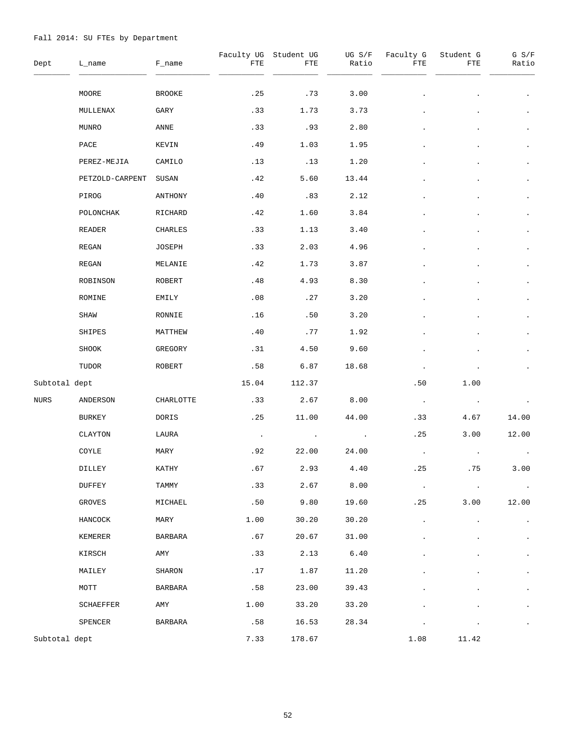| Dept          | L_name          | F_name         | Faculty UG<br>FTE | Student UG<br>FTE | UG S/F<br>Ratio | Faculty G<br>FTE | Student G<br>FTE | G S/F<br>Ratio |
|---------------|-----------------|----------------|-------------------|-------------------|-----------------|------------------|------------------|----------------|
|               | MOORE           | <b>BROOKE</b>  | .25               | .73               | 3.00            |                  |                  | $\bullet$      |
|               | MULLENAX        | GARY           | .33               | 1.73              | 3.73            |                  |                  | $\bullet$      |
|               | MUNRO           | ANNE           | .33               | .93               | 2.80            |                  |                  | $\bullet$      |
|               | PACE            | KEVIN          | .49               | 1.03              | 1.95            |                  |                  | $\bullet$      |
|               | PEREZ-MEJIA     | CAMILO         | .13               | .13               | 1.20            |                  |                  | $\bullet$      |
|               | PETZOLD-CARPENT | SUSAN          | .42               | 5.60              | 13.44           |                  |                  | $\bullet$      |
|               | PIROG           | ANTHONY        | .40               | .83               | 2.12            |                  |                  | $\bullet$      |
|               | POLONCHAK       | RICHARD        | .42               | 1.60              | 3.84            |                  |                  | $\bullet$      |
|               | READER          | CHARLES        | .33               | 1.13              | 3.40            |                  |                  | $\bullet$      |
|               | REGAN           | JOSEPH         | .33               | 2.03              | 4.96            |                  |                  |                |
|               | REGAN           | MELANIE        | .42               | 1.73              | 3.87            |                  |                  | $\bullet$      |
|               | ROBINSON        | ROBERT         | .48               | 4.93              | 8.30            |                  |                  |                |
|               | ROMINE          | EMILY          | .08               | .27               | 3.20            |                  |                  | $\bullet$      |
|               | SHAW            | RONNIE         | .16               | .50               | 3.20            |                  |                  |                |
|               | SHIPES          | MATTHEW        | .40               | .77               | 1.92            |                  |                  |                |
|               | SHOOK           | GREGORY        | .31               | 4.50              | 9.60            |                  |                  |                |
|               | TUDOR           | ROBERT         | .58               | 6.87              | 18.68           |                  |                  |                |
| Subtotal dept |                 |                | 15.04             | 112.37            |                 | .50              | 1.00             |                |
| NURS          | ANDERSON        | CHARLOTTE      | .33               | 2.67              | 8.00            | $\sim$           |                  |                |
|               | BURKEY          | DORIS          | .25               | 11.00             | 44.00           | .33              | 4.67             | 14.00          |
|               | CLAYTON         | LAURA          | $\blacksquare$    |                   |                 | .25              | 3.00             | 12.00          |
|               | COYLE           | MARY           | .92               | 22.00             | 24.00           |                  |                  |                |
|               | DILLEY          | KATHY          | .67               | 2.93              | 4.40            | .25              | .75              | 3.00           |
|               | DUFFEY          | TAMMY          | .33               | 2.67              | 8.00            | $\cdot$          |                  | $\bullet$      |
|               | GROVES          | MICHAEL        | .50               | 9.80              | 19.60           | .25              | 3.00             | 12.00          |
|               | HANCOCK         | MARY           | 1.00              | 30.20             | 30.20           |                  |                  | $\bullet$      |
|               | KEMERER         | BARBARA        | .67               | 20.67             | 31.00           |                  |                  | $\bullet$      |
|               | KIRSCH          | AMY            | .33               | 2.13              | $6.40$          |                  |                  | $\bullet$      |
|               | MAILEY          | SHARON         | .17               | 1.87              | 11.20           |                  |                  | $\bullet$      |
|               | MOTT            | <b>BARBARA</b> | .58               | 23.00             | 39.43           |                  |                  | $\bullet$      |
|               | SCHAEFFER       | AMY            | 1.00              | 33.20             | 33.20           |                  |                  | $\bullet$      |
|               | SPENCER         | BARBARA        | .58               | 16.53             | 28.34           |                  |                  | $\bullet$      |
| Subtotal dept |                 |                | 7.33              | 178.67            |                 | 1.08             | 11.42            |                |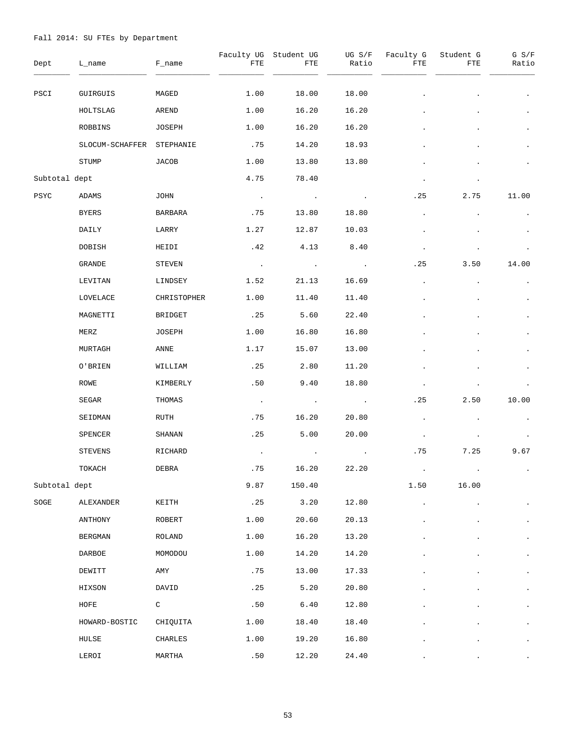| Dept            | L_name          | F_name         | Faculty UG<br>FTE | Student UG<br>FTE | UG S/F<br>Ratio | Faculty G<br>FTE | Student G<br>FTE | $G$ $S/F$<br>Ratio |
|-----------------|-----------------|----------------|-------------------|-------------------|-----------------|------------------|------------------|--------------------|
| PSCI            | GUIRGUIS        | MAGED          | 1.00              | 18.00             | 18.00           |                  |                  | $\bullet$          |
|                 | HOLTSLAG        | AREND          | 1.00              | 16.20             | 16.20           |                  |                  | $\bullet$          |
|                 | ROBBINS         | JOSEPH         | 1.00              | 16.20             | 16.20           |                  |                  | $\bullet$          |
|                 | SLOCUM-SCHAFFER | STEPHANIE      | .75               | 14.20             | 18.93           |                  |                  |                    |
|                 | STUMP           | JACOB          | 1.00              | 13.80             | 13.80           |                  |                  |                    |
| Subtotal dept   |                 |                | 4.75              | 78.40             |                 |                  |                  |                    |
| PSYC            | ADAMS           | JOHN           | $\sim$ $\sim$     |                   |                 | . 25             | 2.75             | 11.00              |
|                 | BYERS           | <b>BARBARA</b> | .75               | 13.80             | 18.80           | $\bullet$        |                  |                    |
|                 | DAILY           | LARRY          | 1.27              | 12.87             | 10.03           |                  |                  |                    |
|                 | DOBISH          | HEIDI          | .42               | 4.13              | 8.40            | $\bullet$        |                  |                    |
|                 | GRANDE          | STEVEN         | $\sim$ $\sim$     |                   | $\bullet$       | .25              | 3.50             | 14.00              |
|                 | LEVITAN         | LINDSEY        | 1.52              | 21.13             | 16.69           | $\bullet$        |                  |                    |
|                 | LOVELACE        | CHRISTOPHER    | 1.00              | 11.40             | 11.40           |                  |                  | $\bullet$          |
|                 | MAGNETTI        | BRIDGET        | .25               | 5.60              | 22.40           |                  |                  |                    |
|                 | MERZ            | JOSEPH         | 1.00              | 16.80             | 16.80           |                  |                  | $\bullet$          |
|                 | MURTAGH         | ANNE           | 1.17              | 15.07             | 13.00           |                  |                  |                    |
|                 | O'BRIEN         | WILLIAM        | .25               | 2.80              | 11.20           |                  |                  |                    |
|                 | ROWE            | KIMBERLY       | .50               | 9.40              | 18.80           |                  |                  |                    |
|                 | SEGAR           | THOMAS         | $\sim$            | $\cdot$           | $\bullet$       | .25              | 2.50             | 10.00              |
|                 | SEIDMAN         | RUTH           | . 75              | 16.20             | 20.80           | $\bullet$        |                  |                    |
|                 | SPENCER         | SHANAN         | .25               | 5.00              | 20.00           | $\bullet$        |                  |                    |
|                 | STEVENS         | RICHARD        |                   |                   |                 | .75              | 7.25             | 9.67               |
|                 | TOKACH          | DEBRA          | .75               | 16.20             | 22.20           |                  |                  |                    |
| Subtotal dept   |                 |                | 9.87              | 150.40            |                 | 1.50             | 16.00            |                    |
| $\texttt{SOGE}$ | ALEXANDER       | KEITH          | .25               | 3.20              | 12.80           |                  |                  |                    |
|                 | ANTHONY         | ROBERT         | 1.00              | 20.60             | 20.13           |                  |                  | $\bullet$          |
|                 | <b>BERGMAN</b>  | ROLAND         | 1.00              | 16.20             | 13.20           |                  |                  |                    |
|                 | DARBOE          | MOMODOU        | 1.00              | 14.20             | 14.20           |                  |                  | $\bullet$          |
|                 | DEWITT          | AMY            | .75               | 13.00             | 17.33           |                  |                  | $\bullet$          |
|                 | HIXSON          | DAVID          | .25               | 5.20              | 20.80           |                  |                  | $\bullet$          |
|                 | HOFE            | C              | .50               | 6.40              | 12.80           |                  |                  | $\bullet$          |
|                 | HOWARD-BOSTIC   | CHIQUITA       | 1.00              | 18.40             | 18.40           |                  |                  | $\bullet$          |
|                 | HULSE           | CHARLES        | 1.00              | 19.20             | 16.80           |                  |                  | $\bullet$          |
|                 | LEROI           | MARTHA         | .50               | 12.20             | 24.40           |                  |                  |                    |